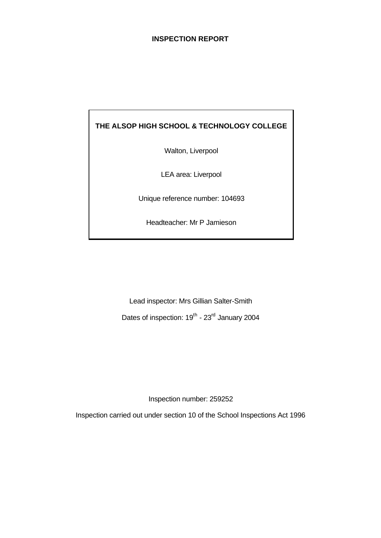#### **INSPECTION REPORT**

## **THE ALSOP HIGH SCHOOL & TECHNOLOGY COLLEGE**

Walton, Liverpool

LEA area: Liverpool

Unique reference number: 104693

Headteacher: Mr P Jamieson

Lead inspector: Mrs Gillian Salter-Smith Dates of inspection: 19<sup>th</sup> - 23<sup>rd</sup> January 2004

Inspection number: 259252

Inspection carried out under section 10 of the School Inspections Act 1996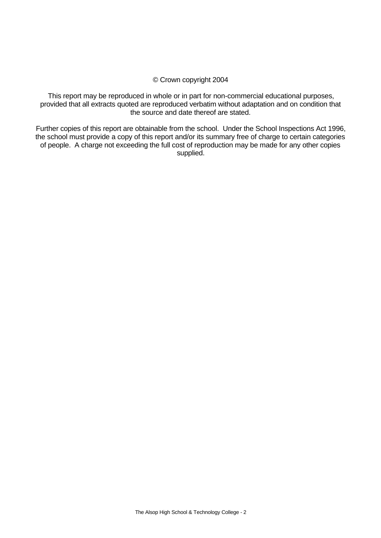#### © Crown copyright 2004

This report may be reproduced in whole or in part for non-commercial educational purposes, provided that all extracts quoted are reproduced verbatim without adaptation and on condition that the source and date thereof are stated.

Further copies of this report are obtainable from the school. Under the School Inspections Act 1996, the school must provide a copy of this report and/or its summary free of charge to certain categories of people. A charge not exceeding the full cost of reproduction may be made for any other copies supplied.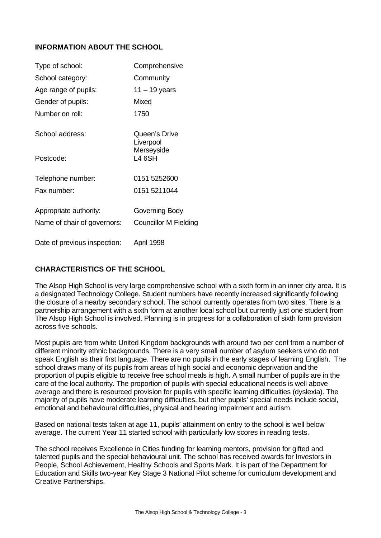### **INFORMATION ABOUT THE SCHOOL**

| Type of school:              | Comprehensive                |
|------------------------------|------------------------------|
| School category:             | Community                    |
| Age range of pupils:         | $11 - 19$ years              |
| Gender of pupils:            | <b>Mixed</b>                 |
| Number on roll:              | 1750                         |
| School address:              | Queen's Drive<br>Liverpool   |
| Postcode:                    | Merseyside<br><b>L4 6SH</b>  |
| Telephone number:            | 0151 5252600                 |
| Fax number:                  | 0151 5211044                 |
| Appropriate authority:       | Governing Body               |
| Name of chair of governors:  | <b>Councillor M Fielding</b> |
| Date of previous inspection: | April 1998                   |

### **CHARACTERISTICS OF THE SCHOOL**

The Alsop High School is very large comprehensive school with a sixth form in an inner city area. It is a designated Technology College. Student numbers have recently increased significantly following the closure of a nearby secondary school. The school currently operates from two sites. There is a partnership arrangement with a sixth form at another local school but currently just one student from The Alsop High School is involved. Planning is in progress for a collaboration of sixth form provision across five schools.

Most pupils are from white United Kingdom backgrounds with around two per cent from a number of different minority ethnic backgrounds. There is a very small number of asylum seekers who do not speak English as their first language. There are no pupils in the early stages of learning English. The school draws many of its pupils from areas of high social and economic deprivation and the proportion of pupils eligible to receive free school meals is high. A small number of pupils are in the care of the local authority. The proportion of pupils with special educational needs is well above average and there is resourced provision for pupils with specific learning difficulties (dyslexia). The majority of pupils have moderate learning difficulties, but other pupils' special needs include social, emotional and behavioural difficulties, physical and hearing impairment and autism.

Based on national tests taken at age 11, pupils' attainment on entry to the school is well below average. The current Year 11 started school with particularly low scores in reading tests.

The school receives Excellence in Cities funding for learning mentors, provision for gifted and talented pupils and the special behavioural unit. The school has received awards for Investors in People, School Achievement, Healthy Schools and Sports Mark. It is part of the Department for Education and Skills two-year Key Stage 3 National Pilot scheme for curriculum development and Creative Partnerships.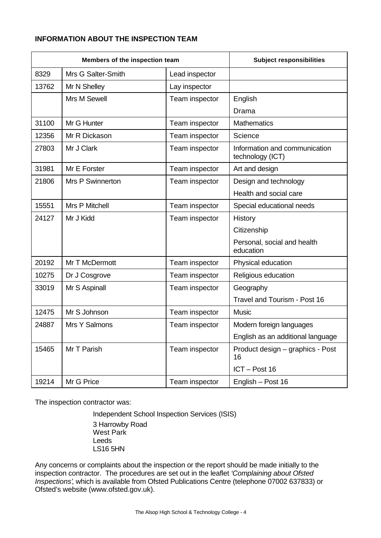## **INFORMATION ABOUT THE INSPECTION TEAM**

| Members of the inspection team |                    | <b>Subject responsibilities</b> |                                                   |
|--------------------------------|--------------------|---------------------------------|---------------------------------------------------|
| 8329                           | Mrs G Salter-Smith | Lead inspector                  |                                                   |
| 13762                          | Mr N Shelley       | Lay inspector                   |                                                   |
|                                | Mrs M Sewell       | Team inspector                  | English                                           |
|                                |                    |                                 | Drama                                             |
| 31100                          | Mr G Hunter        | Team inspector                  | Mathematics                                       |
| 12356                          | Mr R Dickason      | Team inspector                  | Science                                           |
| 27803                          | Mr J Clark         | Team inspector                  | Information and communication<br>technology (ICT) |
| 31981                          | Mr E Forster       | Team inspector                  | Art and design                                    |
| 21806                          | Mrs P Swinnerton   | Team inspector                  | Design and technology                             |
|                                |                    |                                 | Health and social care                            |
| 15551                          | Mrs P Mitchell     | Team inspector                  | Special educational needs                         |
| 24127                          | Mr J Kidd          | Team inspector                  | History                                           |
|                                |                    |                                 | Citizenship                                       |
|                                |                    |                                 | Personal, social and health<br>education          |
| 20192                          | Mr T McDermott     | Team inspector                  | Physical education                                |
| 10275                          | Dr J Cosgrove      | Team inspector                  | Religious education                               |
| 33019                          | Mr S Aspinall      | Team inspector                  | Geography                                         |
|                                |                    |                                 | Travel and Tourism - Post 16                      |
| 12475                          | Mr S Johnson       | Team inspector                  | <b>Music</b>                                      |
| 24887                          | Mrs Y Salmons      | Team inspector                  | Modern foreign languages                          |
|                                |                    |                                 | English as an additional language                 |
| 15465                          | Mr T Parish        | Team inspector                  | Product design - graphics - Post<br>16            |
|                                |                    |                                 | ICT-Post 16                                       |
| 19214                          | Mr G Price         | Team inspector                  | English - Post 16                                 |

The inspection contractor was:

Independent School Inspection Services (ISIS) 3 Harrowby Road West Park Leeds LS16 5HN

Any concerns or complaints about the inspection or the report should be made initially to the inspection contractor. The procedures are set out in the leaflet *'Complaining about Ofsted Inspections'*, which is available from Ofsted Publications Centre (telephone 07002 637833) or Ofsted's website (www.ofsted.gov.uk).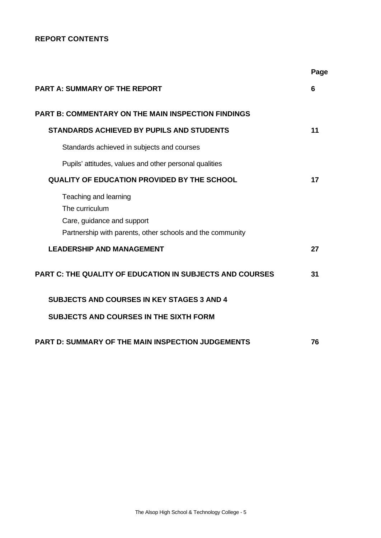## **REPORT CONTENTS**

|                                                                                                                                    | Page |
|------------------------------------------------------------------------------------------------------------------------------------|------|
| <b>PART A: SUMMARY OF THE REPORT</b>                                                                                               | 6    |
| <b>PART B: COMMENTARY ON THE MAIN INSPECTION FINDINGS</b>                                                                          |      |
| <b>STANDARDS ACHIEVED BY PUPILS AND STUDENTS</b>                                                                                   | 11   |
| Standards achieved in subjects and courses                                                                                         |      |
| Pupils' attitudes, values and other personal qualities                                                                             |      |
| <b>QUALITY OF EDUCATION PROVIDED BY THE SCHOOL</b>                                                                                 | 17   |
| Teaching and learning<br>The curriculum<br>Care, guidance and support<br>Partnership with parents, other schools and the community |      |
| <b>LEADERSHIP AND MANAGEMENT</b>                                                                                                   | 27   |
| <b>PART C: THE QUALITY OF EDUCATION IN SUBJECTS AND COURSES</b>                                                                    | 31   |
| <b>SUBJECTS AND COURSES IN KEY STAGES 3 AND 4</b>                                                                                  |      |
| <b>SUBJECTS AND COURSES IN THE SIXTH FORM</b>                                                                                      |      |
| <b>PART D: SUMMARY OF THE MAIN INSPECTION JUDGEMENTS</b>                                                                           | 76   |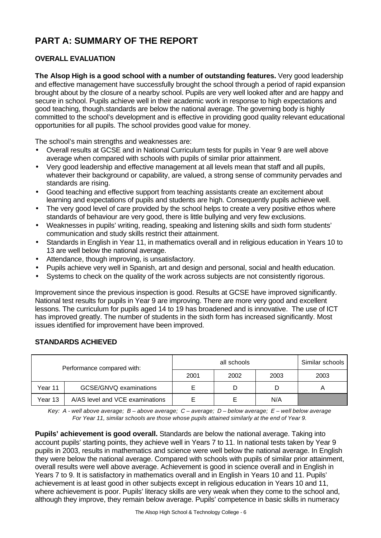# **PART A: SUMMARY OF THE REPORT**

## **OVERALL EVALUATION**

**The Alsop High is a good school with a number of outstanding features.** Very good leadership and effective management have successfully brought the school through a period of rapid expansion brought about by the closure of a nearby school. Pupils are very well looked after and are happy and secure in school. Pupils achieve well in their academic work in response to high expectations and good teaching, though.standards are below the national average. The governing body is highly committed to the school's development and is effective in providing good quality relevant educational opportunities for all pupils. The school provides good value for money.

The school's main strengths and weaknesses are:

- Overall results at GCSE and in National Curriculum tests for pupils in Year 9 are well above average when compared with schools with pupils of similar prior attainment.
- Very good leadership and effective management at all levels mean that staff and all pupils, whatever their background or capability, are valued, a strong sense of community pervades and standards are rising.
- Good teaching and effective support from teaching assistants create an excitement about learning and expectations of pupils and students are high. Consequently pupils achieve well.
- The very good level of care provided by the school helps to create a very positive ethos where standards of behaviour are very good, there is little bullying and very few exclusions.
- Weaknesses in pupils' writing, reading, speaking and listening skills and sixth form students' communication and study skills restrict their attainment.
- Standards in English in Year 11, in mathematics overall and in religious education in Years 10 to 13 are well below the national average.
- Attendance, though improving, is unsatisfactory.
- Pupils achieve very well in Spanish, art and design and personal, social and health education.
- Systems to check on the quality of the work across subjects are not consistently rigorous.

Improvement since the previous inspection is good. Results at GCSE have improved significantly. National test results for pupils in Year 9 are improving. There are more very good and excellent lessons. The curriculum for pupils aged 14 to 19 has broadened and is innovative. The use of ICT has improved greatly. The number of students in the sixth form has increased significantly. Most issues identified for improvement have been improved.

### **STANDARDS ACHIEVED**

| Performance compared with: |                                 |      | all schools |      | Similar schools |
|----------------------------|---------------------------------|------|-------------|------|-----------------|
|                            |                                 | 2001 | 2002        | 2003 | 2003            |
| Year 11                    | GCSE/GNVQ examinations          |      | D           | D    |                 |
| Year 13                    | A/AS level and VCE examinations |      |             | N/A  |                 |

*Key: A - well above average; B – above average; C – average; D – below average; E – well below average For Year 11, similar schools are those whose pupils attained similarly at the end of Year 9.*

**Pupils' achievement is good overall.** Standards are below the national average. Taking into account pupils' starting points, they achieve well in Years 7 to 11. In national tests taken by Year 9 pupils in 2003, results in mathematics and science were well below the national average. In English they were below the national average. Compared with schools with pupils of similar prior attainment, overall results were well above average. Achievement is good in science overall and in English in Years 7 to 9. It is satisfactory in mathematics overall and in English in Years 10 and 11. Pupils' achievement is at least good in other subjects except in religious education in Years 10 and 11, where achievement is poor. Pupils' literacy skills are very weak when they come to the school and, although they improve, they remain below average. Pupils' competence in basic skills in numeracy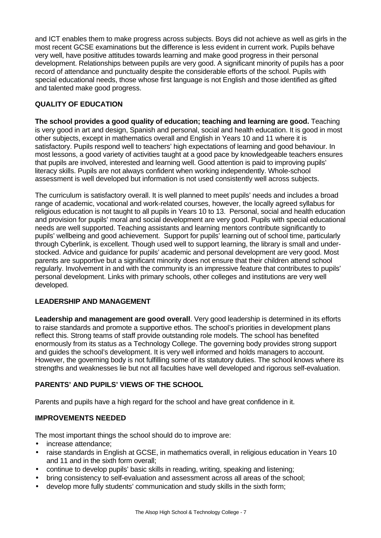and ICT enables them to make progress across subjects. Boys did not achieve as well as girls in the most recent GCSE examinations but the difference is less evident in current work. Pupils behave very well, have positive attitudes towards learning and make good progress in their personal development. Relationships between pupils are very good. A significant minority of pupils has a poor record of attendance and punctuality despite the considerable efforts of the school. Pupils with special educational needs, those whose first language is not English and those identified as gifted and talented make good progress.

## **QUALITY OF EDUCATION**

**The school provides a good quality of education; teaching and learning are good.** Teaching is very good in art and design, Spanish and personal, social and health education. It is good in most other subjects, except in mathematics overall and English in Years 10 and 11 where it is satisfactory. Pupils respond well to teachers' high expectations of learning and good behaviour. In most lessons, a good variety of activities taught at a good pace by knowledgeable teachers ensures that pupils are involved, interested and learning well. Good attention is paid to improving pupils' literacy skills. Pupils are not always confident when working independently. Whole-school assessment is well developed but information is not used consistently well across subjects.

The curriculum is satisfactory overall. It is well planned to meet pupils' needs and includes a broad range of academic, vocational and work-related courses, however, the locally agreed syllabus for religious education is not taught to all pupils in Years 10 to 13. Personal, social and health education and provision for pupils' moral and social development are very good. Pupils with special educational needs are well supported. Teaching assistants and learning mentors contribute significantly to pupils' wellbeing and good achievement. Support for pupils' learning out of school time, particularly through Cyberlink, is excellent. Though used well to support learning, the library is small and understocked. Advice and guidance for pupils' academic and personal development are very good. Most parents are supportive but a significant minority does not ensure that their children attend school regularly. Involvement in and with the community is an impressive feature that contributes to pupils' personal development. Links with primary schools, other colleges and institutions are very well developed.

### **LEADERSHIP AND MANAGEMENT**

**Leadership and management are good overall**. Very good leadership is determined in its efforts to raise standards and promote a supportive ethos. The school's priorities in development plans reflect this. Strong teams of staff provide outstanding role models. The school has benefited enormously from its status as a Technology College. The governing body provides strong support and guides the school's development. It is very well informed and holds managers to account. However, the governing body is not fulfilling some of its statutory duties. The school knows where its strengths and weaknesses lie but not all faculties have well developed and rigorous self-evaluation.

## **PARENTS' AND PUPILS' VIEWS OF THE SCHOOL**

Parents and pupils have a high regard for the school and have great confidence in it.

### **IMPROVEMENTS NEEDED**

The most important things the school should do to improve are:

- increase attendance;
- raise standards in English at GCSE, in mathematics overall, in religious education in Years 10 and 11 and in the sixth form overall;
- continue to develop pupils' basic skills in reading, writing, speaking and listening;
- bring consistency to self-evaluation and assessment across all areas of the school;
- develop more fully students' communication and study skills in the sixth form;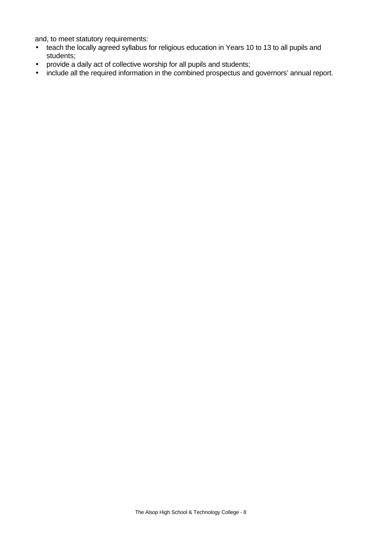and, to meet statutory requirements:

- teach the locally agreed syllabus for religious education in Years 10 to 13 to all pupils and students;
- provide a daily act of collective worship for all pupils and students;
- include all the required information in the combined prospectus and governors' annual report.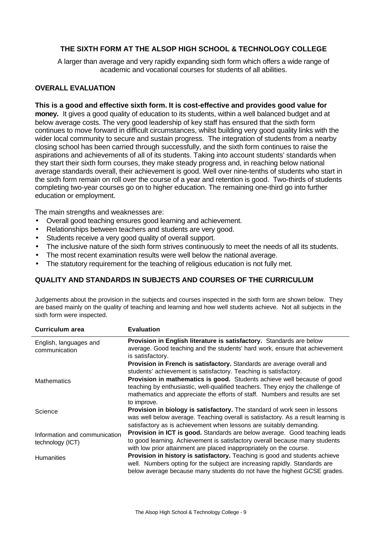## **THE SIXTH FORM AT THE ALSOP HIGH SCHOOL & TECHNOLOGY COLLEGE**

A larger than average and very rapidly expanding sixth form which offers a wide range of academic and vocational courses for students of all abilities.

#### **OVERALL EVALUATION**

#### **This is a good and effective sixth form. It is cost-effective and provides good value for**

**money.** It gives a good quality of education to its students, within a well balanced budget and at below average costs. The very good leadership of key staff has ensured that the sixth form continues to move forward in difficult circumstances, whilst building very good quality links with the wider local community to secure and sustain progress. The integration of students from a nearby closing school has been carried through successfully, and the sixth form continues to raise the aspirations and achievements of all of its students. Taking into account students' standards when they start their sixth form courses, they make steady progress and, in reaching below national average standards overall, their achievement is good. Well over nine-tenths of students who start in the sixth form remain on roll over the course of a year and retention is good. Two-thirds of students completing two-year courses go on to higher education. The remaining one-third go into further education or employment.

The main strengths and weaknesses are:

- Overall good teaching ensures good learning and achievement.
- Relationships between teachers and students are very good.
- Students receive a very good quality of overall support.
- The inclusive nature of the sixth form strives continuously to meet the needs of all its students.
- The most recent examination results were well below the national average.
- The statutory requirement for the teaching of religious education is not fully met.

#### **QUALITY AND STANDARDS IN SUBJECTS AND COURSES OF THE CURRICULUM**

Judgements about the provision in the subjects and courses inspected in the sixth form are shown below. They are based mainly on the quality of teaching and learning and how well students achieve. Not all subjects in the sixth form were inspected.

| Curriculum area                                   | <b>Evaluation</b>                                                                                                                                                                                                                                        |
|---------------------------------------------------|----------------------------------------------------------------------------------------------------------------------------------------------------------------------------------------------------------------------------------------------------------|
| English, languages and<br>communication           | Provision in English literature is satisfactory. Standards are below<br>average. Good teaching and the students' hard work, ensure that achievement<br>is satisfactory.                                                                                  |
|                                                   | Provision in French is satisfactory. Standards are average overall and<br>students' achievement is satisfactory. Teaching is satisfactory.                                                                                                               |
| <b>Mathematics</b>                                | Provision in mathematics is good. Students achieve well because of good<br>teaching by enthusiastic, well-qualified teachers. They enjoy the challenge of<br>mathematics and appreciate the efforts of staff. Numbers and results are set<br>to improve. |
| Science                                           | Provision in biology is satisfactory. The standard of work seen in lessons<br>was well below average. Teaching overall is satisfactory. As a result learning is<br>satisfactory as is achievement when lessons are suitably demanding.                   |
| Information and communication<br>technology (ICT) | Provision in ICT is good. Standards are below average. Good teaching leads<br>to good learning. Achievement is satisfactory overall because many students<br>with low prior attainment are placed inappropriately on the course.                         |
| <b>Humanities</b>                                 | Provision in history is satisfactory. Teaching is good and students achieve<br>well. Numbers opting for the subject are increasing rapidly. Standards are<br>below average because many students do not have the highest GCSE grades.                    |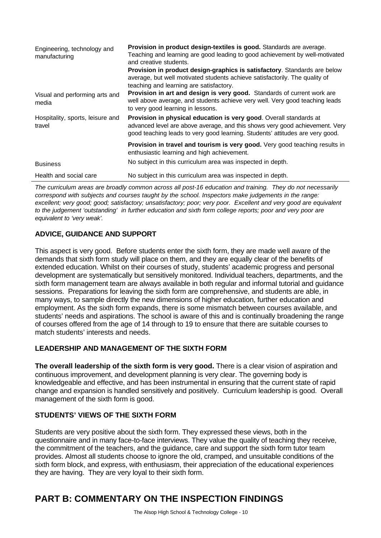| Engineering, technology and<br>manufacturing | Provision in product design-textiles is good. Standards are average.<br>Teaching and learning are good leading to good achievement by well-motivated<br>and creative students.<br>Provision in product design-graphics is satisfactory. Standards are below<br>average, but well motivated students achieve satisfactorily. The quality of<br>teaching and learning are satisfactory. |
|----------------------------------------------|---------------------------------------------------------------------------------------------------------------------------------------------------------------------------------------------------------------------------------------------------------------------------------------------------------------------------------------------------------------------------------------|
| Visual and performing arts and<br>media      | Provision in art and design is very good. Standards of current work are<br>well above average, and students achieve very well. Very good teaching leads<br>to very good learning in lessons.                                                                                                                                                                                          |
| Hospitality, sports, leisure and<br>travel   | Provision in physical education is very good. Overall standards at<br>advanced level are above average, and this shows very good achievement. Very<br>good teaching leads to very good learning. Students' attitudes are very good.                                                                                                                                                   |
|                                              | <b>Provision in travel and tourism is very good.</b> Very good teaching results in<br>enthusiastic learning and high achievement.                                                                                                                                                                                                                                                     |
| <b>Business</b>                              | No subject in this curriculum area was inspected in depth.                                                                                                                                                                                                                                                                                                                            |
| Health and social care                       | No subject in this curriculum area was inspected in depth.                                                                                                                                                                                                                                                                                                                            |

*The curriculum areas are broadly common across all post-16 education and training. They do not necessarily correspond with subjects and courses taught by the school. Inspectors make judgements in the range: excellent; very good; good; satisfactory; unsatisfactory; poor; very poor. Excellent and very good are equivalent to the judgement 'outstanding' in further education and sixth form college reports; poor and very poor are equivalent to 'very weak'.*

## **ADVICE, GUIDANCE AND SUPPORT**

This aspect is very good. Before students enter the sixth form, they are made well aware of the demands that sixth form study will place on them, and they are equally clear of the benefits of extended education. Whilst on their courses of study, students' academic progress and personal development are systematically but sensitively monitored. Individual teachers, departments, and the sixth form management team are always available in both regular and informal tutorial and guidance sessions. Preparations for leaving the sixth form are comprehensive, and students are able, in many ways, to sample directly the new dimensions of higher education, further education and employment. As the sixth form expands, there is some mismatch between courses available, and students' needs and aspirations. The school is aware of this and is continually broadening the range of courses offered from the age of 14 through to 19 to ensure that there are suitable courses to match students' interests and needs.

## **LEADERSHIP AND MANAGEMENT OF THE SIXTH FORM**

**The overall leadership of the sixth form is very good.** There is a clear vision of aspiration and continuous improvement, and development planning is very clear. The governing body is knowledgeable and effective, and has been instrumental in ensuring that the current state of rapid change and expansion is handled sensitively and positively. Curriculum leadership is good. Overall management of the sixth form is good.

### **STUDENTS' VIEWS OF THE SIXTH FORM**

Students are very positive about the sixth form. They expressed these views, both in the questionnaire and in many face-to-face interviews. They value the quality of teaching they receive, the commitment of the teachers, and the guidance, care and support the sixth form tutor team provides. Almost all students choose to ignore the old, cramped, and unsuitable conditions of the sixth form block, and express, with enthusiasm, their appreciation of the educational experiences they are having. They are very loyal to their sixth form.

# **PART B: COMMENTARY ON THE INSPECTION FINDINGS**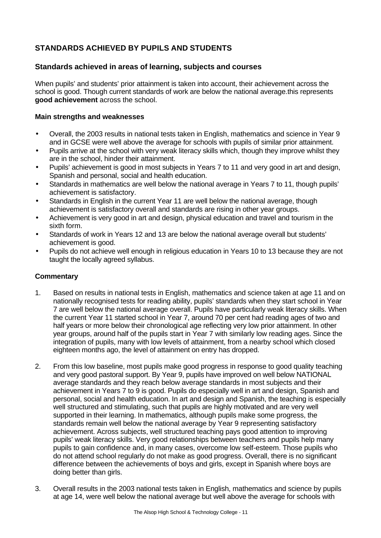## **STANDARDS ACHIEVED BY PUPILS AND STUDENTS**

### **Standards achieved in areas of learning, subjects and courses**

When pupils' and students' prior attainment is taken into account, their achievement across the school is good. Though current standards of work are below the national average.this represents **good achievement** across the school.

#### **Main strengths and weaknesses**

- Overall, the 2003 results in national tests taken in English, mathematics and science in Year 9 and in GCSE were well above the average for schools with pupils of similar prior attainment.
- Pupils arrive at the school with very weak literacy skills which, though they improve whilst they are in the school, hinder their attainment.
- Pupils' achievement is good in most subjects in Years 7 to 11 and very good in art and design, Spanish and personal, social and health education.
- Standards in mathematics are well below the national average in Years 7 to 11, though pupils' achievement is satisfactory.
- Standards in English in the current Year 11 are well below the national average, though achievement is satisfactory overall and standards are rising in other year groups.
- Achievement is very good in art and design, physical education and travel and tourism in the sixth form.
- Standards of work in Years 12 and 13 are below the national average overall but students' achievement is good.
- Pupils do not achieve well enough in religious education in Years 10 to 13 because they are not taught the locally agreed syllabus.

#### **Commentary**

- 1. Based on results in national tests in English, mathematics and science taken at age 11 and on nationally recognised tests for reading ability, pupils' standards when they start school in Year 7 are well below the national average overall. Pupils have particularly weak literacy skills. When the current Year 11 started school in Year 7, around 70 per cent had reading ages of two and half years or more below their chronological age reflecting very low prior attainment. In other year groups, around half of the pupils start in Year 7 with similarly low reading ages. Since the integration of pupils, many with low levels of attainment, from a nearby school which closed eighteen months ago, the level of attainment on entry has dropped.
- 2. From this low baseline, most pupils make good progress in response to good quality teaching and very good pastoral support. By Year 9, pupils have improved on well below NATIONAL average standards and they reach below average standards in most subjects and their achievement in Years 7 to 9 is good. Pupils do especially well in art and design, Spanish and personal, social and health education. In art and design and Spanish, the teaching is especially well structured and stimulating, such that pupils are highly motivated and are very well supported in their learning. In mathematics, although pupils make some progress, the standards remain well below the national average by Year 9 representing satisfactory achievement. Across subjects, well structured teaching pays good attention to improving pupils' weak literacy skills. Very good relationships between teachers and pupils help many pupils to gain confidence and, in many cases, overcome low self-esteem. Those pupils who do not attend school regularly do not make as good progress. Overall, there is no significant difference between the achievements of boys and girls, except in Spanish where boys are doing better than girls.
- 3. Overall results in the 2003 national tests taken in English, mathematics and science by pupils at age 14, were well below the national average but well above the average for schools with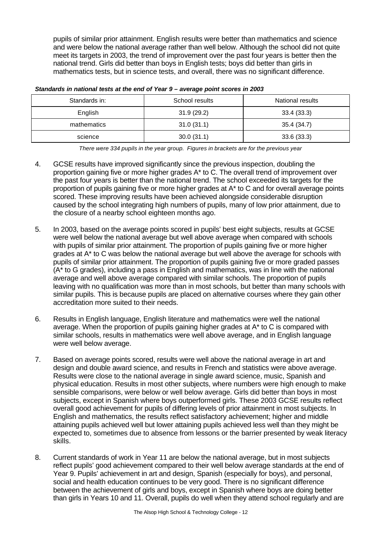pupils of similar prior attainment. English results were better than mathematics and science and were below the national average rather than well below. Although the school did not quite meet its targets in 2003, the trend of improvement over the past four years is better then the national trend. Girls did better than boys in English tests; boys did better than girls in mathematics tests, but in science tests, and overall, there was no significant difference.

| Standards in: | School results | National results |
|---------------|----------------|------------------|
| English       | 31.9(29.2)     | 33.4(33.3)       |
| mathematics   | 31.0(31.1)     | 35.4 (34.7)      |
| science       | 30.0(31.1)     | 33.6(33.3)       |

#### *Standards in national tests at the end of Year 9 – average point scores in 2003*

*There were 334 pupils in the year group. Figures in brackets are for the previous year*

- 4. GCSE results have improved significantly since the previous inspection, doubling the proportion gaining five or more higher grades A\* to C. The overall trend of improvement over the past four years is better than the national trend. The school exceeded its targets for the proportion of pupils gaining five or more higher grades at A\* to C and for overall average points scored. These improving results have been achieved alongside considerable disruption caused by the school integrating high numbers of pupils, many of low prior attainment, due to the closure of a nearby school eighteen months ago.
- 5. In 2003, based on the average points scored in pupils' best eight subjects, results at GCSE were well below the national average but well above average when compared with schools with pupils of similar prior attainment. The proportion of pupils gaining five or more higher grades at A\* to C was below the national average but well above the average for schools with pupils of similar prior attainment. The proportion of pupils gaining five or more graded passes (A\* to G grades), including a pass in English and mathematics, was in line with the national average and well above average compared with similar schools. The proportion of pupils leaving with no qualification was more than in most schools, but better than many schools with similar pupils. This is because pupils are placed on alternative courses where they gain other accreditation more suited to their needs.
- 6. Results in English language, English literature and mathematics were well the national average. When the proportion of pupils gaining higher grades at A\* to C is compared with similar schools, results in mathematics were well above average, and in English language were well below average.
- 7. Based on average points scored, results were well above the national average in art and design and double award science, and results in French and statistics were above average. Results were close to the national average in single award science, music, Spanish and physical education. Results in most other subjects, where numbers were high enough to make sensible comparisons, were below or well below average. Girls did better than boys in most subjects, except in Spanish where boys outperformed girls. These 2003 GCSE results reflect overall good achievement for pupils of differing levels of prior attainment in most subjects. In English and mathematics, the results reflect satisfactory achievement; higher and middle attaining pupils achieved well but lower attaining pupils achieved less well than they might be expected to, sometimes due to absence from lessons or the barrier presented by weak literacy skills.
- 8. Current standards of work in Year 11 are below the national average, but in most subjects reflect pupils' good achievement compared to their well below average standards at the end of Year 9. Pupils' achievement in art and design, Spanish (especially for boys), and personal, social and health education continues to be very good. There is no significant difference between the achievement of girls and boys, except in Spanish where boys are doing better than girls in Years 10 and 11. Overall, pupils do well when they attend school regularly and are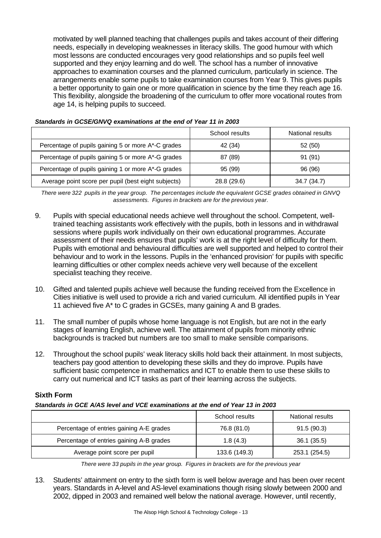motivated by well planned teaching that challenges pupils and takes account of their differing needs, especially in developing weaknesses in literacy skills. The good humour with which most lessons are conducted encourages very good relationships and so pupils feel well supported and they enjoy learning and do well. The school has a number of innovative approaches to examination courses and the planned curriculum, particularly in science. The arrangements enable some pupils to take examination courses from Year 9. This gives pupils a better opportunity to gain one or more qualification in science by the time they reach age 16. This flexibility, alongside the broadening of the curriculum to offer more vocational routes from age 14, is helping pupils to succeed.

|                                                     | School results | National results |
|-----------------------------------------------------|----------------|------------------|
| Percentage of pupils gaining 5 or more A*-C grades  | 42 (34)        | 52 (50)          |
| Percentage of pupils gaining 5 or more A*-G grades  | 87 (89)        | 91 (91)          |
| Percentage of pupils gaining 1 or more A*-G grades  | 95 (99)        | 96 (96)          |
| Average point score per pupil (best eight subjects) | 28.8 (29.6)    | 34.7 (34.7)      |

#### *Standards in GCSE/GNVQ examinations at the end of Year 11 in 2003*

*There were 322 pupils in the year group. The percentages include the equivalent GCSE grades obtained in GNVQ assessments. Figures in brackets are for the previous year.*

- 9. Pupils with special educational needs achieve well throughout the school. Competent, welltrained teaching assistants work effectively with the pupils, both in lessons and in withdrawal sessions where pupils work individually on their own educational programmes. Accurate assessment of their needs ensures that pupils' work is at the right level of difficulty for them. Pupils with emotional and behavioural difficulties are well supported and helped to control their behaviour and to work in the lessons. Pupils in the 'enhanced provision' for pupils with specific learning difficulties or other complex needs achieve very well because of the excellent specialist teaching they receive.
- 10. Gifted and talented pupils achieve well because the funding received from the Excellence in Cities initiative is well used to provide a rich and varied curriculum. All identified pupils in Year 11 achieved five A\* to C grades in GCSEs, many gaining A and B grades.
- 11. The small number of pupils whose home language is not English, but are not in the early stages of learning English, achieve well. The attainment of pupils from minority ethnic backgrounds is tracked but numbers are too small to make sensible comparisons.
- 12. Throughout the school pupils' weak literacy skills hold back their attainment. In most subjects, teachers pay good attention to developing these skills and they do improve. Pupils have sufficient basic competence in mathematics and ICT to enable them to use these skills to carry out numerical and ICT tasks as part of their learning across the subjects.

### **Sixth Form**

*Standards in GCE A/AS level and VCE examinations at the end of Year 13 in 2003*

|                                          | School results | National results |
|------------------------------------------|----------------|------------------|
| Percentage of entries gaining A-E grades | 76.8 (81.0)    | 91.5(90.3)       |
| Percentage of entries gaining A-B grades | 1.8(4.3)       | 36.1(35.5)       |
| Average point score per pupil            | 133.6 (149.3)  | 253.1 (254.5)    |

*There were 33 pupils in the year group. Figures in brackets are for the previous year*

13. Students' attainment on entry to the sixth form is well below average and has been over recent years. Standards in A-level and AS-level examinations though rising slowly between 2000 and 2002, dipped in 2003 and remained well below the national average. However, until recently,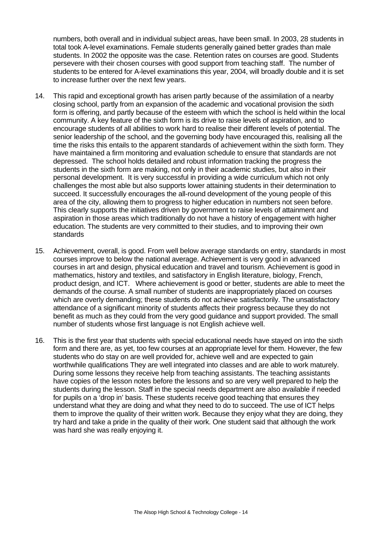numbers, both overall and in individual subject areas, have been small. In 2003, 28 students in total took A-level examinations. Female students generally gained better grades than male students. In 2002 the opposite was the case. Retention rates on courses are good. Students persevere with their chosen courses with good support from teaching staff. The number of students to be entered for A-level examinations this year, 2004, will broadly double and it is set to increase further over the next few years.

- 14. This rapid and exceptional growth has arisen partly because of the assimilation of a nearby closing school, partly from an expansion of the academic and vocational provision the sixth form is offering, and partly because of the esteem with which the school is held within the local community. A key feature of the sixth form is its drive to raise levels of aspiration, and to encourage students of all abilities to work hard to realise their different levels of potential. The senior leadership of the school, and the governing body have encouraged this, realising all the time the risks this entails to the apparent standards of achievement within the sixth form. They have maintained a firm monitoring and evaluation schedule to ensure that standards are not depressed. The school holds detailed and robust information tracking the progress the students in the sixth form are making, not only in their academic studies, but also in their personal development. It is very successful in providing a wide curriculum which not only challenges the most able but also supports lower attaining students in their determination to succeed. It successfully encourages the all-round development of the young people of this area of the city, allowing them to progress to higher education in numbers not seen before. This clearly supports the initiatives driven by government to raise levels of attainment and aspiration in those areas which traditionally do not have a history of engagement with higher education. The students are very committed to their studies, and to improving their own standards
- 15. Achievement, overall, is good. From well below average standards on entry, standards in most courses improve to below the national average. Achievement is very good in advanced courses in art and design, physical education and travel and tourism. Achievement is good in mathematics, history and textiles, and satisfactory in English literature, biology, French, product design, and ICT. Where achievement is good or better, students are able to meet the demands of the course. A small number of students are inappropriately placed on courses which are overly demanding; these students do not achieve satisfactorily. The unsatisfactory attendance of a significant minority of students affects their progress because they do not benefit as much as they could from the very good guidance and support provided. The small number of students whose first language is not English achieve well.
- 16. This is the first year that students with special educational needs have stayed on into the sixth form and there are, as yet, too few courses at an appropriate level for them. However, the few students who do stay on are well provided for, achieve well and are expected to gain worthwhile qualifications They are well integrated into classes and are able to work maturely. During some lessons they receive help from teaching assistants. The teaching assistants have copies of the lesson notes before the lessons and so are very well prepared to help the students during the lesson. Staff in the special needs department are also available if needed for pupils on a 'drop in' basis. These students receive good teaching that ensures they understand what they are doing and what they need to do to succeed. The use of ICT helps them to improve the quality of their written work. Because they enjoy what they are doing, they try hard and take a pride in the quality of their work. One student said that although the work was hard she was really enjoying it.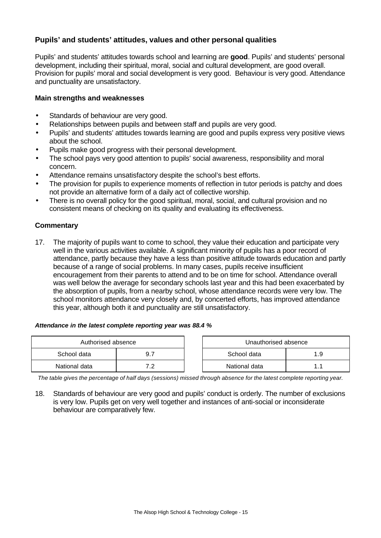## **Pupils' and students' attitudes, values and other personal qualities**

Pupils' and students' attitudes towards school and learning are **good**. Pupils' and students' personal development, including their spiritual, moral, social and cultural development, are good overall. Provision for pupils' moral and social development is very good. Behaviour is very good. Attendance and punctuality are unsatisfactory.

#### **Main strengths and weaknesses**

- Standards of behaviour are very good.
- Relationships between pupils and between staff and pupils are very good.
- Pupils' and students' attitudes towards learning are good and pupils express very positive views about the school.
- Pupils make good progress with their personal development.
- The school pays very good attention to pupils' social awareness, responsibility and moral concern.
- Attendance remains unsatisfactory despite the school's best efforts.
- The provision for pupils to experience moments of reflection in tutor periods is patchy and does not provide an alternative form of a daily act of collective worship.
- There is no overall policy for the good spiritual, moral, social, and cultural provision and no consistent means of checking on its quality and evaluating its effectiveness.

#### **Commentary**

17. The majority of pupils want to come to school, they value their education and participate very well in the various activities available. A significant minority of pupils has a poor record of attendance, partly because they have a less than positive attitude towards education and partly because of a range of social problems. In many cases, pupils receive insufficient encouragement from their parents to attend and to be on time for school. Attendance overall was well below the average for secondary schools last year and this had been exacerbated by the absorption of pupils, from a nearby school, whose attendance records were very low. The school monitors attendance very closely and, by concerted efforts, has improved attendance this year, although both it and punctuality are still unsatisfactory.

#### *Attendance in the latest complete reporting year was 88.4 %*

| Authorised absence |  |  | Unauthorised absence |     |
|--------------------|--|--|----------------------|-----|
| School data        |  |  | School data          | 1.9 |
| National data      |  |  | National data        |     |

*The table gives the percentage of half days (sessions) missed through absence for the latest complete reporting year.*

18. Standards of behaviour are very good and pupils' conduct is orderly. The number of exclusions is very low. Pupils get on very well together and instances of anti-social or inconsiderate behaviour are comparatively few.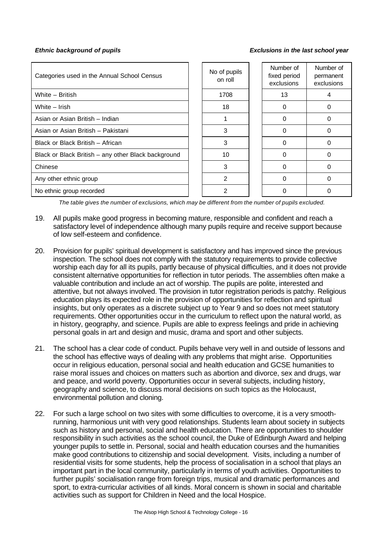#### *Ethnic background of pupils Exclusions in the last school year*

| Categories used in the Annual School Census         | No of pupils<br>on roll | Number of<br>fixed period<br>exclusions | Number of<br>permanent<br>exclusions |
|-----------------------------------------------------|-------------------------|-----------------------------------------|--------------------------------------|
| White - British                                     | 1708                    | 13                                      |                                      |
| White - Irish                                       | 18                      | $\Omega$                                |                                      |
| Asian or Asian British - Indian                     |                         | 0                                       |                                      |
| Asian or Asian British - Pakistani                  | 3                       | 0                                       | O                                    |
| Black or Black British - African                    | 3                       | 0                                       |                                      |
| Black or Black British - any other Black background | 10                      | $\Omega$                                |                                      |
| Chinese                                             | 3                       | ∩                                       |                                      |
| Any other ethnic group                              | $\overline{2}$          |                                         |                                      |
| No ethnic group recorded                            | 2                       |                                         |                                      |

*The table gives the number of exclusions, which may be different from the number of pupils excluded.*

- 19. All pupils make good progress in becoming mature, responsible and confident and reach a satisfactory level of independence although many pupils require and receive support because of low self-esteem and confidence.
- 20. Provision for pupils' spiritual development is satisfactory and has improved since the previous inspection. The school does not comply with the statutory requirements to provide collective worship each day for all its pupils, partly because of physical difficulties, and it does not provide consistent alternative opportunities for reflection in tutor periods. The assemblies often make a valuable contribution and include an act of worship. The pupils are polite, interested and attentive, but not always involved. The provision in tutor registration periods is patchy. Religious education plays its expected role in the provision of opportunities for reflection and spiritual insights, but only operates as a discrete subject up to Year 9 and so does not meet statutory requirements. Other opportunities occur in the curriculum to reflect upon the natural world, as in history, geography, and science. Pupils are able to express feelings and pride in achieving personal goals in art and design and music, drama and sport and other subjects.
- 21. The school has a clear code of conduct. Pupils behave very well in and outside of lessons and the school has effective ways of dealing with any problems that might arise. Opportunities occur in religious education, personal social and health education and GCSE humanities to raise moral issues and choices on matters such as abortion and divorce, sex and drugs, war and peace, and world poverty. Opportunities occur in several subjects, including history, geography and science, to discuss moral decisions on such topics as the Holocaust, environmental pollution and cloning.
- 22. For such a large school on two sites with some difficulties to overcome, it is a very smoothrunning, harmonious unit with very good relationships. Students learn about society in subjects such as history and personal, social and health education. There are opportunities to shoulder responsibility in such activities as the school council, the Duke of Edinburgh Award and helping younger pupils to settle in. Personal, social and health education courses and the humanities make good contributions to citizenship and social development. Visits, including a number of residential visits for some students, help the process of socialisation in a school that plays an important part in the local community, particularly in terms of youth activities. Opportunities to further pupils' socialisation range from foreign trips, musical and dramatic performances and sport, to extra-curricular activities of all kinds. Moral concern is shown in social and charitable activities such as support for Children in Need and the local Hospice.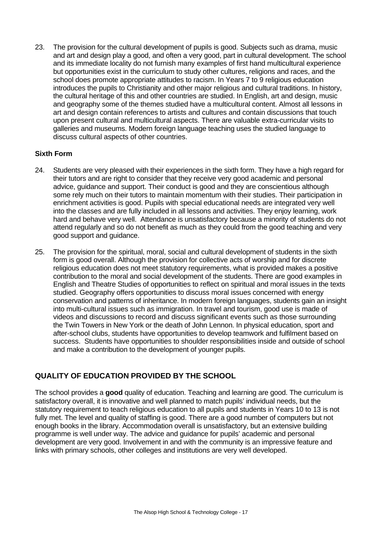23. The provision for the cultural development of pupils is good. Subjects such as drama, music and art and design play a good, and often a very good, part in cultural development. The school and its immediate locality do not furnish many examples of first hand multicultural experience but opportunities exist in the curriculum to study other cultures, religions and races, and the school does promote appropriate attitudes to racism. In Years 7 to 9 religious education introduces the pupils to Christianity and other major religious and cultural traditions. In history, the cultural heritage of this and other countries are studied. In English, art and design, music and geography some of the themes studied have a multicultural content. Almost all lessons in art and design contain references to artists and cultures and contain discussions that touch upon present cultural and multicultural aspects. There are valuable extra-curricular visits to galleries and museums. Modern foreign language teaching uses the studied language to discuss cultural aspects of other countries.

#### **Sixth Form**

- 24. Students are very pleased with their experiences in the sixth form. They have a high regard for their tutors and are right to consider that they receive very good academic and personal advice, guidance and support. Their conduct is good and they are conscientious although some rely much on their tutors to maintain momentum with their studies. Their participation in enrichment activities is good. Pupils with special educational needs are integrated very well into the classes and are fully included in all lessons and activities. They enjoy learning, work hard and behave very well. Attendance is unsatisfactory because a minority of students do not attend regularly and so do not benefit as much as they could from the good teaching and very good support and guidance.
- 25. The provision for the spiritual, moral, social and cultural development of students in the sixth form is good overall. Although the provision for collective acts of worship and for discrete religious education does not meet statutory requirements, what is provided makes a positive contribution to the moral and social development of the students. There are good examples in English and Theatre Studies of opportunities to reflect on spiritual and moral issues in the texts studied. Geography offers opportunities to discuss moral issues concerned with energy conservation and patterns of inheritance. In modern foreign languages, students gain an insight into multi-cultural issues such as immigration. In travel and tourism, good use is made of videos and discussions to record and discuss significant events such as those surrounding the Twin Towers in New York or the death of John Lennon. In physical education, sport and after-school clubs, students have opportunities to develop teamwork and fulfilment based on success. Students have opportunities to shoulder responsibilities inside and outside of school and make a contribution to the development of younger pupils.

## **QUALITY OF EDUCATION PROVIDED BY THE SCHOOL**

The school provides a **good** quality of education. Teaching and learning are good. The curriculum is satisfactory overall, it is innovative and well planned to match pupils' individual needs, but the statutory requirement to teach religious education to all pupils and students in Years 10 to 13 is not fully met. The level and quality of staffing is good. There are a good number of computers but not enough books in the library. Accommodation overall is unsatisfactory, but an extensive building programme is well under way. The advice and guidance for pupils' academic and personal development are very good. Involvement in and with the community is an impressive feature and links with primary schools, other colleges and institutions are very well developed.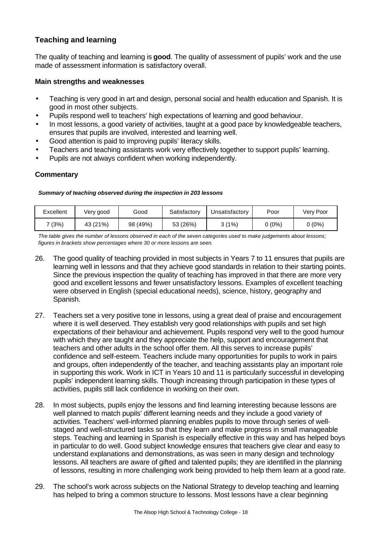## **Teaching and learning**

The quality of teaching and learning is **good**. The quality of assessment of pupils' work and the use made of assessment information is satisfactory overall.

#### **Main strengths and weaknesses**

- Teaching is very good in art and design, personal social and health education and Spanish. It is good in most other subjects.
- Pupils respond well to teachers' high expectations of learning and good behaviour.
- In most lessons, a good variety of activities, taught at a good pace by knowledgeable teachers, ensures that pupils are involved, interested and learning well.
- Good attention is paid to improving pupils' literacy skills.
- Teachers and teaching assistants work very effectively together to support pupils' learning.
- Pupils are not always confident when working independently.

#### **Commentary**

#### *Summary of teaching observed during the inspection in 203 lessons*

| Excellent | Very good | Good     | Satisfactorv | Unsatisfactorv | Poor   | Very Poor |
|-----------|-----------|----------|--------------|----------------|--------|-----------|
| 7 (3%)    | 43 (21%)  | 98 (49%) | 53 (26%)     | (1%)           | 0 (0%) | (0%)      |

*The table gives the number of lessons observed in each of the seven categories used to make judgements about lessons; figures in brackets show percentages where 30 or more lessons are seen.*

- 26. The good quality of teaching provided in most subjects in Years 7 to 11 ensures that pupils are learning well in lessons and that they achieve good standards in relation to their starting points. Since the previous inspection the quality of teaching has improved in that there are more very good and excellent lessons and fewer unsatisfactory lessons. Examples of excellent teaching were observed in English (special educational needs), science, history, geography and Spanish.
- 27. Teachers set a very positive tone in lessons, using a great deal of praise and encouragement where it is well deserved. They establish very good relationships with pupils and set high expectations of their behaviour and achievement. Pupils respond very well to the good humour with which they are taught and they appreciate the help, support and encouragement that teachers and other adults in the school offer them. All this serves to increase pupils' confidence and self-esteem. Teachers include many opportunities for pupils to work in pairs and groups, often independently of the teacher, and teaching assistants play an important role in supporting this work. Work in ICT in Years 10 and 11 is particularly successful in developing pupils' independent learning skills. Though increasing through participation in these types of activities, pupils still lack confidence in working on their own.
- 28. In most subjects, pupils enjoy the lessons and find learning interesting because lessons are well planned to match pupils' different learning needs and they include a good variety of activities. Teachers' well-informed planning enables pupils to move through series of wellstaged and well-structured tasks so that they learn and make progress in small manageable steps. Teaching and learning in Spanish is especially effective in this way and has helped boys in particular to do well. Good subject knowledge ensures that teachers give clear and easy to understand explanations and demonstrations, as was seen in many design and technology lessons. All teachers are aware of gifted and talented pupils; they are identified in the planning of lessons, resulting in more challenging work being provided to help them learn at a good rate.
- 29. The school's work across subjects on the National Strategy to develop teaching and learning has helped to bring a common structure to lessons. Most lessons have a clear beginning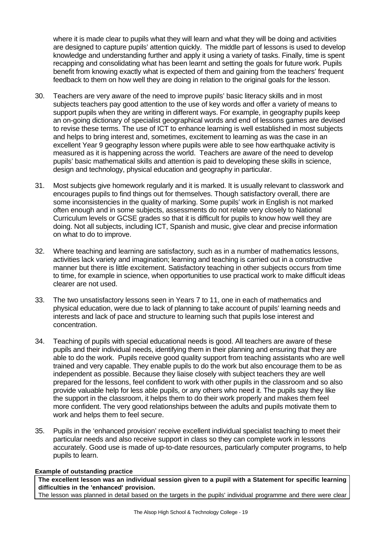where it is made clear to pupils what they will learn and what they will be doing and activities are designed to capture pupils' attention quickly. The middle part of lessons is used to develop knowledge and understanding further and apply it using a variety of tasks. Finally, time is spent recapping and consolidating what has been learnt and setting the goals for future work. Pupils benefit from knowing exactly what is expected of them and gaining from the teachers' frequent feedback to them on how well they are doing in relation to the original goals for the lesson.

- 30. Teachers are very aware of the need to improve pupils' basic literacy skills and in most subjects teachers pay good attention to the use of key words and offer a variety of means to support pupils when they are writing in different ways. For example, in geography pupils keep an on-going dictionary of specialist geographical words and end of lessons games are devised to revise these terms. The use of ICT to enhance learning is well established in most subjects and helps to bring interest and, sometimes, excitement to learning as was the case in an excellent Year 9 geography lesson where pupils were able to see how earthquake activity is measured as it is happening across the world. Teachers are aware of the need to develop pupils' basic mathematical skills and attention is paid to developing these skills in science, design and technology, physical education and geography in particular.
- 31. Most subjects give homework regularly and it is marked. It is usually relevant to classwork and encourages pupils to find things out for themselves. Though satisfactory overall, there are some inconsistencies in the quality of marking. Some pupils' work in English is not marked often enough and in some subjects, assessments do not relate very closely to National Curriculum levels or GCSE grades so that it is difficult for pupils to know how well they are doing. Not all subjects, including ICT, Spanish and music, give clear and precise information on what to do to improve.
- 32. Where teaching and learning are satisfactory, such as in a number of mathematics lessons, activities lack variety and imagination; learning and teaching is carried out in a constructive manner but there is little excitement. Satisfactory teaching in other subjects occurs from time to time, for example in science, when opportunities to use practical work to make difficult ideas clearer are not used.
- 33. The two unsatisfactory lessons seen in Years 7 to 11, one in each of mathematics and physical education, were due to lack of planning to take account of pupils' learning needs and interests and lack of pace and structure to learning such that pupils lose interest and concentration.
- 34. Teaching of pupils with special educational needs is good. All teachers are aware of these pupils and their individual needs, identifying them in their planning and ensuring that they are able to do the work. Pupils receive good quality support from teaching assistants who are well trained and very capable. They enable pupils to do the work but also encourage them to be as independent as possible. Because they liaise closely with subject teachers they are well prepared for the lessons, feel confident to work with other pupils in the classroom and so also provide valuable help for less able pupils, or any others who need it. The pupils say they like the support in the classroom, it helps them to do their work properly and makes them feel more confident. The very good relationships between the adults and pupils motivate them to work and helps them to feel secure.
- 35. Pupils in the 'enhanced provision' receive excellent individual specialist teaching to meet their particular needs and also receive support in class so they can complete work in lessons accurately. Good use is made of up-to-date resources, particularly computer programs, to help pupils to learn.

#### **Example of outstanding practice**

**The excellent lesson was an individual session given to a pupil with a Statement for specific learning difficulties in the 'enhanced' provision.**

The lesson was planned in detail based on the targets in the pupils' individual programme and there were clear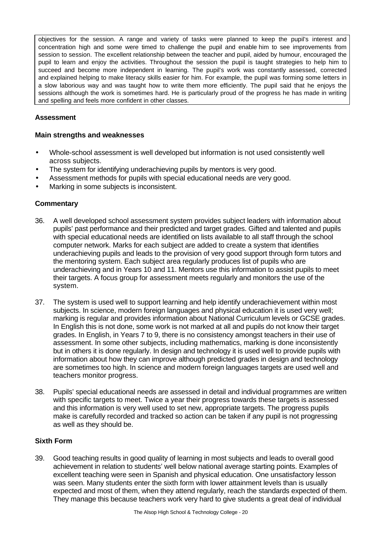objectives for the session. A range and variety of tasks were planned to keep the pupil's interest and concentration high and some were timed to challenge the pupil and enable him to see improvements from session to session. The excellent relationship between the teacher and pupil, aided by humour, encouraged the pupil to learn and enjoy the activities. Throughout the session the pupil is taught strategies to help him to succeed and become more independent in learning. The pupil's work was constantly assessed, corrected and explained helping to make literacy skills easier for him. For example, the pupil was forming some letters in a slow laborious way and was taught how to write them more efficiently. The pupil said that he enjoys the sessions although the work is sometimes hard. He is particularly proud of the progress he has made in writing and spelling and feels more confident in other classes.

### **Assessment**

#### **Main strengths and weaknesses**

- Whole-school assessment is well developed but information is not used consistently well across subjects.
- The system for identifying underachieving pupils by mentors is very good.
- Assessment methods for pupils with special educational needs are very good.
- Marking in some subjects is inconsistent.

#### **Commentary**

- 36. A well developed school assessment system provides subject leaders with information about pupils' past performance and their predicted and target grades. Gifted and talented and pupils with special educational needs are identified on lists available to all staff through the school computer network. Marks for each subject are added to create a system that identifies underachieving pupils and leads to the provision of very good support through form tutors and the mentoring system. Each subject area regularly produces list of pupils who are underachieving and in Years 10 and 11. Mentors use this information to assist pupils to meet their targets. A focus group for assessment meets regularly and monitors the use of the system.
- 37. The system is used well to support learning and help identify underachievement within most subjects. In science, modern foreign languages and physical education it is used very well; marking is regular and provides information about National Curriculum levels or GCSE grades. In English this is not done, some work is not marked at all and pupils do not know their target grades. In English, in Years 7 to 9, there is no consistency amongst teachers in their use of assessment. In some other subjects, including mathematics, marking is done inconsistently but in others it is done regularly. In design and technology it is used well to provide pupils with information about how they can improve although predicted grades in design and technology are sometimes too high. In science and modern foreign languages targets are used well and teachers monitor progress.
- 38. Pupils' special educational needs are assessed in detail and individual programmes are written with specific targets to meet. Twice a year their progress towards these targets is assessed and this information is very well used to set new, appropriate targets. The progress pupils make is carefully recorded and tracked so action can be taken if any pupil is not progressing as well as they should be.

#### **Sixth Form**

39. Good teaching results in good quality of learning in most subjects and leads to overall good achievement in relation to students' well below national average starting points. Examples of excellent teaching were seen in Spanish and physical education. One unsatisfactory lesson was seen. Many students enter the sixth form with lower attainment levels than is usually expected and most of them, when they attend regularly, reach the standards expected of them. They manage this because teachers work very hard to give students a great deal of individual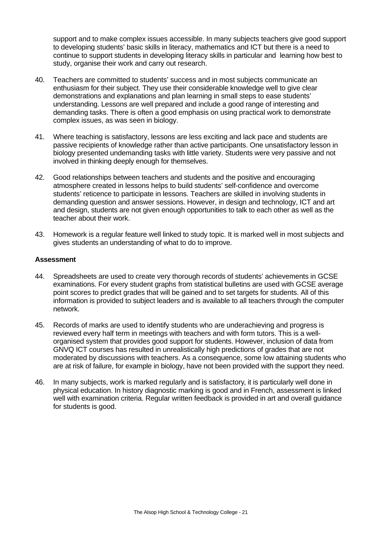support and to make complex issues accessible. In many subjects teachers give good support to developing students' basic skills in literacy, mathematics and ICT but there is a need to continue to support students in developing literacy skills in particular and learning how best to study, organise their work and carry out research.

- 40. Teachers are committed to students' success and in most subjects communicate an enthusiasm for their subject. They use their considerable knowledge well to give clear demonstrations and explanations and plan learning in small steps to ease students' understanding. Lessons are well prepared and include a good range of interesting and demanding tasks. There is often a good emphasis on using practical work to demonstrate complex issues, as was seen in biology.
- 41. Where teaching is satisfactory, lessons are less exciting and lack pace and students are passive recipients of knowledge rather than active participants. One unsatisfactory lesson in biology presented undemanding tasks with little variety. Students were very passive and not involved in thinking deeply enough for themselves.
- 42. Good relationships between teachers and students and the positive and encouraging atmosphere created in lessons helps to build students' self-confidence and overcome students' reticence to participate in lessons. Teachers are skilled in involving students in demanding question and answer sessions. However, in design and technology, ICT and art and design, students are not given enough opportunities to talk to each other as well as the teacher about their work.
- 43. Homework is a regular feature well linked to study topic. It is marked well in most subjects and gives students an understanding of what to do to improve.

#### **Assessment**

- 44. Spreadsheets are used to create very thorough records of students' achievements in GCSE examinations. For every student graphs from statistical bulletins are used with GCSE average point scores to predict grades that will be gained and to set targets for students. All of this information is provided to subject leaders and is available to all teachers through the computer network.
- 45. Records of marks are used to identify students who are underachieving and progress is reviewed every half term in meetings with teachers and with form tutors. This is a wellorganised system that provides good support for students. However, inclusion of data from GNVQ ICT courses has resulted in unrealistically high predictions of grades that are not moderated by discussions with teachers. As a consequence, some low attaining students who are at risk of failure, for example in biology, have not been provided with the support they need.
- 46. In many subjects, work is marked regularly and is satisfactory, it is particularly well done in physical education. In history diagnostic marking is good and in French, assessment is linked well with examination criteria. Regular written feedback is provided in art and overall guidance for students is good.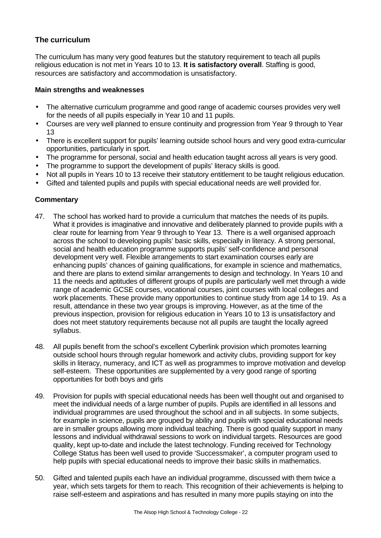## **The curriculum**

The curriculum has many very good features but the statutory requirement to teach all pupils religious education is not met in Years 10 to 13. **It is satisfactory overall**. Staffing is good, resources are satisfactory and accommodation is unsatisfactory.

#### **Main strengths and weaknesses**

- The alternative curriculum programme and good range of academic courses provides very well for the needs of all pupils especially in Year 10 and 11 pupils.
- Courses are very well planned to ensure continuity and progression from Year 9 through to Year 13
- There is excellent support for pupils' learning outside school hours and very good extra-curricular opportunities, particularly in sport.
- The programme for personal, social and health education taught across all years is very good.
- The programme to support the development of pupils' literacy skills is good.
- Not all pupils in Years 10 to 13 receive their statutory entitlement to be taught religious education.
- Gifted and talented pupils and pupils with special educational needs are well provided for.

#### **Commentary**

- 47. The school has worked hard to provide a curriculum that matches the needs of its pupils. What it provides is imaginative and innovative and deliberately planned to provide pupils with a clear route for learning from Year 9 through to Year 13. There is a well organised approach across the school to developing pupils' basic skills, especially in literacy. A strong personal, social and health education programme supports pupils' self-confidence and personal development very well. Flexible arrangements to start examination courses early are enhancing pupils' chances of gaining qualifications, for example in science and mathematics, and there are plans to extend similar arrangements to design and technology. In Years 10 and 11 the needs and aptitudes of different groups of pupils are particularly well met through a wide range of academic GCSE courses, vocational courses, joint courses with local colleges and work placements. These provide many opportunities to continue study from age 14 to 19. As a result, attendance in these two year groups is improving. However, as at the time of the previous inspection, provision for religious education in Years 10 to 13 is unsatisfactory and does not meet statutory requirements because not all pupils are taught the locally agreed syllabus.
- 48. All pupils benefit from the school's excellent Cyberlink provision which promotes learning outside school hours through regular homework and activity clubs, providing support for key skills in literacy, numeracy, and ICT as well as programmes to improve motivation and develop self-esteem. These opportunities are supplemented by a very good range of sporting opportunities for both boys and girls
- 49. Provision for pupils with special educational needs has been well thought out and organised to meet the individual needs of a large number of pupils. Pupils are identified in all lessons and individual programmes are used throughout the school and in all subjects. In some subjects, for example in science, pupils are grouped by ability and pupils with special educational needs are in smaller groups allowing more individual teaching. There is good quality support in many lessons and individual withdrawal sessions to work on individual targets. Resources are good quality, kept up-to-date and include the latest technology. Funding received for Technology College Status has been well used to provide 'Successmaker', a computer program used to help pupils with special educational needs to improve their basic skills in mathematics.
- 50. Gifted and talented pupils each have an individual programme, discussed with them twice a year, which sets targets for them to reach. This recognition of their achievements is helping to raise self-esteem and aspirations and has resulted in many more pupils staying on into the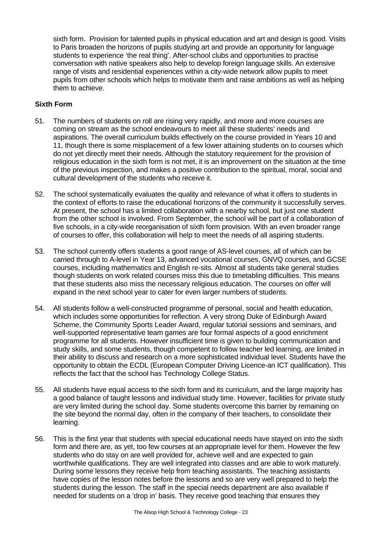sixth form. Provision for talented pupils in physical education and art and design is good. Visits to Paris broaden the horizons of pupils studying art and provide an opportunity for language students to experience 'the real thing'. After-school clubs and opportunities to practise conversation with native speakers also help to develop foreign language skills. An extensive range of visits and residential experiences within a city-wide network allow pupils to meet pupils from other schools which helps to motivate them and raise ambitions as well as helping them to achieve.

#### **Sixth Form**

- 51. The numbers of students on roll are rising very rapidly, and more and more courses are coming on stream as the school endeavours to meet all these students' needs and aspirations. The overall curriculum builds effectively on the course provided in Years 10 and 11, though there is some misplacement of a few lower attaining students on to courses which do not yet directly meet their needs. Although the statutory requirement for the provision of religious education in the sixth form is not met, it is an improvement on the situation at the time of the previous inspection, and makes a positive contribution to the spiritual, moral, social and cultural development of the students who receive it.
- 52. The school systematically evaluates the quality and relevance of what it offers to students in the context of efforts to raise the educational horizons of the community it successfully serves. At present, the school has a limited collaboration with a nearby school, but just one student from the other school is involved. From September, the school will be part of a collaboration of five schools, in a city-wide reorganisation of sixth form provision. With an even broader range of courses to offer, this collaboration will help to meet the needs of all aspiring students.
- 53. The school currently offers students a good range of AS-level courses, all of which can be carried through to A-level in Year 13, advanced vocational courses, GNVQ courses, and GCSE courses, including mathematics and English re-sits. Almost all students take general studies though students on work related courses miss this due to timetabling difficulties. This means that these students also miss the necessary religious education. The courses on offer will expand in the next school year to cater for even larger numbers of students.
- 54. All students follow a well-constructed programme of personal, social and health education, which includes some opportunities for reflection. A very strong Duke of Edinburgh Award Scheme, the Community Sports Leader Award, regular tutorial sessions and seminars, and well-supported representative team games are four formal aspects of a good enrichment programme for all students. However insufficient time is given to building communication and study skills, and some students, though competent to follow teacher led learning, are limited in their ability to discuss and research on a more sophisticated individual level. Students have the opportunity to obtain the ECDL (European Computer Driving Licence-an ICT qualification). This reflects the fact that the school has Technology College Status.
- 55. All students have equal access to the sixth form and its curriculum, and the large majority has a good balance of taught lessons and individual study time. However, facilities for private study are very limited during the school day. Some students overcome this barrier by remaining on the site beyond the normal day, often in the company of their teachers, to consolidate their learning.
- 56. This is the first year that students with special educational needs have stayed on into the sixth form and there are, as yet, too few courses at an appropriate level for them. However the few students who do stay on are well provided for, achieve well and are expected to gain worthwhile qualifications. They are well integrated into classes and are able to work maturely. During some lessons they receive help from teaching assistants. The teaching assistants have copies of the lesson notes before the lessons and so are very well prepared to help the students during the lesson. The staff in the special needs department are also available if needed for students on a 'drop in' basis. They receive good teaching that ensures they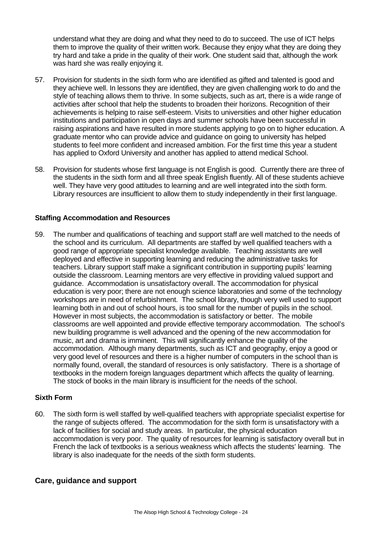understand what they are doing and what they need to do to succeed. The use of ICT helps them to improve the quality of their written work. Because they enjoy what they are doing they try hard and take a pride in the quality of their work. One student said that, although the work was hard she was really enjoying it.

- 57. Provision for students in the sixth form who are identified as gifted and talented is good and they achieve well. In lessons they are identified, they are given challenging work to do and the style of teaching allows them to thrive. In some subjects, such as art, there is a wide range of activities after school that help the students to broaden their horizons. Recognition of their achievements is helping to raise self-esteem. Visits to universities and other higher education institutions and participation in open days and summer schools have been successful in raising aspirations and have resulted in more students applying to go on to higher education. A graduate mentor who can provide advice and guidance on going to university has helped students to feel more confident and increased ambition. For the first time this year a student has applied to Oxford University and another has applied to attend medical School.
- 58. Provision for students whose first language is not English is good. Currently there are three of the students in the sixth form and all three speak English fluently. All of these students achieve well. They have very good attitudes to learning and are well integrated into the sixth form. Library resources are insufficient to allow them to study independently in their first language.

#### **Staffing Accommodation and Resources**

59. The number and qualifications of teaching and support staff are well matched to the needs of the school and its curriculum. All departments are staffed by well qualified teachers with a good range of appropriate specialist knowledge available. Teaching assistants are well deployed and effective in supporting learning and reducing the administrative tasks for teachers. Library support staff make a significant contribution in supporting pupils' learning outside the classroom. Learning mentors are very effective in providing valued support and guidance. Accommodation is unsatisfactory overall. The accommodation for physical education is very poor; there are not enough science laboratories and some of the technology workshops are in need of refurbishment. The school library, though very well used to support learning both in and out of school hours, is too small for the number of pupils in the school. However in most subjects, the accommodation is satisfactory or better. The mobile classrooms are well appointed and provide effective temporary accommodation. The school's new building programme is well advanced and the opening of the new accommodation for music, art and drama is imminent. This will significantly enhance the quality of the accommodation. Although many departments, such as ICT and geography, enjoy a good or very good level of resources and there is a higher number of computers in the school than is normally found, overall, the standard of resources is only satisfactory. There is a shortage of textbooks in the modern foreign languages department which affects the quality of learning. The stock of books in the main library is insufficient for the needs of the school.

#### **Sixth Form**

60. The sixth form is well staffed by well-qualified teachers with appropriate specialist expertise for the range of subjects offered. The accommodation for the sixth form is unsatisfactory with a lack of facilities for social and study areas. In particular, the physical education accommodation is very poor. The quality of resources for learning is satisfactory overall but in French the lack of textbooks is a serious weakness which affects the students' learning. The library is also inadequate for the needs of the sixth form students.

#### **Care, guidance and support**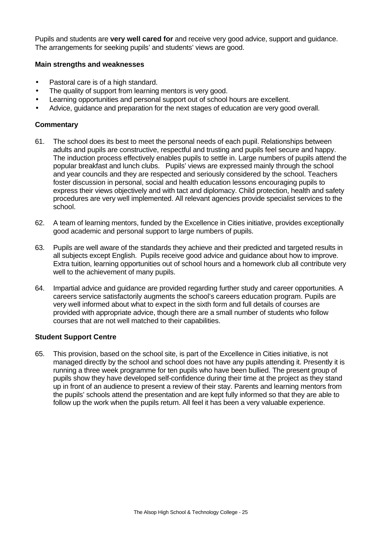Pupils and students are **very well cared for** and receive very good advice, support and guidance. The arrangements for seeking pupils' and students' views are good.

#### **Main strengths and weaknesses**

- Pastoral care is of a high standard.
- The quality of support from learning mentors is very good.
- Learning opportunities and personal support out of school hours are excellent.
- Advice, guidance and preparation for the next stages of education are very good overall.

#### **Commentary**

- 61. The school does its best to meet the personal needs of each pupil. Relationships between adults and pupils are constructive, respectful and trusting and pupils feel secure and happy. The induction process effectively enables pupils to settle in. Large numbers of pupils attend the popular breakfast and lunch clubs. Pupils' views are expressed mainly through the school and year councils and they are respected and seriously considered by the school. Teachers foster discussion in personal, social and health education lessons encouraging pupils to express their views objectively and with tact and diplomacy. Child protection, health and safety procedures are very well implemented. All relevant agencies provide specialist services to the school.
- 62. A team of learning mentors, funded by the Excellence in Cities initiative, provides exceptionally good academic and personal support to large numbers of pupils.
- 63. Pupils are well aware of the standards they achieve and their predicted and targeted results in all subjects except English. Pupils receive good advice and guidance about how to improve. Extra tuition, learning opportunities out of school hours and a homework club all contribute very well to the achievement of many pupils.
- 64. Impartial advice and guidance are provided regarding further study and career opportunities. A careers service satisfactorily augments the school's careers education program. Pupils are very well informed about what to expect in the sixth form and full details of courses are provided with appropriate advice, though there are a small number of students who follow courses that are not well matched to their capabilities.

#### **Student Support Centre**

65. This provision, based on the school site, is part of the Excellence in Cities initiative, is not managed directly by the school and school does not have any pupils attending it. Presently it is running a three week programme for ten pupils who have been bullied. The present group of pupils show they have developed self-confidence during their time at the project as they stand up in front of an audience to present a review of their stay. Parents and learning mentors from the pupils' schools attend the presentation and are kept fully informed so that they are able to follow up the work when the pupils return. All feel it has been a very valuable experience.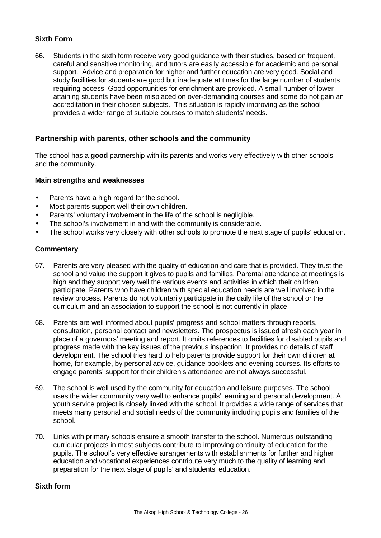#### **Sixth Form**

66. Students in the sixth form receive very good guidance with their studies, based on frequent, careful and sensitive monitoring, and tutors are easily accessible for academic and personal support. Advice and preparation for higher and further education are very good. Social and study facilities for students are good but inadequate at times for the large number of students requiring access. Good opportunities for enrichment are provided. A small number of lower attaining students have been misplaced on over-demanding courses and some do not gain an accreditation in their chosen subjects. This situation is rapidly improving as the school provides a wider range of suitable courses to match students' needs.

### **Partnership with parents, other schools and the community**

The school has a **good** partnership with its parents and works very effectively with other schools and the community.

#### **Main strengths and weaknesses**

- Parents have a high regard for the school.
- Most parents support well their own children.
- Parents' voluntary involvement in the life of the school is negligible.
- The school's involvement in and with the community is considerable.
- The school works very closely with other schools to promote the next stage of pupils' education.

#### **Commentary**

- 67. Parents are very pleased with the quality of education and care that is provided. They trust the school and value the support it gives to pupils and families. Parental attendance at meetings is high and they support very well the various events and activities in which their children participate. Parents who have children with special education needs are well involved in the review process. Parents do not voluntarily participate in the daily life of the school or the curriculum and an association to support the school is not currently in place.
- 68. Parents are well informed about pupils' progress and school matters through reports, consultation, personal contact and newsletters. The prospectus is issued afresh each year in place of a governors' meeting and report. It omits references to facilities for disabled pupils and progress made with the key issues of the previous inspection. It provides no details of staff development. The school tries hard to help parents provide support for their own children at home, for example, by personal advice, guidance booklets and evening courses. Its efforts to engage parents' support for their children's attendance are not always successful.
- 69. The school is well used by the community for education and leisure purposes. The school uses the wider community very well to enhance pupils' learning and personal development. A youth service project is closely linked with the school. It provides a wide range of services that meets many personal and social needs of the community including pupils and families of the school.
- 70. Links with primary schools ensure a smooth transfer to the school. Numerous outstanding curricular projects in most subjects contribute to improving continuity of education for the pupils. The school's very effective arrangements with establishments for further and higher education and vocational experiences contribute very much to the quality of learning and preparation for the next stage of pupils' and students' education.

#### **Sixth form**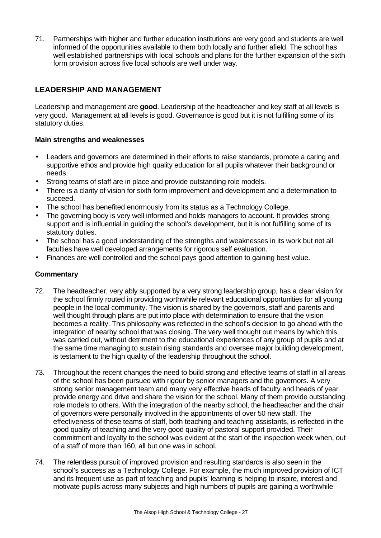71. Partnerships with higher and further education institutions are very good and students are well informed of the opportunities available to them both locally and further afield. The school has well established partnerships with local schools and plans for the further expansion of the sixth form provision across five local schools are well under way.

## **LEADERSHIP AND MANAGEMENT**

Leadership and management are **good**. Leadership of the headteacher and key staff at all levels is very good. Management at all levels is good. Governance is good but it is not fulfilling some of its statutory duties.

#### **Main strengths and weaknesses**

- Leaders and governors are determined in their efforts to raise standards, promote a caring and supportive ethos and provide high quality education for all pupils whatever their background or needs.
- Strong teams of staff are in place and provide outstanding role models.
- There is a clarity of vision for sixth form improvement and development and a determination to succeed.
- The school has benefited enormously from its status as a Technology College.
- The governing body is very well informed and holds managers to account. It provides strong support and is influential in guiding the school's development, but it is not fulfilling some of its statutory duties.
- The school has a good understanding of the strengths and weaknesses in its work but not all faculties have well developed arrangements for rigorous self evaluation.
- Finances are well controlled and the school pays good attention to gaining best value.

### **Commentary**

- 72. The headteacher, very ably supported by a very strong leadership group, has a clear vision for the school firmly routed in providing worthwhile relevant educational opportunities for all young people in the local community. The vision is shared by the governors, staff and parents and well thought through plans are put into place with determination to ensure that the vision becomes a reality. This philosophy was reflected in the school's decision to go ahead with the integration of nearby school that was closing. The very well thought out means by which this was carried out, without detriment to the educational experiences of any group of pupils and at the same time managing to sustain rising standards and oversee major building development, is testament to the high quality of the leadership throughout the school.
- 73. Throughout the recent changes the need to build strong and effective teams of staff in all areas of the school has been pursued with rigour by senior managers and the governors. A very strong senior management team and many very effective heads of faculty and heads of year provide energy and drive and share the vision for the school. Many of them provide outstanding role models to others. With the integration of the nearby school, the headteacher and the chair of governors were personally involved in the appointments of over 50 new staff. The effectiveness of these teams of staff, both teaching and teaching assistants, is reflected in the good quality of teaching and the very good quality of pastoral support provided. Their commitment and loyalty to the school was evident at the start of the inspection week when, out of a staff of more than 160, all but one was in school.
- 74. The relentless pursuit of improved provision and resulting standards is also seen in the school's success as a Technology College. For example, the much improved provision of ICT and its frequent use as part of teaching and pupils' learning is helping to inspire, interest and motivate pupils across many subjects and high numbers of pupils are gaining a worthwhile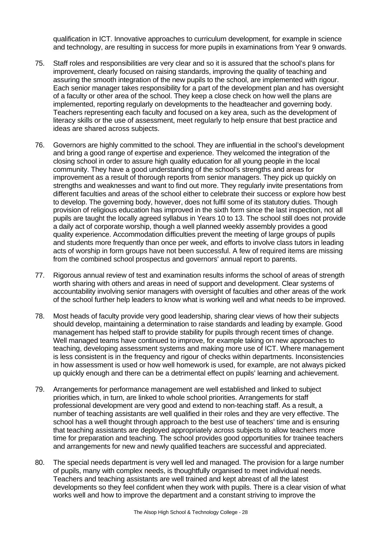qualification in ICT. Innovative approaches to curriculum development, for example in science and technology, are resulting in success for more pupils in examinations from Year 9 onwards.

- 75. Staff roles and responsibilities are very clear and so it is assured that the school's plans for improvement, clearly focused on raising standards, improving the quality of teaching and assuring the smooth integration of the new pupils to the school, are implemented with rigour. Each senior manager takes responsibility for a part of the development plan and has oversight of a faculty or other area of the school. They keep a close check on how well the plans are implemented, reporting regularly on developments to the headteacher and governing body. Teachers representing each faculty and focused on a key area, such as the development of literacy skills or the use of assessment, meet regularly to help ensure that best practice and ideas are shared across subjects.
- 76. Governors are highly committed to the school. They are influential in the school's development and bring a good range of expertise and experience. They welcomed the integration of the closing school in order to assure high quality education for all young people in the local community. They have a good understanding of the school's strengths and areas for improvement as a result of thorough reports from senior managers. They pick up quickly on strengths and weaknesses and want to find out more. They regularly invite presentations from different faculties and areas of the school either to celebrate their success or explore how best to develop. The governing body, however, does not fulfil some of its statutory duties. Though provision of religious education has improved in the sixth form since the last inspection, not all pupils are taught the locally agreed syllabus in Years 10 to 13. The school still does not provide a daily act of corporate worship, though a well planned weekly assembly provides a good quality experience. Accommodation difficulties prevent the meeting of large groups of pupils and students more frequently than once per week, and efforts to involve class tutors in leading acts of worship in form groups have not been successful. A few of required items are missing from the combined school prospectus and governors' annual report to parents.
- 77. Rigorous annual review of test and examination results informs the school of areas of strength worth sharing with others and areas in need of support and development. Clear systems of accountability involving senior managers with oversight of faculties and other areas of the work of the school further help leaders to know what is working well and what needs to be improved.
- 78. Most heads of faculty provide very good leadership, sharing clear views of how their subjects should develop, maintaining a determination to raise standards and leading by example. Good management has helped staff to provide stability for pupils through recent times of change. Well managed teams have continued to improve, for example taking on new approaches to teaching, developing assessment systems and making more use of ICT. Where management is less consistent is in the frequency and rigour of checks within departments. Inconsistencies in how assessment is used or how well homework is used, for example, are not always picked up quickly enough and there can be a detrimental effect on pupils' learning and achievement.
- 79. Arrangements for performance management are well established and linked to subject priorities which, in turn, are linked to whole school priorities. Arrangements for staff professional development are very good and extend to non-teaching staff. As a result, a number of teaching assistants are well qualified in their roles and they are very effective. The school has a well thought through approach to the best use of teachers' time and is ensuring that teaching assistants are deployed appropriately across subjects to allow teachers more time for preparation and teaching. The school provides good opportunities for trainee teachers and arrangements for new and newly qualified teachers are successful and appreciated.
- 80. The special needs department is very well led and managed. The provision for a large number of pupils, many with complex needs, is thoughtfully organised to meet individual needs. Teachers and teaching assistants are well trained and kept abreast of all the latest developments so they feel confident when they work with pupils. There is a clear vision of what works well and how to improve the department and a constant striving to improve the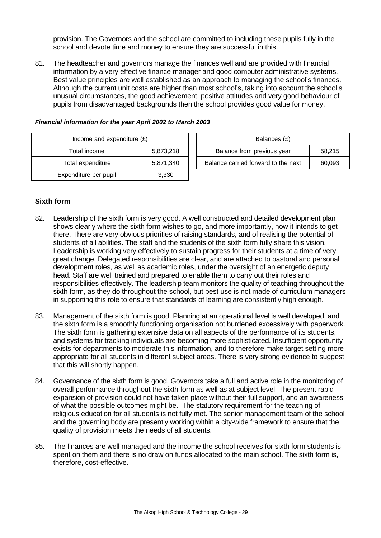provision. The Governors and the school are committed to including these pupils fully in the school and devote time and money to ensure they are successful in this.

81. The headteacher and governors manage the finances well and are provided with financial information by a very effective finance manager and good computer administrative systems. Best value principles are well established as an approach to managing the school's finances. Although the current unit costs are higher than most school's, taking into account the school's unusual circumstances, the good achievement, positive attitudes and very good behaviour of pupils from disadvantaged backgrounds then the school provides good value for money.

| Income and expenditure $(E)$ |           | Balances (£)                                  |  |  |
|------------------------------|-----------|-----------------------------------------------|--|--|
| Total income                 | 5,873,218 | Balance from previous year<br>58,215          |  |  |
| Total expenditure            | 5,871,340 | Balance carried forward to the next<br>60,093 |  |  |
| Expenditure per pupil        | 3,330     |                                               |  |  |

#### *Financial information for the year April 2002 to March 2003*

#### **Sixth form**

- 82. Leadership of the sixth form is very good. A well constructed and detailed development plan shows clearly where the sixth form wishes to go, and more importantly, how it intends to get there. There are very obvious priorities of raising standards, and of realising the potential of students of all abilities. The staff and the students of the sixth form fully share this vision. Leadership is working very effectively to sustain progress for their students at a time of very great change. Delegated responsibilities are clear, and are attached to pastoral and personal development roles, as well as academic roles, under the oversight of an energetic deputy head. Staff are well trained and prepared to enable them to carry out their roles and responsibilities effectively. The leadership team monitors the quality of teaching throughout the sixth form, as they do throughout the school, but best use is not made of curriculum managers in supporting this role to ensure that standards of learning are consistently high enough.
- 83. Management of the sixth form is good. Planning at an operational level is well developed, and the sixth form is a smoothly functioning organisation not burdened excessively with paperwork. The sixth form is gathering extensive data on all aspects of the performance of its students, and systems for tracking individuals are becoming more sophisticated. Insufficient opportunity exists for departments to moderate this information, and to therefore make target setting more appropriate for all students in different subject areas. There is very strong evidence to suggest that this will shortly happen.
- 84. Governance of the sixth form is good. Governors take a full and active role in the monitoring of overall performance throughout the sixth form as well as at subject level. The present rapid expansion of provision could not have taken place without their full support, and an awareness of what the possible outcomes might be. The statutory requirement for the teaching of religious education for all students is not fully met. The senior management team of the school and the governing body are presently working within a city-wide framework to ensure that the quality of provision meets the needs of all students.
- 85. The finances are well managed and the income the school receives for sixth form students is spent on them and there is no draw on funds allocated to the main school. The sixth form is, therefore, cost-effective.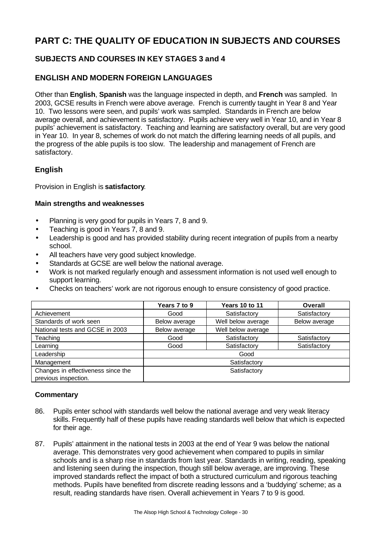# **PART C: THE QUALITY OF EDUCATION IN SUBJECTS AND COURSES**

## **SUBJECTS AND COURSES IN KEY STAGES 3 and 4**

## **ENGLISH AND MODERN FOREIGN LANGUAGES**

Other than **English**, **Spanish** was the language inspected in depth, and **French** was sampled. In 2003, GCSE results in French were above average. French is currently taught in Year 8 and Year 10. Two lessons were seen, and pupils' work was sampled. Standards in French are below average overall, and achievement is satisfactory. Pupils achieve very well in Year 10, and in Year 8 pupils' achievement is satisfactory. Teaching and learning are satisfactory overall, but are very good in Year 10. In year 8, schemes of work do not match the differing learning needs of all pupils, and the progress of the able pupils is too slow. The leadership and management of French are satisfactory.

## **English**

Provision in English is **satisfactory**.

#### **Main strengths and weaknesses**

- Planning is very good for pupils in Years 7, 8 and 9.
- Teaching is good in Years 7, 8 and 9.
- Leadership is good and has provided stability during recent integration of pupils from a nearby school.
- All teachers have very good subject knowledge.
- Standards at GCSE are well below the national average.
- Work is not marked regularly enough and assessment information is not used well enough to support learning.
- Checks on teachers' work are not rigorous enough to ensure consistency of good practice.

|                                    | Years 7 to 9  | <b>Years 10 to 11</b> | <b>Overall</b> |  |
|------------------------------------|---------------|-----------------------|----------------|--|
| Achievement                        | Good          | Satisfactory          | Satisfactory   |  |
| Standards of work seen             | Below average | Well below average    | Below average  |  |
| National tests and GCSE in 2003    | Below average | Well below average    |                |  |
| Teaching                           | Good          | Satisfactory          | Satisfactory   |  |
| Learning                           | Good          | Satisfactory          | Satisfactory   |  |
| Leadership                         | Good          |                       |                |  |
| Management                         | Satisfactory  |                       |                |  |
| Changes in effectiveness since the | Satisfactory  |                       |                |  |
| previous inspection.               |               |                       |                |  |

### **Commentary**

- 86. Pupils enter school with standards well below the national average and very weak literacy skills. Frequently half of these pupils have reading standards well below that which is expected for their age.
- 87. Pupils' attainment in the national tests in 2003 at the end of Year 9 was below the national average. This demonstrates very good achievement when compared to pupils in similar schools and is a sharp rise in standards from last year. Standards in writing, reading, speaking and listening seen during the inspection, though still below average, are improving. These improved standards reflect the impact of both a structured curriculum and rigorous teaching methods. Pupils have benefited from discrete reading lessons and a 'buddying' scheme; as a result, reading standards have risen. Overall achievement in Years 7 to 9 is good.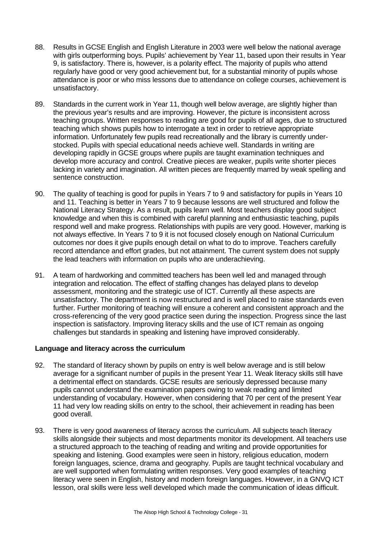- 88. Results in GCSE English and English Literature in 2003 were well below the national average with girls outperforming boys. Pupils' achievement by Year 11, based upon their results in Year 9, is satisfactory. There is, however, is a polarity effect. The majority of pupils who attend regularly have good or very good achievement but, for a substantial minority of pupils whose attendance is poor or who miss lessons due to attendance on college courses, achievement is unsatisfactory.
- 89. Standards in the current work in Year 11, though well below average, are slightly higher than the previous year's results and are improving. However, the picture is inconsistent across teaching groups. Written responses to reading are good for pupils of all ages, due to structured teaching which shows pupils how to interrogate a text in order to retrieve appropriate information. Unfortunately few pupils read recreationally and the library is currently understocked. Pupils with special educational needs achieve well. Standards in writing are developing rapidly in GCSE groups where pupils are taught examination techniques and develop more accuracy and control. Creative pieces are weaker, pupils write shorter pieces lacking in variety and imagination. All written pieces are frequently marred by weak spelling and sentence construction.
- 90. The quality of teaching is good for pupils in Years 7 to 9 and satisfactory for pupils in Years 10 and 11. Teaching is better in Years 7 to 9 because lessons are well structured and follow the National Literacy Strategy. As a result, pupils learn well. Most teachers display good subject knowledge and when this is combined with careful planning and enthusiastic teaching, pupils respond well and make progress. Relationships with pupils are very good. However, marking is not always effective. In Years 7 to 9 it is not focused closely enough on National Curriculum outcomes nor does it give pupils enough detail on what to do to improve. Teachers carefully record attendance and effort grades, but not attainment. The current system does not supply the lead teachers with information on pupils who are underachieving.
- 91. A team of hardworking and committed teachers has been well led and managed through integration and relocation. The effect of staffing changes has delayed plans to develop assessment, monitoring and the strategic use of ICT. Currently all these aspects are unsatisfactory. The department is now restructured and is well placed to raise standards even further. Further monitoring of teaching will ensure a coherent and consistent approach and the cross-referencing of the very good practice seen during the inspection. Progress since the last inspection is satisfactory. Improving literacy skills and the use of ICT remain as ongoing challenges but standards in speaking and listening have improved considerably.

#### **Language and literacy across the curriculum**

- 92. The standard of literacy shown by pupils on entry is well below average and is still below average for a significant number of pupils in the present Year 11. Weak literacy skills still have a detrimental effect on standards. GCSE results are seriously depressed because many pupils cannot understand the examination papers owing to weak reading and limited understanding of vocabulary. However, when considering that 70 per cent of the present Year 11 had very low reading skills on entry to the school, their achievement in reading has been good overall.
- 93. There is very good awareness of literacy across the curriculum. All subjects teach literacy skills alongside their subjects and most departments monitor its development. All teachers use a structured approach to the teaching of reading and writing and provide opportunities for speaking and listening. Good examples were seen in history, religious education, modern foreign languages, science, drama and geography. Pupils are taught technical vocabulary and are well supported when formulating written responses. Very good examples of teaching literacy were seen in English, history and modern foreign languages. However, in a GNVQ ICT lesson, oral skills were less well developed which made the communication of ideas difficult.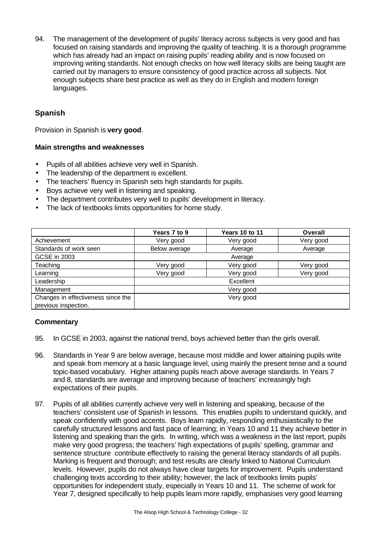94. The management of the development of pupils' literacy across subjects is very good and has focused on raising standards and improving the quality of teaching. It is a thorough programme which has already had an impact on raising pupils' reading ability and is now focused on improving writing standards. Not enough checks on how well literacy skills are being taught are carried out by managers to ensure consistency of good practice across all subjects. Not enough subjects share best practice as well as they do in English and modern foreign languages.

## **Spanish**

Provision in Spanish is **very good**.

#### **Main strengths and weaknesses**

- Pupils of all abilities achieve very well in Spanish.
- The leadership of the department is excellent.
- The teachers' fluency in Spanish sets high standards for pupils.
- Boys achieve very well in listening and speaking.
- The department contributes very well to pupils' development in literacy.
- The lack of textbooks limits opportunities for home study.

|                                    | Years 7 to 9  | Years 10 to 11 | Overall   |
|------------------------------------|---------------|----------------|-----------|
| Achievement                        | Very good     | Very good      | Very good |
| Standards of work seen             | Below average | Average        | Average   |
| GCSE in 2003                       | Average       |                |           |
| Teaching                           | Very good     | Very good      | Very good |
| Learning                           | Very good     | Very good      | Very good |
| Leadership                         | Excellent     |                |           |
| Management                         | Very good     |                |           |
| Changes in effectiveness since the | Very good     |                |           |
| previous inspection.               |               |                |           |

#### **Commentary**

- 95. In GCSE in 2003, against the national trend, boys achieved better than the girls overall.
- 96. Standards in Year 9 are below average, because most middle and lower attaining pupils write and speak from memory at a basic language level, using mainly the present tense and a sound topic-based vocabulary. Higher attaining pupils reach above average standards. In Years 7 and 8, standards are average and improving because of teachers' increasingly high expectations of their pupils.
- 97. Pupils of all abilities currently achieve very well in listening and speaking, because of the teachers' consistent use of Spanish in lessons. This enables pupils to understand quickly, and speak confidently with good accents. Boys learn rapidly, responding enthusiastically to the carefully structured lessons and fast pace of learning; in Years 10 and 11 they achieve better in listening and speaking than the girls. In writing, which was a weakness in the last report, pupils make very good progress; the teachers' high expectations of pupils' spelling, grammar and sentence structure contribute effectively to raising the general literacy standards of all pupils. Marking is frequent and thorough; and test results are clearly linked to National Curriculum levels. However, pupils do not always have clear targets for improvement. Pupils understand challenging texts according to their ability; however, the lack of textbooks limits pupils' opportunities for independent study, especially in Years 10 and 11. The scheme of work for Year 7, designed specifically to help pupils learn more rapidly, emphasises very good learning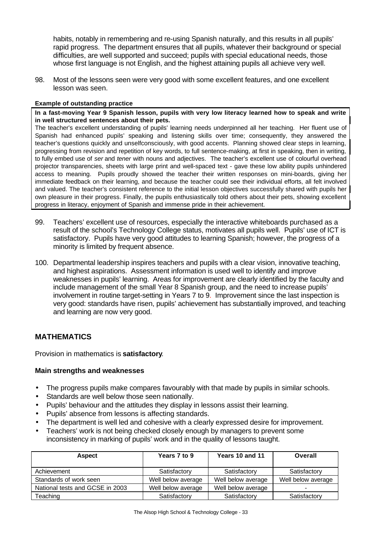habits, notably in remembering and re-using Spanish naturally, and this results in all pupils' rapid progress. The department ensures that all pupils, whatever their background or special difficulties, are well supported and succeed; pupils with special educational needs, those whose first language is not English, and the highest attaining pupils all achieve very well.

98. Most of the lessons seen were very good with some excellent features, and one excellent lesson was seen.

#### **Example of outstanding practice**

**In a fast-moving Year 9 Spanish lesson, pupils with very low literacy learned how to speak and write in well structured sentences about their pets.**

The teacher's excellent understanding of pupils' learning needs underpinned all her teaching. Her fluent use of Spanish had enhanced pupils' speaking and listening skills over time; consequently, they answered the teacher's questions quickly and unselfconsciously, with good accents. Planning showed clear steps in learning, progressing from revision and repetition of key words, to full sentence-making, at first in speaking, then in writing, to fully embed use of *ser* and *tener* with nouns and adjectives. The teacher's excellent use of colourful overhead projector transparencies, sheets with large print and well-spaced text - gave these low ability pupils unhindered access to meaning. Pupils proudly showed the teacher their written responses on mini-boards, giving her immediate feedback on their learning, and because the teacher could see their individual efforts, all felt involved and valued. The teacher's consistent reference to the initial lesson objectives successfully shared with pupils her own pleasure in their progress. Finally, the pupils enthusiastically told others about their pets, showing excellent progress in literacy, enjoyment of Spanish and immense pride in their achievement.

- 99. Teachers' excellent use of resources, especially the interactive whiteboards purchased as a result of the school's Technology College status, motivates all pupils well.Pupils' use of ICT is satisfactory. Pupils have very good attitudes to learning Spanish; however, the progress of a minority is limited by frequent absence.
- 100. Departmental leadership inspires teachers and pupils with a clear vision, innovative teaching, and highest aspirations. Assessment information is used well to identify and improve weaknesses in pupils' learning. Areas for improvement are clearly identified by the faculty and include management of the small Year 8 Spanish group, and the need to increase pupils' involvement in routine target-setting in Years 7 to 9. Improvement since the last inspection is very good: standards have risen, pupils' achievement has substantially improved, and teaching and learning are now very good.

### **MATHEMATICS**

Provision in mathematics is **satisfactory**.

#### **Main strengths and weaknesses**

- The progress pupils make compares favourably with that made by pupils in similar schools.
- Standards are well below those seen nationally.
- Pupils' behaviour and the attitudes they display in lessons assist their learning.
- Pupils' absence from lessons is affecting standards.
- The department is well led and cohesive with a clearly expressed desire for improvement.
- Teachers' work is not being checked closely enough by managers to prevent some inconsistency in marking of pupils' work and in the quality of lessons taught.

| <b>Aspect</b>                   | Years 7 to 9       | Years 10 and 11    | Overall            |
|---------------------------------|--------------------|--------------------|--------------------|
| Achievement                     | Satisfactory       | Satisfactory       | Satisfactory       |
| Standards of work seen          | Well below average | Well below average | Well below average |
| National tests and GCSE in 2003 | Well below average | Well below average | -                  |
| Teaching                        | Satisfactory       | Satisfactory       | Satisfactory       |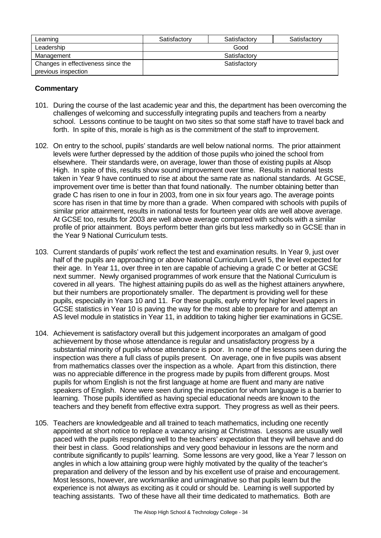| Learning                           | Satisfactory | Satisfactory | Satisfactory |
|------------------------------------|--------------|--------------|--------------|
| Leadership                         | Good         |              |              |
| Management                         | Satisfactory |              |              |
| Changes in effectiveness since the | Satisfactory |              |              |
| previous inspection                |              |              |              |

#### **Commentary**

- 101. During the course of the last academic year and this, the department has been overcoming the challenges of welcoming and successfully integrating pupils and teachers from a nearby school. Lessons continue to be taught on two sites so that some staff have to travel back and forth. In spite of this, morale is high as is the commitment of the staff to improvement.
- 102. On entry to the school, pupils' standards are well below national norms. The prior attainment levels were further depressed by the addition of those pupils who joined the school from elsewhere. Their standards were, on average, lower than those of existing pupils at Alsop High. In spite of this, results show sound improvement over time. Results in national tests taken in Year 9 have continued to rise at about the same rate as national standards. At GCSE, improvement over time is better than that found nationally. The number obtaining better than grade C has risen to one in four in 2003, from one in six four years ago. The average points score has risen in that time by more than a grade. When compared with schools with pupils of similar prior attainment, results in national tests for fourteen year olds are well above average. At GCSE too, results for 2003 are well above average compared with schools with a similar profile of prior attainment. Boys perform better than girls but less markedly so in GCSE than in the Year 9 National Curriculum tests.
- 103. Current standards of pupils' work reflect the test and examination results. In Year 9, just over half of the pupils are approaching or above National Curriculum Level 5, the level expected for their age. In Year 11, over three in ten are capable of achieving a grade C or better at GCSE next summer. Newly organised programmes of work ensure that the National Curriculum is covered in all years. The highest attaining pupils do as well as the highest attainers anywhere, but their numbers are proportionately smaller. The department is providing well for these pupils, especially in Years 10 and 11. For these pupils, early entry for higher level papers in GCSE statistics in Year 10 is paving the way for the most able to prepare for and attempt an AS level module in statistics in Year 11, in addition to taking higher tier examinations in GCSE.
- 104. Achievement is satisfactory overall but this judgement incorporates an amalgam of good achievement by those whose attendance is regular and unsatisfactory progress by a substantial minority of pupils whose attendance is poor. In none of the lessons seen during the inspection was there a full class of pupils present. On average, one in five pupils was absent from mathematics classes over the inspection as a whole. Apart from this distinction, there was no appreciable difference in the progress made by pupils from different groups. Most pupils for whom English is not the first language at home are fluent and many are native speakers of English. None were seen during the inspection for whom language is a barrier to learning. Those pupils identified as having special educational needs are known to the teachers and they benefit from effective extra support. They progress as well as their peers.
- 105. Teachers are knowledgeable and all trained to teach mathematics, including one recently appointed at short notice to replace a vacancy arising at Christmas. Lessons are usually well paced with the pupils responding well to the teachers' expectation that they will behave and do their best in class. Good relationships and very good behaviour in lessons are the norm and contribute significantly to pupils' learning. Some lessons are very good, like a Year 7 lesson on angles in which a low attaining group were highly motivated by the quality of the teacher's preparation and delivery of the lesson and by his excellent use of praise and encouragement. Most lessons, however, are workmanlike and unimaginative so that pupils learn but the experience is not always as exciting as it could or should be. Learning is well supported by teaching assistants. Two of these have all their time dedicated to mathematics. Both are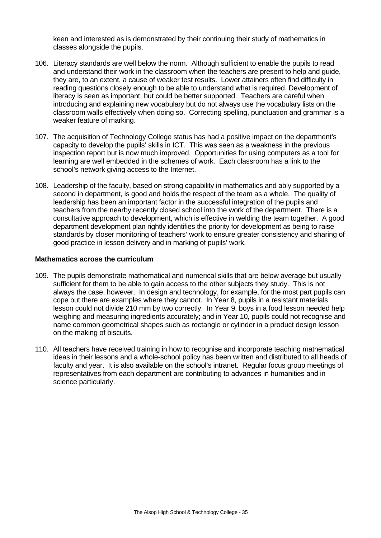keen and interested as is demonstrated by their continuing their study of mathematics in classes alongside the pupils.

- 106. Literacy standards are well below the norm. Although sufficient to enable the pupils to read and understand their work in the classroom when the teachers are present to help and guide, they are, to an extent, a cause of weaker test results. Lower attainers often find difficulty in reading questions closely enough to be able to understand what is required. Development of literacy is seen as important, but could be better supported. Teachers are careful when introducing and explaining new vocabulary but do not always use the vocabulary lists on the classroom walls effectively when doing so. Correcting spelling, punctuation and grammar is a weaker feature of marking.
- 107. The acquisition of Technology College status has had a positive impact on the department's capacity to develop the pupils' skills in ICT. This was seen as a weakness in the previous inspection report but is now much improved. Opportunities for using computers as a tool for learning are well embedded in the schemes of work. Each classroom has a link to the school's network giving access to the Internet.
- 108. Leadership of the faculty, based on strong capability in mathematics and ably supported by a second in department, is good and holds the respect of the team as a whole. The quality of leadership has been an important factor in the successful integration of the pupils and teachers from the nearby recently closed school into the work of the department. There is a consultative approach to development, which is effective in welding the team together. A good department development plan rightly identifies the priority for development as being to raise standards by closer monitoring of teachers' work to ensure greater consistency and sharing of good practice in lesson delivery and in marking of pupils' work.

#### **Mathematics across the curriculum**

- 109. The pupils demonstrate mathematical and numerical skills that are below average but usually sufficient for them to be able to gain access to the other subjects they study. This is not always the case, however. In design and technology, for example, for the most part pupils can cope but there are examples where they cannot. In Year 8, pupils in a resistant materials lesson could not divide 210 mm by two correctly. In Year 9, boys in a food lesson needed help weighing and measuring ingredients accurately; and in Year 10, pupils could not recognise and name common geometrical shapes such as rectangle or cylinder in a product design lesson on the making of biscuits.
- 110. All teachers have received training in how to recognise and incorporate teaching mathematical ideas in their lessons and a whole-school policy has been written and distributed to all heads of faculty and year. It is also available on the school's intranet. Regular focus group meetings of representatives from each department are contributing to advances in humanities and in science particularly.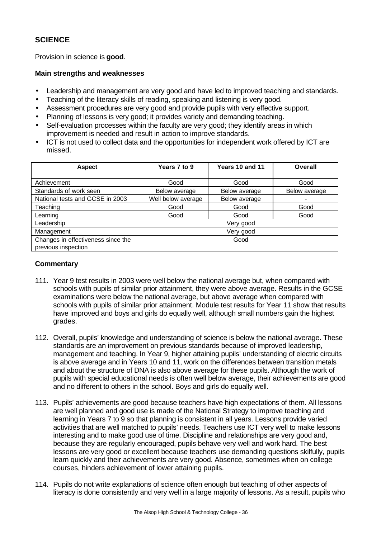## **SCIENCE**

Provision in science is **good**.

#### **Main strengths and weaknesses**

- Leadership and management are very good and have led to improved teaching and standards.
- Teaching of the literacy skills of reading, speaking and listening is very good.
- Assessment procedures are very good and provide pupils with very effective support.
- Planning of lessons is very good; it provides variety and demanding teaching.
- Self-evaluation processes within the faculty are very good; they identify areas in which improvement is needed and result in action to improve standards.
- ICT is not used to collect data and the opportunities for independent work offered by ICT are missed.

| <b>Aspect</b>                                             | Years 7 to 9       | Years 10 and 11 | Overall       |
|-----------------------------------------------------------|--------------------|-----------------|---------------|
|                                                           |                    |                 |               |
| Achievement                                               | Good               | Good            | Good          |
| Standards of work seen                                    | Below average      | Below average   | Below average |
| National tests and GCSE in 2003                           | Well below average | Below average   |               |
| Teaching                                                  | Good               | Good            | Good          |
| Learning                                                  | Good               | Good            | Good          |
| Leadership                                                | Very good          |                 |               |
| Management                                                | Very good          |                 |               |
| Changes in effectiveness since the<br>previous inspection | Good               |                 |               |

### **Commentary**

- 111. Year 9 test results in 2003 were well below the national average but, when compared with schools with pupils of similar prior attainment, they were above average. Results in the GCSE examinations were below the national average, but above average when compared with schools with pupils of similar prior attainment. Module test results for Year 11 show that results have improved and boys and girls do equally well, although small numbers gain the highest grades.
- 112. Overall, pupils' knowledge and understanding of science is below the national average. These standards are an improvement on previous standards because of improved leadership, management and teaching. In Year 9, higher attaining pupils' understanding of electric circuits is above average and in Years 10 and 11, work on the differences between transition metals and about the structure of DNA is also above average for these pupils. Although the work of pupils with special educational needs is often well below average, their achievements are good and no different to others in the school. Boys and girls do equally well.
- 113. Pupils' achievements are good because teachers have high expectations of them. All lessons are well planned and good use is made of the National Strategy to improve teaching and learning in Years 7 to 9 so that planning is consistent in all years. Lessons provide varied activities that are well matched to pupils' needs. Teachers use ICT very well to make lessons interesting and to make good use of time. Discipline and relationships are very good and, because they are regularly encouraged, pupils behave very well and work hard. The best lessons are very good or excellent because teachers use demanding questions skilfully, pupils learn quickly and their achievements are very good. Absence, sometimes when on college courses, hinders achievement of lower attaining pupils.
- 114. Pupils do not write explanations of science often enough but teaching of other aspects of literacy is done consistently and very well in a large majority of lessons. As a result, pupils who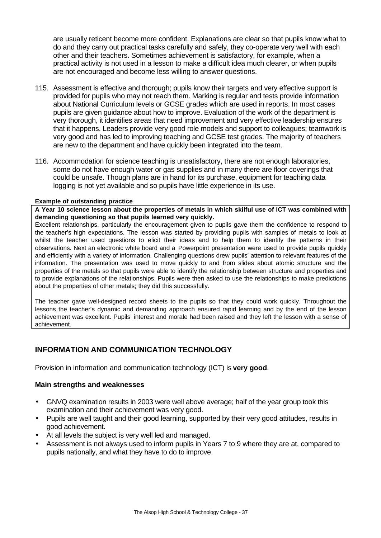are usually reticent become more confident. Explanations are clear so that pupils know what to do and they carry out practical tasks carefully and safely, they co-operate very well with each other and their teachers. Sometimes achievement is satisfactory, for example, when a practical activity is not used in a lesson to make a difficult idea much clearer, or when pupils are not encouraged and become less willing to answer questions.

- 115. Assessment is effective and thorough; pupils know their targets and very effective support is provided for pupils who may not reach them. Marking is regular and tests provide information about National Curriculum levels or GCSE grades which are used in reports. In most cases pupils are given guidance about how to improve. Evaluation of the work of the department is very thorough, it identifies areas that need improvement and very effective leadership ensures that it happens. Leaders provide very good role models and support to colleagues; teamwork is very good and has led to improving teaching and GCSE test grades. The majority of teachers are new to the department and have quickly been integrated into the team.
- 116. Accommodation for science teaching is unsatisfactory, there are not enough laboratories, some do not have enough water or gas supplies and in many there are floor coverings that could be unsafe. Though plans are in hand for its purchase, equipment for teaching data logging is not yet available and so pupils have little experience in its use.

#### **Example of outstanding practice**

**A Year 10 science lesson about the properties of metals in which skilful use of ICT was combined with demanding questioning so that pupils learned very quickly.**

Excellent relationships, particularly the encouragement given to pupils gave them the confidence to respond to the teacher's high expectations. The lesson was started by providing pupils with samples of metals to look at whilst the teacher used questions to elicit their ideas and to help them to identify the patterns in their observations. Next an electronic white board and a Powerpoint presentation were used to provide pupils quickly and efficiently with a variety of information. Challenging questions drew pupils' attention to relevant features of the information. The presentation was used to move quickly to and from slides about atomic structure and the properties of the metals so that pupils were able to identify the relationship between structure and properties and to provide explanations of the relationships. Pupils were then asked to use the relationships to make predictions about the properties of other metals; they did this successfully.

The teacher gave well-designed record sheets to the pupils so that they could work quickly. Throughout the lessons the teacher's dynamic and demanding approach ensured rapid learning and by the end of the lesson achievement was excellent. Pupils' interest and morale had been raised and they left the lesson with a sense of achievement.

# **INFORMATION AND COMMUNICATION TECHNOLOGY**

Provision in information and communication technology (ICT) is **very good**.

- GNVQ examination results in 2003 were well above average; half of the year group took this examination and their achievement was very good.
- Pupils are well taught and their good learning, supported by their very good attitudes, results in good achievement.
- At all levels the subject is very well led and managed.
- Assessment is not always used to inform pupils in Years 7 to 9 where they are at, compared to pupils nationally, and what they have to do to improve.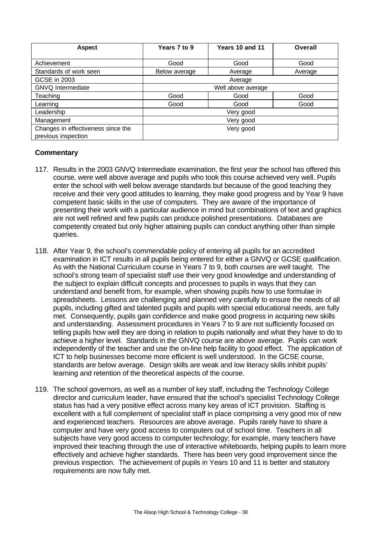| <b>Aspect</b>                      | Years 7 to 9  | Years 10 and 11    | <b>Overall</b> |
|------------------------------------|---------------|--------------------|----------------|
|                                    |               |                    |                |
| Achievement                        | Good          | Good               | Good           |
| Standards of work seen             | Below average | Average            | Average        |
| GCSE in 2003                       | Average       |                    |                |
| <b>GNVQ</b> Intermediate           |               | Well above average |                |
| Teaching                           | Good          | Good               | Good           |
| Learning                           | Good          | Good               | Good           |
| Leadership                         |               | Very good          |                |
| Management                         | Very good     |                    |                |
| Changes in effectiveness since the |               | Very good          |                |
| previous inspection                |               |                    |                |

- 117. Results in the 2003 GNVQ Intermediate examination, the first year the school has offered this course, were well above average and pupils who took this course achieved very well. Pupils enter the school with well below average standards but because of the good teaching they receive and their very good attitudes to learning, they make good progress and by Year 9 have competent basic skills in the use of computers. They are aware of the importance of presenting their work with a particular audience in mind but combinations of text and graphics are not well refined and few pupils can produce polished presentations. Databases are competently created but only higher attaining pupils can conduct anything other than simple queries.
- 118. After Year 9, the school's commendable policy of entering all pupils for an accredited examination in ICT results in all pupils being entered for either a GNVQ or GCSE qualification. As with the National Curriculum course in Years 7 to 9, both courses are well taught. The school's strong team of specialist staff use their very good knowledge and understanding of the subject to explain difficult concepts and processes to pupils in ways that they can understand and benefit from, for example, when showing pupils how to use formulae in spreadsheets. Lessons are challenging and planned very carefully to ensure the needs of all pupils, including gifted and talented pupils and pupils with special educational needs, are fully met. Consequently, pupils gain confidence and make good progress in acquiring new skills and understanding. Assessment procedures in Years 7 to 9 are not sufficiently focused on telling pupils how well they are doing in relation to pupils nationally and what they have to do to achieve a higher level. Standards in the GNVQ course are above average. Pupils can work independently of the teacher and use the on-line help facility to good effect. The application of ICT to help businesses become more efficient is well understood. In the GCSE course, standards are below average. Design skills are weak and low literacy skills inhibit pupils' learning and retention of the theoretical aspects of the course.
- 119. The school governors, as well as a number of key staff, including the Technology College director and curriculum leader, have ensured that the school's specialist Technology College status has had a very positive effect across many key areas of ICT provision. Staffing is excellent with a full complement of specialist staff in place comprising a very good mix of new and experienced teachers. Resources are above average. Pupils rarely have to share a computer and have very good access to computers out of school time. Teachers in all subjects have very good access to computer technology; for example, many teachers have improved their teaching through the use of interactive whiteboards, helping pupils to learn more effectively and achieve higher standards. There has been very good improvement since the previous inspection. The achievement of pupils in Years 10 and 11 is better and statutory requirements are now fully met.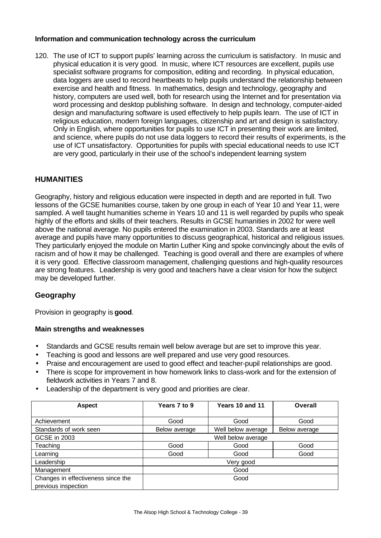## **Information and communication technology across the curriculum**

120. The use of ICT to support pupils' learning across the curriculum is satisfactory. In music and physical education it is very good. In music, where ICT resources are excellent, pupils use specialist software programs for composition, editing and recording. In physical education, data loggers are used to record heartbeats to help pupils understand the relationship between exercise and health and fitness. In mathematics, design and technology, geography and history, computers are used well, both for research using the Internet and for presentation via word processing and desktop publishing software. In design and technology, computer-aided design and manufacturing software is used effectively to help pupils learn. The use of ICT in religious education, modern foreign languages, citizenship and art and design is satisfactory. Only in English, where opportunities for pupils to use ICT in presenting their work are limited, and science, where pupils do not use data loggers to record their results of experiments, is the use of ICT unsatisfactory. Opportunities for pupils with special educational needs to use ICT are very good, particularly in their use of the school's independent learning system

# **HUMANITIES**

Geography, history and religious education were inspected in depth and are reported in full. Two lessons of the GCSE humanities course, taken by one group in each of Year 10 and Year 11, were sampled. A well taught humanities scheme in Years 10 and 11 is well regarded by pupils who speak highly of the efforts and skills of their teachers. Results in GCSE humanities in 2002 for were well above the national average. No pupils entered the examination in 2003. Standards are at least average and pupils have many opportunities to discuss geographical, historical and religious issues. They particularly enjoyed the module on Martin Luther King and spoke convincingly about the evils of racism and of how it may be challenged. Teaching is good overall and there are examples of where it is very good. Effective classroom management, challenging questions and high-quality resources are strong features. Leadership is very good and teachers have a clear vision for how the subject may be developed further.

# **Geography**

Provision in geography is **good**.

- Standards and GCSE results remain well below average but are set to improve this year.
- Teaching is good and lessons are well prepared and use very good resources.
- Praise and encouragement are used to good effect and teacher-pupil relationships are good.
- There is scope for improvement in how homework links to class-work and for the extension of fieldwork activities in Years 7 and 8.
- Leadership of the department is very good and priorities are clear.

| <b>Aspect</b>                      | Years 7 to 9  | Years 10 and 11    | Overall       |
|------------------------------------|---------------|--------------------|---------------|
|                                    |               |                    |               |
| Achievement                        | Good          | Good               | Good          |
| Standards of work seen             | Below average | Well below average | Below average |
| GCSE in 2003                       |               | Well below average |               |
| Teaching                           | Good          | Good               | Good          |
| Learning                           | Good          | Good               | Good          |
| Leadership                         |               | Very good          |               |
| Management                         |               | Good               |               |
| Changes in effectiveness since the |               | Good               |               |
| previous inspection                |               |                    |               |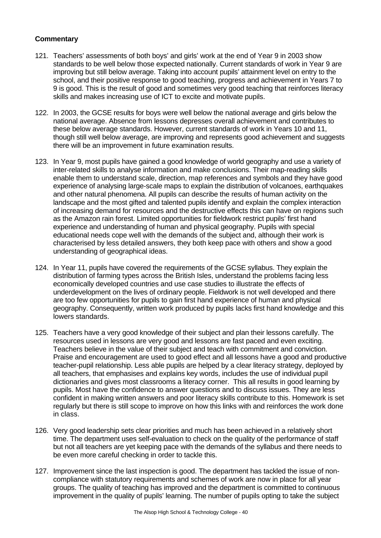- 121. Teachers' assessments of both boys' and girls' work at the end of Year 9 in 2003 show standards to be well below those expected nationally. Current standards of work in Year 9 are improving but still below average. Taking into account pupils' attainment level on entry to the school, and their positive response to good teaching, progress and achievement in Years 7 to 9 is good. This is the result of good and sometimes very good teaching that reinforces literacy skills and makes increasing use of ICT to excite and motivate pupils.
- 122. In 2003, the GCSE results for boys were well below the national average and girls below the national average. Absence from lessons depresses overall achievement and contributes to these below average standards. However, current standards of work in Years 10 and 11, though still well below average, are improving and represents good achievement and suggests there will be an improvement in future examination results.
- 123. In Year 9, most pupils have gained a good knowledge of world geography and use a variety of inter-related skills to analyse information and make conclusions. Their map-reading skills enable them to understand scale, direction, map references and symbols and they have good experience of analysing large-scale maps to explain the distribution of volcanoes, earthquakes and other natural phenomena. All pupils can describe the results of human activity on the landscape and the most gifted and talented pupils identify and explain the complex interaction of increasing demand for resources and the destructive effects this can have on regions such as the Amazon rain forest. Limited opportunities for fieldwork restrict pupils' first hand experience and understanding of human and physical geography. Pupils with special educational needs cope well with the demands of the subject and, although their work is characterised by less detailed answers, they both keep pace with others and show a good understanding of geographical ideas.
- 124. In Year 11, pupils have covered the requirements of the GCSE syllabus. They explain the distribution of farming types across the British Isles, understand the problems facing less economically developed countries and use case studies to illustrate the effects of underdevelopment on the lives of ordinary people. Fieldwork is not well developed and there are too few opportunities for pupils to gain first hand experience of human and physical geography. Consequently, written work produced by pupils lacks first hand knowledge and this lowers standards.
- 125. Teachers have a very good knowledge of their subject and plan their lessons carefully. The resources used in lessons are very good and lessons are fast paced and even exciting. Teachers believe in the value of their subject and teach with commitment and conviction. Praise and encouragement are used to good effect and all lessons have a good and productive teacher-pupil relationship. Less able pupils are helped by a clear literacy strategy, deployed by all teachers, that emphasises and explains key words, includes the use of individual pupil dictionaries and gives most classrooms a literacy corner. This all results in good learning by pupils. Most have the confidence to answer questions and to discuss issues. They are less confident in making written answers and poor literacy skills contribute to this. Homework is set regularly but there is still scope to improve on how this links with and reinforces the work done in class.
- 126. Very good leadership sets clear priorities and much has been achieved in a relatively short time. The department uses self-evaluation to check on the quality of the performance of staff but not all teachers are yet keeping pace with the demands of the syllabus and there needs to be even more careful checking in order to tackle this.
- 127. Improvement since the last inspection is good. The department has tackled the issue of noncompliance with statutory requirements and schemes of work are now in place for all year groups. The quality of teaching has improved and the department is committed to continuous improvement in the quality of pupils' learning. The number of pupils opting to take the subject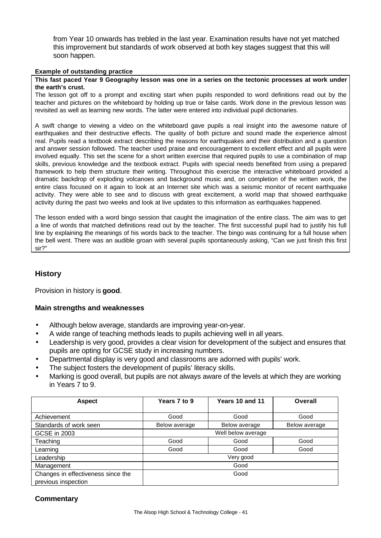from Year 10 onwards has trebled in the last year. Examination results have not yet matched this improvement but standards of work observed at both key stages suggest that this will soon happen.

#### **Example of outstanding practice**

#### **This fast paced Year 9 Geography lesson was one in a series on the tectonic processes at work under the earth's crust.**

The lesson got off to a prompt and exciting start when pupils responded to word definitions read out by the teacher and pictures on the whiteboard by holding up true or false cards. Work done in the previous lesson was revisited as well as learning new words. The latter were entered into individual pupil dictionaries.

A swift change to viewing a video on the whiteboard gave pupils a real insight into the awesome nature of earthquakes and their destructive effects. The quality of both picture and sound made the experience almost real. Pupils read a textbook extract describing the reasons for earthquakes and their distribution and a question and answer session followed. The teacher used praise and encouragement to excellent effect and all pupils were involved equally. This set the scene for a short written exercise that required pupils to use a combination of map skills, previous knowledge and the textbook extract. Pupils with special needs benefited from using a prepared framework to help them structure their writing. Throughout this exercise the interactive whiteboard provided a dramatic backdrop of exploding volcanoes and background music and, on completion of the written work, the entire class focused on it again to look at an Internet site which was a seismic monitor of recent earthquake activity. They were able to see and to discuss with great excitement, a world map that showed earthquake activity during the past two weeks and look at live updates to this information as earthquakes happened.

The lesson ended with a word bingo session that caught the imagination of the entire class. The aim was to get a line of words that matched definitions read out by the teacher. The first successful pupil had to justify his full line by explaining the meanings of his words back to the teacher. The bingo was continuing for a full house when the bell went. There was an audible groan with several pupils spontaneously asking, "Can we just finish this first sir?"

## **History**

Provision in history is **good**.

## **Main strengths and weaknesses**

- Although below average, standards are improving year-on-year.
- A wide range of teaching methods leads to pupils achieving well in all years.
- Leadership is very good, provides a clear vision for development of the subject and ensures that pupils are opting for GCSE study in increasing numbers.
- Departmental display is very good and classrooms are adorned with pupils' work.
- The subject fosters the development of pupils' literacy skills.
- Marking is good overall, but pupils are not always aware of the levels at which they are working in Years 7 to 9.

| <b>Aspect</b>                      | Years 7 to 9  | Years 10 and 11    | Overall       |
|------------------------------------|---------------|--------------------|---------------|
|                                    |               |                    |               |
| Achievement                        | Good          | Good               | Good          |
| Standards of work seen             | Below average | Below average      | Below average |
| <b>GCSE in 2003</b>                |               | Well below average |               |
| Teaching                           | Good          | Good               | Good          |
| Learning                           | Good          | Good               | Good          |
| Leadership                         |               | Very good          |               |
| Management                         |               | Good               |               |
| Changes in effectiveness since the |               | Good               |               |
| previous inspection                |               |                    |               |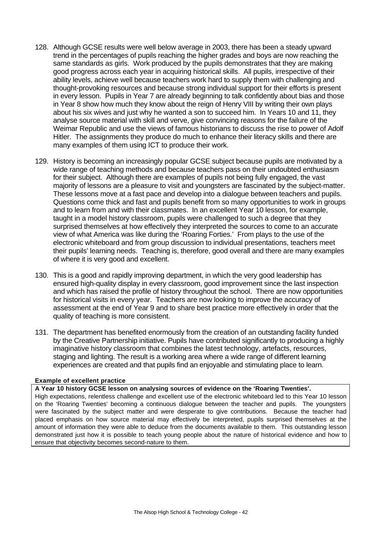- 128. Although GCSE results were well below average in 2003, there has been a steady upward trend in the percentages of pupils reaching the higher grades and boys are now reaching the same standards as girls. Work produced by the pupils demonstrates that they are making good progress across each year in acquiring historical skills. All pupils, irrespective of their ability levels, achieve well because teachers work hard to supply them with challenging and thought-provoking resources and because strong individual support for their efforts is present in every lesson. Pupils in Year 7 are already beginning to talk confidently about bias and those in Year 8 show how much they know about the reign of Henry VIII by writing their own plays about his six wives and just why he wanted a son to succeed him. In Years 10 and 11, they analyse source material with skill and verve, give convincing reasons for the failure of the Weimar Republic and use the views of famous historians to discuss the rise to power of Adolf Hitler. The assignments they produce do much to enhance their literacy skills and there are many examples of them using ICT to produce their work.
- 129. History is becoming an increasingly popular GCSE subject because pupils are motivated by a wide range of teaching methods and because teachers pass on their undoubted enthusiasm for their subject. Although there are examples of pupils not being fully engaged, the vast majority of lessons are a pleasure to visit and youngsters are fascinated by the subject-matter. These lessons move at a fast pace and develop into a dialogue between teachers and pupils. Questions come thick and fast and pupils benefit from so many opportunities to work in groups and to learn from and with their classmates. In an excellent Year 10 lesson, for example, taught in a model history classroom, pupils were challenged to such a degree that they surprised themselves at how effectively they interpreted the sources to come to an accurate view of what America was like during the 'Roaring Forties.' From plays to the use of the electronic whiteboard and from group discussion to individual presentations, teachers meet their pupils' learning needs. Teaching is, therefore, good overall and there are many examples of where it is very good and excellent.
- 130. This is a good and rapidly improving department, in which the very good leadership has ensured high-quality display in every classroom, good improvement since the last inspection and which has raised the profile of history throughout the school. There are now opportunities for historical visits in every year. Teachers are now looking to improve the accuracy of assessment at the end of Year 9 and to share best practice more effectively in order that the quality of teaching is more consistent.
- 131. The department has benefited enormously from the creation of an outstanding facility funded by the Creative Partnership initiative. Pupils have contributed significantly to producing a highly imaginative history classroom that combines the latest technology, artefacts, resources, staging and lighting. The result is a working area where a wide range of different learning experiences are created and that pupils find an enjoyable and stimulating place to learn.

#### **Example of excellent practice**

**A Year 10 history GCSE lesson on analysing sources of evidence on the 'Roaring Twenties'.**

High expectations, relentless challenge and excellent use of the electronic whiteboard led to this Year 10 lesson on the 'Roaring Twenties' becoming a continuous dialogue between the teacher and pupils. The youngsters were fascinated by the subject matter and were desperate to give contributions. Because the teacher had placed emphasis on how source material may effectively be interpreted, pupils surprised themselves at the amount of information they were able to deduce from the documents available to them. This outstanding lesson demonstrated just how it is possible to teach young people about the nature of historical evidence and how to ensure that objectivity becomes second-nature to them.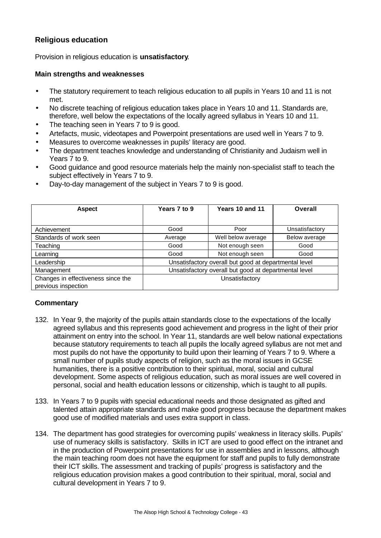# **Religious education**

Provision in religious education is **unsatisfactory**.

## **Main strengths and weaknesses**

- The statutory requirement to teach religious education to all pupils in Years 10 and 11 is not met.
- No discrete teaching of religious education takes place in Years 10 and 11. Standards are, therefore, well below the expectations of the locally agreed syllabus in Years 10 and 11.
- The teaching seen in Years 7 to 9 is good.
- Artefacts, music, videotapes and Powerpoint presentations are used well in Years 7 to 9.
- Measures to overcome weaknesses in pupils' literacy are good.
- The department teaches knowledge and understanding of Christianity and Judaism well in Years 7 to 9.
- Good guidance and good resource materials help the mainly non-specialist staff to teach the subject effectively in Years 7 to 9.

| <b>Aspect</b>                      | Years 7 to 9 | Years 10 and 11                                       | Overall        |
|------------------------------------|--------------|-------------------------------------------------------|----------------|
|                                    |              |                                                       |                |
| Achievement                        | Good         | Poor                                                  | Unsatisfactory |
| Standards of work seen             | Average      | Well below average                                    | Below average  |
| Teaching                           | Good         | Not enough seen                                       | Good           |
| Learning                           | Good         | Not enough seen                                       | Good           |
| Leadership                         |              | Unsatisfactory overall but good at departmental level |                |
| Management                         |              | Unsatisfactory overall but good at departmental level |                |
| Changes in effectiveness since the |              | Unsatisfactory                                        |                |
| previous inspection                |              |                                                       |                |

• Day-to-day management of the subject in Years 7 to 9 is good.

- 132. In Year 9, the majority of the pupils attain standards close to the expectations of the locally agreed syllabus and this represents good achievement and progress in the light of their prior attainment on entry into the school. In Year 11, standards are well below national expectations because statutory requirements to teach all pupils the locally agreed syllabus are not met and most pupils do not have the opportunity to build upon their learning of Years 7 to 9. Where a small number of pupils study aspects of religion, such as the moral issues in GCSE humanities, there is a positive contribution to their spiritual, moral, social and cultural development. Some aspects of religious education, such as moral issues are well covered in personal, social and health education lessons or citizenship, which is taught to all pupils.
- 133. In Years 7 to 9 pupils with special educational needs and those designated as gifted and talented attain appropriate standards and make good progress because the department makes good use of modified materials and uses extra support in class.
- 134. The department has good strategies for overcoming pupils' weakness in literacy skills. Pupils' use of numeracy skills is satisfactory. Skills in ICT are used to good effect on the intranet and in the production of Powerpoint presentations for use in assemblies and in lessons, although the main teaching room does not have the equipment for staff and pupils to fully demonstrate their ICT skills. The assessment and tracking of pupils' progress is satisfactory and the religious education provision makes a good contribution to their spiritual, moral, social and cultural development in Years 7 to 9.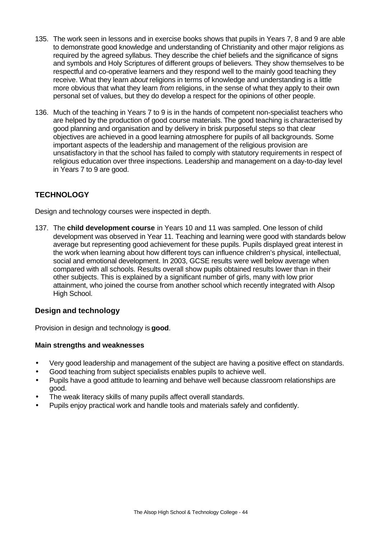- 135. The work seen in lessons and in exercise books shows that pupils in Years 7, 8 and 9 are able to demonstrate good knowledge and understanding of Christianity and other major religions as required by the agreed syllabus. They describe the chief beliefs and the significance of signs and symbols and Holy Scriptures of different groups of believers*.* They show themselves to be respectful and co-operative learners and they respond well to the mainly good teaching they receive. What they learn *about* religions in terms of knowledge and understanding is a little more obvious that what they learn *from* religions, in the sense of what they apply to their own personal set of values, but they do develop a respect for the opinions of other people.
- 136. Much of the teaching in Years 7 to 9 is in the hands of competent non-specialist teachers who are helped by the production of good course materials. The good teaching is characterised by good planning and organisation and by delivery in brisk purposeful steps so that clear objectives are achieved in a good learning atmosphere for pupils of all backgrounds. Some important aspects of the leadership and management of the religious provision are unsatisfactory in that the school has failed to comply with statutory requirements in respect of religious education over three inspections. Leadership and management on a day-to-day level in Years 7 to 9 are good.

# **TECHNOLOGY**

Design and technology courses were inspected in depth.

137. The **child development course** in Years 10 and 11 was sampled. One lesson of child development was observed in Year 11. Teaching and learning were good with standards below average but representing good achievement for these pupils. Pupils displayed great interest in the work when learning about how different toys can influence children's physical, intellectual, social and emotional development. In 2003, GCSE results were well below average when compared with all schools. Results overall show pupils obtained results lower than in their other subjects. This is explained by a significant number of girls, many with low prior attainment, who joined the course from another school which recently integrated with Alsop High School.

# **Design and technology**

Provision in design and technology is **good**.

- Very good leadership and management of the subject are having a positive effect on standards.
- Good teaching from subject specialists enables pupils to achieve well.
- Pupils have a good attitude to learning and behave well because classroom relationships are good.
- The weak literacy skills of many pupils affect overall standards.
- Pupils enjoy practical work and handle tools and materials safely and confidently.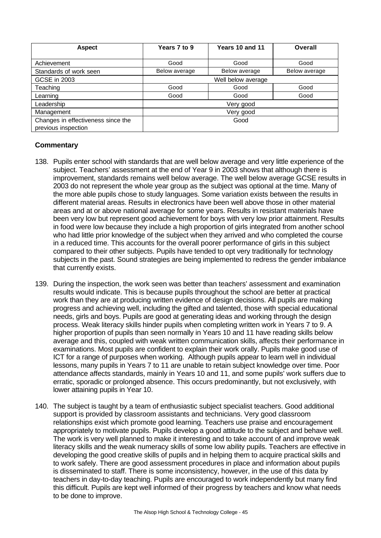| <b>Aspect</b>                      | Years 7 to 9  | Years 10 and 11    | Overall       |
|------------------------------------|---------------|--------------------|---------------|
|                                    |               |                    |               |
| Achievement                        | Good          | Good               | Good          |
| Standards of work seen             | Below average | Below average      | Below average |
| <b>GCSE in 2003</b>                |               | Well below average |               |
| Teaching                           | Good          | Good               | Good          |
| Learning                           | Good          | Good               | Good          |
| Leadership                         |               | Very good          |               |
| Management                         |               | Very good          |               |
| Changes in effectiveness since the |               | Good               |               |
| previous inspection                |               |                    |               |

- 138. Pupils enter school with standards that are well below average and very little experience of the subject. Teachers' assessment at the end of Year 9 in 2003 shows that although there is improvement, standards remains well below average. The well below average GCSE results in 2003 do not represent the whole year group as the subject was optional at the time. Many of the more able pupils chose to study languages. Some variation exists between the results in different material areas. Results in electronics have been well above those in other material areas and at or above national average for some years. Results in resistant materials have been very low but represent good achievement for boys with very low prior attainment. Results in food were low because they include a high proportion of girls integrated from another school who had little prior knowledge of the subject when they arrived and who completed the course in a reduced time. This accounts for the overall poorer performance of girls in this subject compared to their other subjects. Pupils have tended to opt very traditionally for technology subjects in the past. Sound strategies are being implemented to redress the gender imbalance that currently exists.
- 139. During the inspection, the work seen was better than teachers' assessment and examination results would indicate. This is because pupils throughout the school are better at practical work than they are at producing written evidence of design decisions. All pupils are making progress and achieving well, including the gifted and talented, those with special educational needs, girls and boys. Pupils are good at generating ideas and working through the design process. Weak literacy skills hinder pupils when completing written work in Years 7 to 9. A higher proportion of pupils than seen normally in Years 10 and 11 have reading skills below average and this, coupled with weak written communication skills, affects their performance in examinations. Most pupils are confident to explain their work orally. Pupils make good use of ICT for a range of purposes when working. Although pupils appear to learn well in individual lessons, many pupils in Years 7 to 11 are unable to retain subject knowledge over time. Poor attendance affects standards, mainly in Years 10 and 11, and some pupils' work suffers due to erratic, sporadic or prolonged absence. This occurs predominantly, but not exclusively, with lower attaining pupils in Year 10.
- 140. The subject is taught by a team of enthusiastic subject specialist teachers. Good additional support is provided by classroom assistants and technicians. Very good classroom relationships exist which promote good learning. Teachers use praise and encouragement appropriately to motivate pupils. Pupils develop a good attitude to the subject and behave well. The work is very well planned to make it interesting and to take account of and improve weak literacy skills and the weak numeracy skills of some low ability pupils. Teachers are effective in developing the good creative skills of pupils and in helping them to acquire practical skills and to work safely. There are good assessment procedures in place and information about pupils is disseminated to staff. There is some inconsistency, however, in the use of this data by teachers in day-to-day teaching. Pupils are encouraged to work independently but many find this difficult. Pupils are kept well informed of their progress by teachers and know what needs to be done to improve.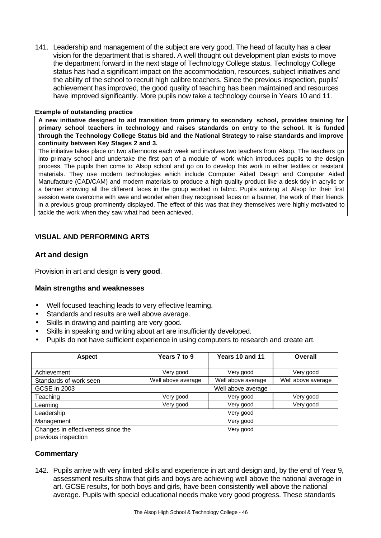141. Leadership and management of the subject are very good. The head of faculty has a clear vision for the department that is shared. A well thought out development plan exists to move the department forward in the next stage of Technology College status. Technology College status has had a significant impact on the accommodation, resources, subject initiatives and the ability of the school to recruit high calibre teachers. Since the previous inspection, pupils' achievement has improved, the good quality of teaching has been maintained and resources have improved significantly. More pupils now take a technology course in Years 10 and 11.

#### **Example of outstanding practice**

**A new initiative designed to aid transition from primary to secondary school, provides training for primary school teachers in technology and raises standards on entry to the school. It is funded through the Technology College Status bid and the National Strategy to raise standards and improve continuity between Key Stages 2 and 3.**

The initiative takes place on two afternoons each week and involves two teachers from Alsop. The teachers go into primary school and undertake the first part of a module of work which introduces pupils to the design process. The pupils then come to Alsop school and go on to develop this work in either textiles or resistant materials. They use modern technologies which include Computer Aided Design and Computer Aided Manufacture (CAD/CAM) and modern materials to produce a high quality product like a desk tidy in acrylic or a banner showing all the different faces in the group worked in fabric. Pupils arriving at Alsop for their first session were overcome with awe and wonder when they recognised faces on a banner, the work of their friends in a previous group prominently displayed. The effect of this was that they themselves were highly motivated to tackle the work when they saw what had been achieved.

# **VISUAL AND PERFORMING ARTS**

# **Art and design**

Provision in art and design is **very good**.

## **Main strengths and weaknesses**

- Well focused teaching leads to very effective learning.
- Standards and results are well above average.
- Skills in drawing and painting are very good.
- Skills in speaking and writing about art are insufficiently developed.
- Pupils do not have sufficient experience in using computers to research and create art.

| <b>Aspect</b>                                             | Years 7 to 9       | Years 10 and 11    | Overall            |
|-----------------------------------------------------------|--------------------|--------------------|--------------------|
| Achievement                                               | Very good          | Very good          | Very good          |
| Standards of work seen                                    | Well above average | Well above average | Well above average |
| <b>GCSE in 2003</b>                                       |                    | Well above average |                    |
| Teaching                                                  | Very good          | Very good          | Very good          |
| Learning                                                  | Very good          | Very good          | Very good          |
| Leadership                                                |                    | Very good          |                    |
| Management                                                |                    | Very good          |                    |
| Changes in effectiveness since the<br>previous inspection |                    | Very good          |                    |

## **Commentary**

142. Pupils arrive with very limited skills and experience in art and design and, by the end of Year 9, assessment results show that girls and boys are achieving well above the national average in art. GCSE results, for both boys and girls, have been consistently well above the national average. Pupils with special educational needs make very good progress. These standards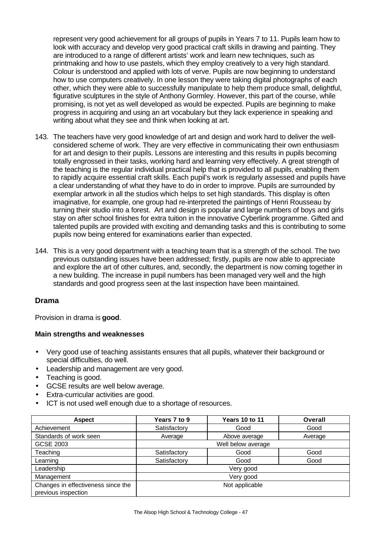represent very good achievement for all groups of pupils in Years 7 to 11. Pupils learn how to look with accuracy and develop very good practical craft skills in drawing and painting. They are introduced to a range of different artists' work and learn new techniques, such as printmaking and how to use pastels, which they employ creatively to a very high standard. Colour is understood and applied with lots of verve. Pupils are now beginning to understand how to use computers creatively. In one lesson they were taking digital photographs of each other, which they were able to successfully manipulate to help them produce small, delightful, figurative sculptures in the style of Anthony Gormley. However, this part of the course, while promising, is not yet as well developed as would be expected. Pupils are beginning to make progress in acquiring and using an art vocabulary but they lack experience in speaking and writing about what they see and think when looking at art.

- 143. The teachers have very good knowledge of art and design and work hard to deliver the wellconsidered scheme of work. They are very effective in communicating their own enthusiasm for art and design to their pupils. Lessons are interesting and this results in pupils becoming totally engrossed in their tasks, working hard and learning very effectively. A great strength of the teaching is the regular individual practical help that is provided to all pupils, enabling them to rapidly acquire essential craft skills. Each pupil's work is regularly assessed and pupils have a clear understanding of what they have to do in order to improve. Pupils are surrounded by exemplar artwork in all the studios which helps to set high standards. This display is often imaginative, for example, one group had re-interpreted the paintings of Henri Rousseau by turning their studio into a forest. Art and design is popular and large numbers of boys and girls stay on after school finishes for extra tuition in the innovative Cyberlink programme. Gifted and talented pupils are provided with exciting and demanding tasks and this is contributing to some pupils now being entered for examinations earlier than expected.
- 144. This is a very good department with a teaching team that is a strength of the school. The two previous outstanding issues have been addressed; firstly, pupils are now able to appreciate and explore the art of other cultures, and, secondly, the department is now coming together in a new building. The increase in pupil numbers has been managed very well and the high standards and good progress seen at the last inspection have been maintained.

# **Drama**

Provision in drama is **good**.

- Very good use of teaching assistants ensures that all pupils, whatever their background or special difficulties, do well.
- Leadership and management are very good.
- Teaching is good.
- GCSE results are well below average.
- Extra-curricular activities are good.
- ICT is not used well enough due to a shortage of resources.

| <b>Aspect</b>                      | Years 7 to 9 | <b>Years 10 to 11</b> | Overall |
|------------------------------------|--------------|-----------------------|---------|
| Achievement                        | Satisfactory | Good                  | Good    |
| Standards of work seen             | Average      | Above average         | Average |
| GCSE 2003                          |              | Well below average    |         |
| Teaching                           | Satisfactory | Good                  | Good    |
| Learning                           | Satisfactory | Good                  | Good    |
| Leadership                         |              | Very good             |         |
| Management                         |              | Very good             |         |
| Changes in effectiveness since the |              | Not applicable        |         |
| previous inspection                |              |                       |         |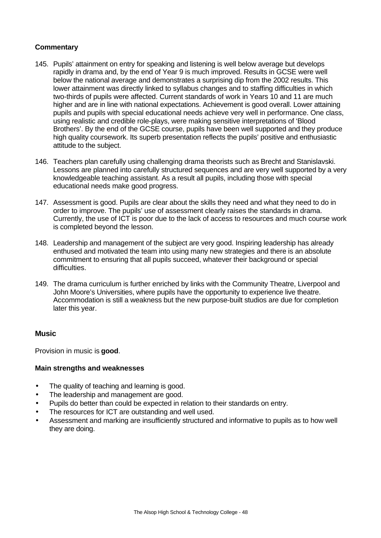## **Commentary**

- 145. Pupils' attainment on entry for speaking and listening is well below average but develops rapidly in drama and, by the end of Year 9 is much improved. Results in GCSE were well below the national average and demonstrates a surprising dip from the 2002 results. This lower attainment was directly linked to syllabus changes and to staffing difficulties in which two-thirds of pupils were affected. Current standards of work in Years 10 and 11 are much higher and are in line with national expectations. Achievement is good overall. Lower attaining pupils and pupils with special educational needs achieve very well in performance. One class, using realistic and credible role-plays, were making sensitive interpretations of 'Blood Brothers'. By the end of the GCSE course, pupils have been well supported and they produce high quality coursework. Its superb presentation reflects the pupils' positive and enthusiastic attitude to the subject.
- 146. Teachers plan carefully using challenging drama theorists such as Brecht and Stanislavski. Lessons are planned into carefully structured sequences and are very well supported by a very knowledgeable teaching assistant. As a result all pupils, including those with special educational needs make good progress.
- 147. Assessment is good. Pupils are clear about the skills they need and what they need to do in order to improve. The pupils' use of assessment clearly raises the standards in drama. Currently, the use of ICT is poor due to the lack of access to resources and much course work is completed beyond the lesson.
- 148. Leadership and management of the subject are very good. Inspiring leadership has already enthused and motivated the team into using many new strategies and there is an absolute commitment to ensuring that all pupils succeed, whatever their background or special difficulties.
- 149. The drama curriculum is further enriched by links with the Community Theatre, Liverpool and John Moore's Universities, where pupils have the opportunity to experience live theatre. Accommodation is still a weakness but the new purpose-built studios are due for completion later this year.

## **Music**

Provision in music is **good**.

- The quality of teaching and learning is good.
- The leadership and management are good.
- Pupils do better than could be expected in relation to their standards on entry.
- The resources for ICT are outstanding and well used.
- Assessment and marking are insufficiently structured and informative to pupils as to how well they are doing.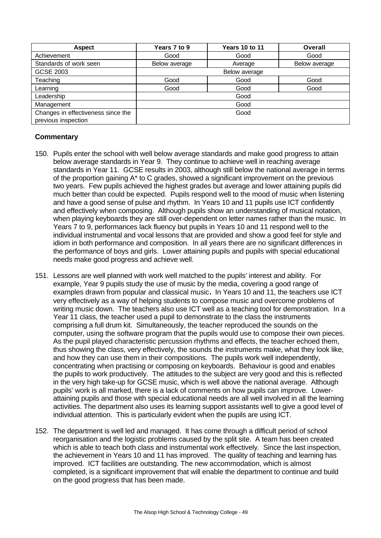| <b>Aspect</b>                      | Years 7 to 9  | <b>Years 10 to 11</b> | Overall       |
|------------------------------------|---------------|-----------------------|---------------|
| Achievement                        | Good          | Good                  | Good          |
| Standards of work seen             | Below average | Average               | Below average |
| <b>GCSE 2003</b>                   |               | Below average         |               |
| Teaching                           | Good          | Good                  | Good          |
| Learning                           | Good          | Good                  | Good          |
| Leadership                         |               | Good                  |               |
| Management                         |               | Good                  |               |
| Changes in effectiveness since the |               | Good                  |               |
| previous inspection                |               |                       |               |

- 150. Pupils enter the school with well below average standards and make good progress to attain below average standards in Year 9. They continue to achieve well in reaching average standards in Year 11. GCSE results in 2003, although still below the national average in terms of the proportion gaining A\* to C grades, showed a significant improvement on the previous two years. Few pupils achieved the highest grades but average and lower attaining pupils did much better than could be expected. Pupils respond well to the mood of music when listening and have a good sense of pulse and rhythm. In Years 10 and 11 pupils use ICT confidently and effectively when composing. Although pupils show an understanding of musical notation, when playing keyboards they are still over-dependent on letter names rather than the music. In Years 7 to 9, performances lack fluency but pupils in Years 10 and 11 respond well to the individual instrumental and vocal lessons that are provided and show a good feel for style and idiom in both performance and composition. In all years there are no significant differences in the performance of boys and girls. Lower attaining pupils and pupils with special educational needs make good progress and achieve well.
- 151. Lessons are well planned with work well matched to the pupils' interest and ability. For example, Year 9 pupils study the use of music by the media, covering a good range of examples drawn from popular and classical music**.** In Years 10 and 11, the teachers use ICT very effectively as a way of helping students to compose music and overcome problems of writing music down. The teachers also use ICT well as a teaching tool for demonstration. In a Year 11 class, the teacher used a pupil to demonstrate to the class the instruments comprising a full drum kit. Simultaneously, the teacher reproduced the sounds on the computer, using the software program that the pupils would use to compose their own pieces. As the pupil played characteristic percussion rhythms and effects, the teacher echoed them, thus showing the class, very effectively, the sounds the instruments make, what they look like, and how they can use them in their compositions.The pupils work well independently, concentrating when practising or composing on keyboards. Behaviour is good and enables the pupils to work productively. The attitudes to the subject are very good and this is reflected in the very high take-up for GCSE music, which is well above the national average. Although pupils' work is all marked, there is a lack of comments on how pupils can improve. Lowerattaining pupils and those with special educational needs are all well involved in all the learning activities. The department also uses its learning support assistants well to give a good level of individual attention. This is particularly evident when the pupils are using ICT.
- 152. The department is well led and managed. It has come through a difficult period of school reorganisation and the logistic problems caused by the split site. A team has been created which is able to teach both class and instrumental work effectively. Since the last inspection, the achievement in Years 10 and 11 has improved. The quality of teaching and learning has improved. ICT facilities are outstanding. The new accommodation, which is almost completed, is a significant improvement that will enable the department to continue and build on the good progress that has been made.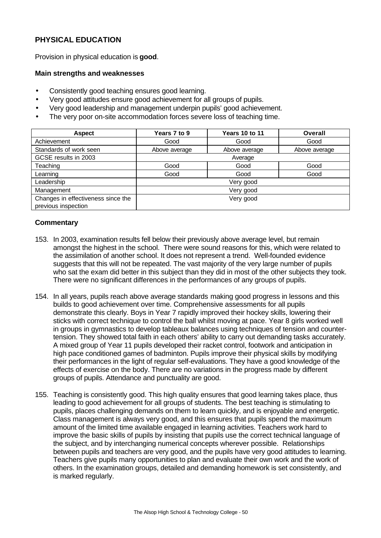# **PHYSICAL EDUCATION**

Provision in physical education is **good**.

#### **Main strengths and weaknesses**

- Consistently good teaching ensures good learning.
- Very good attitudes ensure good achievement for all groups of pupils.
- Very good leadership and management underpin pupils' good achievement.
- The very poor on-site accommodation forces severe loss of teaching time.

| <b>Aspect</b>                                             | Years 7 to 9  | <b>Years 10 to 11</b> | Overall       |
|-----------------------------------------------------------|---------------|-----------------------|---------------|
| Achievement                                               | Good          | Good                  | Good          |
| Standards of work seen                                    | Above average | Above average         | Above average |
| GCSE results in 2003                                      |               | Average               |               |
| Teaching                                                  | Good          | Good                  | Good          |
| Learning                                                  | Good          | Good                  | Good          |
| Leadership                                                |               | Very good             |               |
| Management                                                |               | Very good             |               |
| Changes in effectiveness since the<br>previous inspection |               | Very good             |               |

- 153. In 2003, examination results fell below their previously above average level, but remain amongst the highest in the school. There were sound reasons for this, which were related to the assimilation of another school. It does not represent a trend. Well-founded evidence suggests that this will not be repeated. The vast majority of the very large number of pupils who sat the exam did better in this subject than they did in most of the other subjects they took. There were no significant differences in the performances of any groups of pupils.
- 154. In all years, pupils reach above average standards making good progress in lessons and this builds to good achievement over time. Comprehensive assessments for all pupils demonstrate this clearly. Boys in Year 7 rapidly improved their hockey skills, lowering their sticks with correct technique to control the ball whilst moving at pace. Year 8 girls worked well in groups in gymnastics to develop tableaux balances using techniques of tension and countertension. They showed total faith in each others' ability to carry out demanding tasks accurately. A mixed group of Year 11 pupils developed their racket control, footwork and anticipation in high pace conditioned games of badminton. Pupils improve their physical skills by modifying their performances in the light of regular self-evaluations. They have a good knowledge of the effects of exercise on the body. There are no variations in the progress made by different groups of pupils. Attendance and punctuality are good.
- 155. Teaching is consistently good. This high quality ensures that good learning takes place, thus leading to good achievement for all groups of students. The best teaching is stimulating to pupils, places challenging demands on them to learn quickly, and is enjoyable and energetic. Class management is always very good, and this ensures that pupils spend the maximum amount of the limited time available engaged in learning activities. Teachers work hard to improve the basic skills of pupils by insisting that pupils use the correct technical language of the subject, and by interchanging numerical concepts wherever possible. Relationships between pupils and teachers are very good, and the pupils have very good attitudes to learning. Teachers give pupils many opportunities to plan and evaluate their own work and the work of others. In the examination groups, detailed and demanding homework is set consistently, and is marked regularly.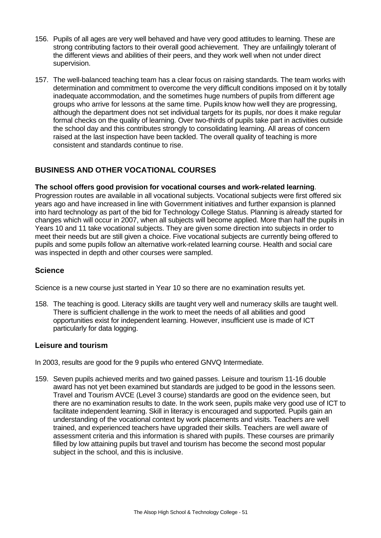- 156. Pupils of all ages are very well behaved and have very good attitudes to learning. These are strong contributing factors to their overall good achievement. They are unfailingly tolerant of the different views and abilities of their peers, and they work well when not under direct supervision.
- 157. The well-balanced teaching team has a clear focus on raising standards. The team works with determination and commitment to overcome the very difficult conditions imposed on it by totally inadequate accommodation, and the sometimes huge numbers of pupils from different age groups who arrive for lessons at the same time. Pupils know how well they are progressing, although the department does not set individual targets for its pupils, nor does it make regular formal checks on the quality of learning. Over two-thirds of pupils take part in activities outside the school day and this contributes strongly to consolidating learning. All areas of concern raised at the last inspection have been tackled. The overall quality of teaching is more consistent and standards continue to rise.

# **BUSINESS AND OTHER VOCATIONAL COURSES**

# **The school offers good provision for vocational courses and work-related learning**.

Progression routes are available in all vocational subjects. Vocational subjects were first offered six years ago and have increased in line with Government initiatives and further expansion is planned into hard technology as part of the bid for Technology College Status. Planning is already started for changes which will occur in 2007, when all subjects will become applied. More than half the pupils in Years 10 and 11 take vocational subjects. They are given some direction into subjects in order to meet their needs but are still given a choice. Five vocational subjects are currently being offered to pupils and some pupils follow an alternative work-related learning course. Health and social care was inspected in depth and other courses were sampled.

# **Science**

Science is a new course just started in Year 10 so there are no examination results yet.

158. The teaching is good. Literacy skills are taught very well and numeracy skills are taught well. There is sufficient challenge in the work to meet the needs of all abilities and good opportunities exist for independent learning. However, insufficient use is made of ICT particularly for data logging.

## **Leisure and tourism**

In 2003, results are good for the 9 pupils who entered GNVQ Intermediate.

159. Seven pupils achieved merits and two gained passes. Leisure and tourism 11-16 double award has not yet been examined but standards are judged to be good in the lessons seen. Travel and Tourism AVCE (Level 3 course) standards are good on the evidence seen, but there are no examination results to date. In the work seen, pupils make very good use of ICT to facilitate independent learning. Skill in literacy is encouraged and supported. Pupils gain an understanding of the vocational context by work placements and visits. Teachers are well trained, and experienced teachers have upgraded their skills. Teachers are well aware of assessment criteria and this information is shared with pupils. These courses are primarily filled by low attaining pupils but travel and tourism has become the second most popular subject in the school, and this is inclusive.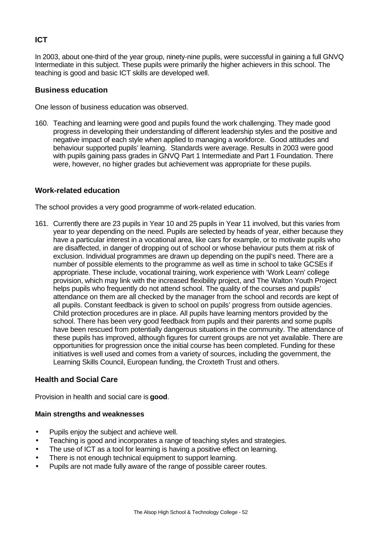# **ICT**

In 2003, about one-third of the year group, ninety-nine pupils, were successful in gaining a full GNVQ Intermediate in this subject. These pupils were primarily the higher achievers in this school. The teaching is good and basic ICT skills are developed well.

# **Business education**

One lesson of business education was observed.

160. Teaching and learning were good and pupils found the work challenging. They made good progress in developing their understanding of different leadership styles and the positive and negative impact of each style when applied to managing a workforce. Good attitudes and behaviour supported pupils' learning. Standards were average. Results in 2003 were good with pupils gaining pass grades in GNVQ Part 1 Intermediate and Part 1 Foundation. There were, however, no higher grades but achievement was appropriate for these pupils.

# **Work-related education**

The school provides a very good programme of work-related education.

161. Currently there are 23 pupils in Year 10 and 25 pupils in Year 11 involved, but this varies from year to year depending on the need. Pupils are selected by heads of year, either because they have a particular interest in a vocational area, like cars for example, or to motivate pupils who are disaffected, in danger of dropping out of school or whose behaviour puts them at risk of exclusion. Individual programmes are drawn up depending on the pupil's need. There are a number of possible elements to the programme as well as time in school to take GCSEs if appropriate. These include, vocational training, work experience with 'Work Learn' college provision, which may link with the increased flexibility project, and The Walton Youth Project helps pupils who frequently do not attend school. The quality of the courses and pupils' attendance on them are all checked by the manager from the school and records are kept of all pupils. Constant feedback is given to school on pupils' progress from outside agencies. Child protection procedures are in place. All pupils have learning mentors provided by the school. There has been very good feedback from pupils and their parents and some pupils have been rescued from potentially dangerous situations in the community. The attendance of these pupils has improved, although figures for current groups are not yet available. There are opportunities for progression once the initial course has been completed. Funding for these initiatives is well used and comes from a variety of sources, including the government, the Learning Skills Council, European funding, the Croxteth Trust and others.

## **Health and Social Care**

Provision in health and social care is **good**.

- Pupils enjoy the subject and achieve well.
- Teaching is good and incorporates a range of teaching styles and strategies.
- The use of ICT as a tool for learning is having a positive effect on learning.
- There is not enough technical equipment to support learning.
- Pupils are not made fully aware of the range of possible career routes.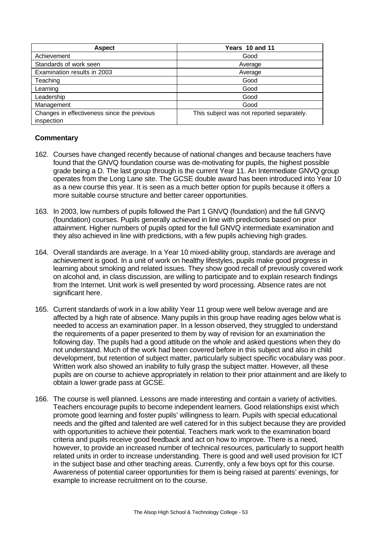| <b>Aspect</b>                                             | Years 10 and 11                           |
|-----------------------------------------------------------|-------------------------------------------|
| Achievement                                               | Good                                      |
| Standards of work seen                                    | Average                                   |
| Examination results in 2003                               | Average                                   |
| Teaching                                                  | Good                                      |
| Learning                                                  | Good                                      |
| Leadership                                                | Good                                      |
| Management                                                | Good                                      |
| Changes in effectiveness since the previous<br>inspection | This subject was not reported separately. |

- 162. Courses have changed recently because of national changes and because teachers have found that the GNVQ foundation course was de-motivating for pupils, the highest possible grade being a D. The last group through is the current Year 11. An Intermediate GNVQ group operates from the Long Lane site. The GCSE double award has been introduced into Year 10 as a new course this year. It is seen as a much better option for pupils because it offers a more suitable course structure and better career opportunities.
- 163. In 2003, low numbers of pupils followed the Part 1 GNVQ (foundation) and the full GNVQ (foundation) courses. Pupils generally achieved in line with predictions based on prior attainment. Higher numbers of pupils opted for the full GNVQ intermediate examination and they also achieved in line with predictions, with a few pupils achieving high grades.
- 164. Overall standards are average. In a Year 10 mixed-ability group, standards are average and achievement is good. In a unit of work on healthy lifestyles, pupils make good progress in learning about smoking and related issues. They show good recall of previously covered work on alcohol and, in class discussion, are willing to participate and to explain research findings from the Internet. Unit work is well presented by word processing. Absence rates are not significant here.
- 165. Current standards of work in a low ability Year 11 group were well below average and are affected by a high rate of absence. Many pupils in this group have reading ages below what is needed to access an examination paper. In a lesson observed, they struggled to understand the requirements of a paper presented to them by way of revision for an examination the following day. The pupils had a good attitude on the whole and asked questions when they do not understand. Much of the work had been covered before in this subject and also in child development, but retention of subject matter, particularly subject specific vocabulary was poor. Written work also showed an inability to fully grasp the subject matter. However, all these pupils are on course to achieve appropriately in relation to their prior attainment and are likely to obtain a lower grade pass at GCSE.
- 166. The course is well planned. Lessons are made interesting and contain a variety of activities. Teachers encourage pupils to become independent learners. Good relationships exist which promote good learning and foster pupils' willingness to learn. Pupils with special educational needs and the gifted and talented are well catered for in this subject because they are provided with opportunities to achieve their potential. Teachers mark work to the examination board criteria and pupils receive good feedback and act on how to improve. There is a need, however, to provide an increased number of technical resources, particularly to support health related units in order to increase understanding. There is good and well used provision for ICT in the subject base and other teaching areas. Currently, only a few boys opt for this course. Awareness of potential career opportunities for them is being raised at parents' evenings, for example to increase recruitment on to the course.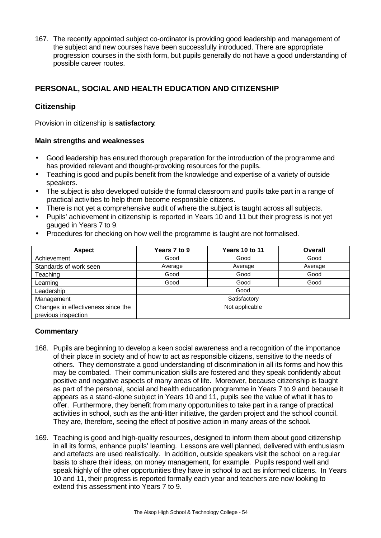167. The recently appointed subject co-ordinator is providing good leadership and management of the subject and new courses have been successfully introduced. There are appropriate progression courses in the sixth form, but pupils generally do not have a good understanding of possible career routes.

# **PERSONAL, SOCIAL AND HEALTH EDUCATION AND CITIZENSHIP**

# **Citizenship**

Provision in citizenship is **satisfactory**.

## **Main strengths and weaknesses**

- Good leadership has ensured thorough preparation for the introduction of the programme and has provided relevant and thought-provoking resources for the pupils.
- Teaching is good and pupils benefit from the knowledge and expertise of a variety of outside speakers.
- The subiect is also developed outside the formal classroom and pupils take part in a range of practical activities to help them become responsible citizens.
- There is not yet a comprehensive audit of where the subject is taught across all subjects.
- Pupils' achievement in citizenship is reported in Years 10 and 11 but their progress is not yet gauged in Years 7 to 9.
- Procedures for checking on how well the programme is taught are not formalised.

| <b>Aspect</b>                      | Years 7 to 9 | <b>Years 10 to 11</b> | <b>Overall</b> |
|------------------------------------|--------------|-----------------------|----------------|
| Achievement                        | Good         | Good                  | Good           |
| Standards of work seen             | Average      | Average               | Average        |
| Teaching                           | Good         | Good                  | Good           |
| Learning                           | Good         | Good                  | Good           |
| Leadership                         |              | Good                  |                |
| Management                         |              | Satisfactory          |                |
| Changes in effectiveness since the |              | Not applicable        |                |
| previous inspection                |              |                       |                |

- 168. Pupils are beginning to develop a keen social awareness and a recognition of the importance of their place in society and of how to act as responsible citizens, sensitive to the needs of others. They demonstrate a good understanding of discrimination in all its forms and how this may be combated. Their communication skills are fostered and they speak confidently about positive and negative aspects of many areas of life. Moreover, because citizenship is taught as part of the personal, social and health education programme in Years 7 to 9 and because it appears as a stand-alone subject in Years 10 and 11, pupils see the value of what it has to offer. Furthermore, they benefit from many opportunities to take part in a range of practical activities in school, such as the anti-litter initiative, the garden project and the school council. They are, therefore, seeing the effect of positive action in many areas of the school.
- 169. Teaching is good and high-quality resources, designed to inform them about good citizenship in all its forms, enhance pupils' learning. Lessons are well planned, delivered with enthusiasm and artefacts are used realistically. In addition, outside speakers visit the school on a regular basis to share their ideas, on money management, for example. Pupils respond well and speak highly of the other opportunities they have in school to act as informed citizens. In Years 10 and 11, their progress is reported formally each year and teachers are now looking to extend this assessment into Years 7 to 9.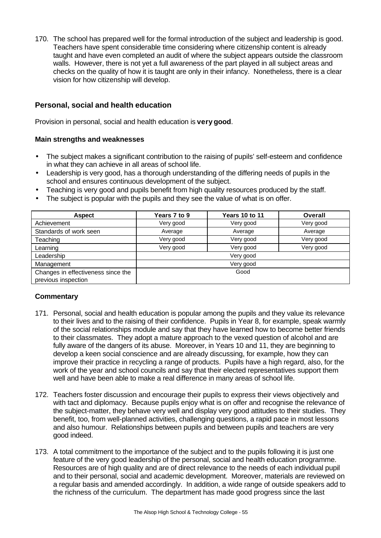170. The school has prepared well for the formal introduction of the subject and leadership is good. Teachers have spent considerable time considering where citizenship content is already taught and have even completed an audit of where the subject appears outside the classroom walls. However, there is not yet a full awareness of the part played in all subject areas and checks on the quality of how it is taught are only in their infancy. Nonetheless, there is a clear vision for how citizenship will develop.

# **Personal, social and health education**

Provision in personal, social and health education is **very good**.

## **Main strengths and weaknesses**

- The subject makes a significant contribution to the raising of pupils' self-esteem and confidence in what they can achieve in all areas of school life.
- Leadership is very good, has a thorough understanding of the differing needs of pupils in the school and ensures continuous development of the subject.
- Teaching is very good and pupils benefit from high quality resources produced by the staff.
- The subject is popular with the pupils and they see the value of what is on offer.

| <b>Aspect</b>                      | Years 7 to 9 | <b>Years 10 to 11</b> | Overall   |
|------------------------------------|--------------|-----------------------|-----------|
| Achievement                        | Very good    | Very good             | Very good |
| Standards of work seen             | Average      | Average               | Average   |
| Teaching                           | Very good    | Very good             | Very good |
| Learning                           | Very good    | Very good             | Very good |
| Leadership                         |              | Very good             |           |
| Management                         |              | Very good             |           |
| Changes in effectiveness since the |              | Good                  |           |
| previous inspection                |              |                       |           |

- 171. Personal, social and health education is popular among the pupils and they value its relevance to their lives and to the raising of their confidence. Pupils in Year 8, for example, speak warmly of the social relationships module and say that they have learned how to become better friends to their classmates. They adopt a mature approach to the vexed question of alcohol and are fully aware of the dangers of its abuse. Moreover, in Years 10 and 11, they are beginning to develop a keen social conscience and are already discussing, for example, how they can improve their practice in recycling a range of products. Pupils have a high regard, also, for the work of the year and school councils and say that their elected representatives support them well and have been able to make a real difference in many areas of school life.
- 172. Teachers foster discussion and encourage their pupils to express their views objectively and with tact and diplomacy. Because pupils enjoy what is on offer and recognise the relevance of the subject-matter, they behave very well and display very good attitudes to their studies. They benefit, too, from well-planned activities, challenging questions, a rapid pace in most lessons and also humour. Relationships between pupils and between pupils and teachers are very good indeed.
- 173. A total commitment to the importance of the subject and to the pupils following it is just one feature of the very good leadership of the personal, social and health education programme. Resources are of high quality and are of direct relevance to the needs of each individual pupil and to their personal, social and academic development. Moreover, materials are reviewed on a regular basis and amended accordingly. In addition, a wide range of outside speakers add to the richness of the curriculum. The department has made good progress since the last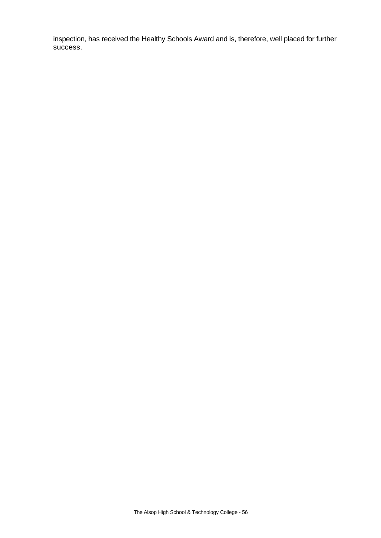inspection, has received the Healthy Schools Award and is, therefore, well placed for further success.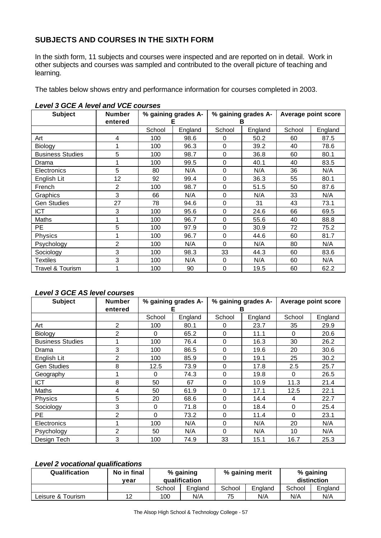# **SUBJECTS AND COURSES IN THE SIXTH FORM**

In the sixth form, 11 subjects and courses were inspected and are reported on in detail. Work in other subjects and courses was sampled and contributed to the overall picture of teaching and learning.

The tables below shows entry and performance information for courses completed in 2003.

| <b>Subject</b>          | <b>Number</b><br>entered | % gaining grades A-<br>Е |         | % gaining grades A-<br>в |         | Average point score |         |
|-------------------------|--------------------------|--------------------------|---------|--------------------------|---------|---------------------|---------|
|                         |                          | School                   | England | School                   | England | School              | England |
| Art                     | 4                        | 100                      | 98.6    | 0                        | 50.2    | 60                  | 87.5    |
| Biology                 | 1                        | 100                      | 96.3    | $\Omega$                 | 39.2    | 40                  | 78.6    |
| <b>Business Studies</b> | 5                        | 100                      | 98.7    | $\Omega$                 | 36.8    | 60                  | 80.1    |
| Drama                   | 1                        | 100                      | 99.5    | 0                        | 40.1    | 40                  | 83.5    |
| <b>Electronics</b>      | 5                        | 80                       | N/A     | $\Omega$                 | N/A     | 36                  | N/A     |
| English Lit             | 12                       | 92                       | 99.4    | $\Omega$                 | 36.3    | 55                  | 80.1    |
| French                  | 2                        | 100                      | 98.7    | 0                        | 51.5    | 50                  | 87.6    |
| Graphics                | 3                        | 66                       | N/A     | $\Omega$                 | N/A     | 33                  | N/A     |
| <b>Gen Studies</b>      | 27                       | 78                       | 94.6    | $\Omega$                 | 31      | 43                  | 73.1    |
| <b>ICT</b>              | 3                        | 100                      | 95.6    | $\Omega$                 | 24.6    | 66                  | 69.5    |
| Maths                   | 1                        | 100                      | 96.7    | $\Omega$                 | 55.6    | 40                  | 88.8    |
| PЕ                      | 5                        | 100                      | 97.9    | $\Omega$                 | 30.9    | 72                  | 75.2    |
| <b>Physics</b>          | 1                        | 100                      | 96.7    | $\Omega$                 | 44.6    | 60                  | 81.7    |
| Psychology              | 2                        | 100                      | N/A     | $\Omega$                 | N/A     | 80                  | N/A     |
| Sociology               | 3                        | 100                      | 98.3    | 33                       | 44.3    | 60                  | 83.6    |
| Textiles                | 3                        | 100                      | N/A     | $\Omega$                 | N/A     | 60                  | N/A     |
| Travel & Tourism        | 1                        | 100                      | 90      | 0                        | 19.5    | 60                  | 62.2    |

#### *Level 3 GCE A level and VCE courses*

# *Level 3 GCE AS level courses*

| <b>Subject</b>          | <b>Number</b>  | % gaining grades A- |         | % gaining grades A- |         | Average point score |         |
|-------------------------|----------------|---------------------|---------|---------------------|---------|---------------------|---------|
|                         | entered        |                     | Е       |                     | в       |                     |         |
|                         |                | School              | England | School              | England | School              | England |
| Art                     | 2              | 100                 | 80.1    | $\Omega$            | 23.7    | 35                  | 29.9    |
| Biology                 | $\overline{2}$ | $\Omega$            | 65.2    | $\Omega$            | 11.1    | $\Omega$            | 20.6    |
| <b>Business Studies</b> | 1              | 100                 | 76.4    | $\Omega$            | 16.3    | 30                  | 26.2    |
| Drama                   | 3              | 100                 | 86.5    | 0                   | 19.6    | 20                  | 30.6    |
| English Lit             | 2              | 100                 | 85.9    | $\mathbf 0$         | 19.1    | 25                  | 30.2    |
| <b>Gen Studies</b>      | 8              | 12.5                | 73.9    | $\Omega$            | 17.8    | 2.5                 | 25.7    |
| Geography               |                | $\Omega$            | 74.3    | $\Omega$            | 19.8    | $\Omega$            | 26.5    |
| <b>ICT</b>              | 8              | 50                  | 67      | $\Omega$            | 10.9    | 11.3                | 21.4    |
| <b>Maths</b>            | 4              | 50                  | 61.9    | $\Omega$            | 17.1    | 12.5                | 22.1    |
| <b>Physics</b>          | 5              | 20                  | 68.6    | $\Omega$            | 14.4    | 4                   | 22.7    |
| Sociology               | 3              | $\Omega$            | 71.8    | $\Omega$            | 18.4    | 0                   | 25.4    |
| <b>PE</b>               | 2              | $\Omega$            | 73.2    | $\Omega$            | 11.4    | $\Omega$            | 23.1    |
| Electronics             |                | 100                 | N/A     | $\Omega$            | N/A     | 20                  | N/A     |
| Psychology              | $\overline{2}$ | 50                  | N/A     | $\Omega$            | N/A     | 10                  | N/A     |
| Design Tech             | 3              | 100                 | 74.9    | 33                  | 15.1    | 16.7                | 25.3    |

# *Level 2 vocational qualifications*

| <b>Qualification</b> | No in final<br>vear | % gaining<br><b>qualification</b> |         | % gaining merit |         | % gaining<br>distinction |         |
|----------------------|---------------------|-----------------------------------|---------|-----------------|---------|--------------------------|---------|
|                      |                     | School                            | England | School          | England | School                   | England |
| Leisure & Tourism    | 12                  | 100                               | N/A     | 75              | N/A     | N/A                      | N/A     |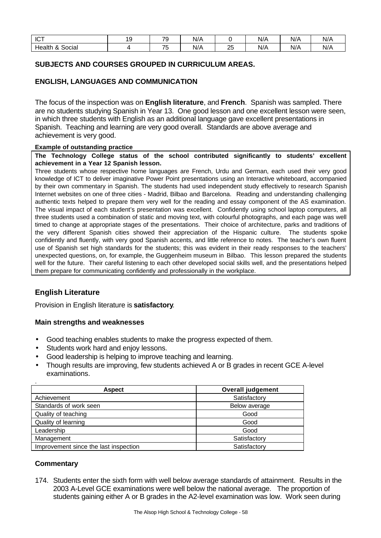| ICT                                                      | 1 C<br>- | $\overline{\phantom{a}}$<br>. . | N/A |         | .<br>N/A | $1/\Lambda$<br>N/A | N/F |
|----------------------------------------------------------|----------|---------------------------------|-----|---------|----------|--------------------|-----|
| $\sim$<br>Health<br>O<br>Social<br>$\boldsymbol{\alpha}$ |          | $-$<br>ັ                        | N/A | ില<br>∼ | <br>N/A  | $N/\rho$           | N/A |

# **SUBJECTS AND COURSES GROUPED IN CURRICULUM AREAS.**

#### **ENGLISH, LANGUAGES AND COMMUNICATION**

The focus of the inspection was on **English literature**, and **French**. Spanish was sampled. There are no students studying Spanish in Year 13. One good lesson and one excellent lesson were seen, in which three students with English as an additional language gave excellent presentations in Spanish. Teaching and learning are very good overall. Standards are above average and achievement is very good.

#### **Example of outstanding practice**

**The Technology College status of the school contributed significantly to students' excellent achievement in a Year 12 Spanish lesson.**

Three students whose respective home languages are French, Urdu and German, each used their very good knowledge of ICT to deliver imaginative Power Point presentations using an Interactive whiteboard, accompanied by their own commentary in Spanish. The students had used independent study effectively to research Spanish Internet websites on one of three cities - Madrid, Bilbao and Barcelona. Reading and understanding challenging authentic texts helped to prepare them very well for the reading and essay component of the AS examination. The visual impact of each student's presentation was excellent. Confidently using school laptop computers, all three students used a combination of static and moving text, with colourful photographs, and each page was well timed to change at appropriate stages of the presentations. Their choice of architecture, parks and traditions of the very different Spanish cities showed their appreciation of the Hispanic culture. The students spoke confidently and fluently, with very good Spanish accents, and little reference to notes. The teacher's own fluent use of Spanish set high standards for the students; this was evident in their ready responses to the teachers' unexpected questions, on, for example, the Guggenheim museum in Bilbao. This lesson prepared the students well for the future. Their careful listening to each other developed social skills well, and the presentations helped them prepare for communicating confidently and professionally in the workplace.

## **English Literature**

Provision in English literature is **satisfactory**.

## **Main strengths and weaknesses**

- Good teaching enables students to make the progress expected of them.
- Students work hard and enjoy lessons.
- Good leadership is helping to improve teaching and learning.
- Though results are improving, few students achieved A or B grades in recent GCE A-level examinations.

| <b>Aspect</b>                         | <b>Overall judgement</b> |
|---------------------------------------|--------------------------|
| Achievement                           | Satisfactory             |
| Standards of work seen                | Below average            |
| Quality of teaching                   | Good                     |
| Quality of learning                   | Good                     |
| Leadership                            | Good                     |
| Management                            | Satisfactory             |
| Improvement since the last inspection | Satisfactory             |

## **Commentary**

174. Students enter the sixth form with well below average standards of attainment. Results in the 2003 A-Level GCE examinations were well below the national average. The proportion of students gaining either A or B grades in the A2-level examination was low. Work seen during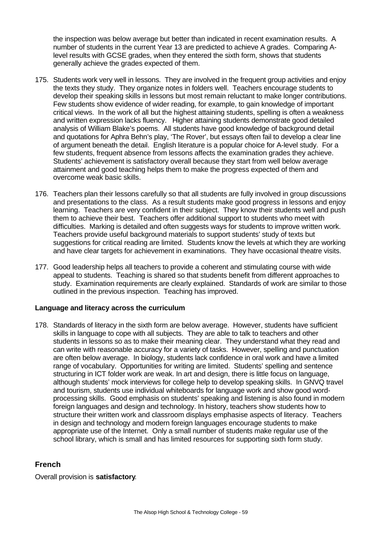the inspection was below average but better than indicated in recent examination results. A number of students in the current Year 13 are predicted to achieve A grades. Comparing Alevel results with GCSE grades, when they entered the sixth form, shows that students generally achieve the grades expected of them.

- 175. Students work very well in lessons. They are involved in the frequent group activities and enjoy the texts they study. They organize notes in folders well. Teachers encourage students to develop their speaking skills in lessons but most remain reluctant to make longer contributions. Few students show evidence of wider reading, for example, to gain knowledge of important critical views. In the work of all but the highest attaining students, spelling is often a weakness and written expression lacks fluency. Higher attaining students demonstrate good detailed analysis of William Blake's poems. All students have good knowledge of background detail and quotations for Aphra Behn's play, 'The Rover', but essays often fail to develop a clear line of argument beneath the detail. English literature is a popular choice for A-level study. For a few students, frequent absence from lessons affects the examination grades they achieve. Students' achievement is satisfactory overall because they start from well below average attainment and good teaching helps them to make the progress expected of them and overcome weak basic skills.
- 176. Teachers plan their lessons carefully so that all students are fully involved in group discussions and presentations to the class. As a result students make good progress in lessons and enjoy learning. Teachers are very confident in their subject. They know their students well and push them to achieve their best. Teachers offer additional support to students who meet with difficulties. Marking is detailed and often suggests ways for students to improve written work. Teachers provide useful background materials to support students' study of texts but suggestions for critical reading are limited. Students know the levels at which they are working and have clear targets for achievement in examinations. They have occasional theatre visits.
- 177. Good leadership helps all teachers to provide a coherent and stimulating course with wide appeal to students. Teaching is shared so that students benefit from different approaches to study. Examination requirements are clearly explained. Standards of work are similar to those outlined in the previous inspection. Teaching has improved.

## **Language and literacy across the curriculum**

178. Standards of literacy in the sixth form are below average. However, students have sufficient skills in language to cope with all subjects. They are able to talk to teachers and other students in lessons so as to make their meaning clear. They understand what they read and can write with reasonable accuracy for a variety of tasks. However, spelling and punctuation are often below average. In biology, students lack confidence in oral work and have a limited range of vocabulary. Opportunities for writing are limited. Students' spelling and sentence structuring in ICT folder work are weak. In art and design, there is little focus on language, although students' mock interviews for college help to develop speaking skills. In GNVQ travel and tourism, students use individual whiteboards for language work and show good wordprocessing skills. Good emphasis on students' speaking and listening is also found in modern foreign languages and design and technology. In history, teachers show students how to structure their written work and classroom displays emphasise aspects of literacy. Teachers in design and technology and modern foreign languages encourage students to make appropriate use of the Internet. Only a small number of students make regular use of the school library, which is small and has limited resources for supporting sixth form study.

# **French**

Overall provision is **satisfactory**.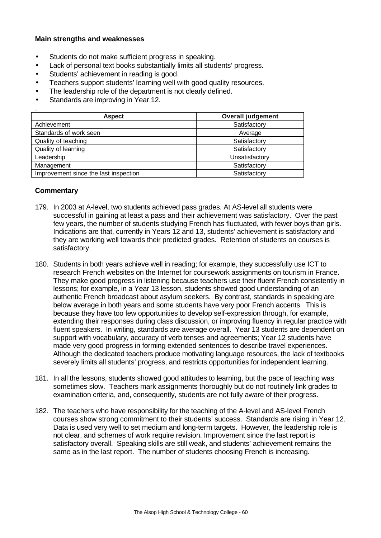#### **Main strengths and weaknesses**

- Students do not make sufficient progress in speaking.
- Lack of personal text books substantially limits all students' progress.
- Students' achievement in reading is good.
- Teachers support students' learning well with good quality resources.
- The leadership role of the department is not clearly defined.
- Standards are improving in Year 12.

| <b>Aspect</b>                         | <b>Overall judgement</b> |
|---------------------------------------|--------------------------|
| Achievement                           | Satisfactory             |
| Standards of work seen                | Average                  |
| Quality of teaching                   | Satisfactory             |
| Quality of learning                   | Satisfactory             |
| Leadership                            | Unsatisfactory           |
| Management                            | Satisfactory             |
| Improvement since the last inspection | Satisfactory             |

- 179. In 2003 at A-level, two students achieved pass grades. At AS-level all students were successful in gaining at least a pass and their achievement was satisfactory. Over the past few years, the number of students studying French has fluctuated, with fewer boys than girls. Indications are that, currently in Years 12 and 13, students' achievement is satisfactory and they are working well towards their predicted grades. Retention of students on courses is satisfactory.
- 180. Students in both years achieve well in reading; for example, they successfully use ICT to research French websites on the Internet for coursework assignments on tourism in France. They make good progress in listening because teachers use their fluent French consistently in lessons; for example, in a Year 13 lesson, students showed good understanding of an authentic French broadcast about asylum seekers. By contrast, standards in speaking are below average in both years and some students have very poor French accents. This is because they have too few opportunities to develop self-expression through, for example, extending their responses during class discussion, or improving fluency in regular practice with fluent speakers. In writing, standards are average overall. Year 13 students are dependent on support with vocabulary, accuracy of verb tenses and agreements; Year 12 students have made very good progress in forming extended sentences to describe travel experiences. Although the dedicated teachers produce motivating language resources, the lack of textbooks severely limits all students' progress, and restricts opportunities for independent learning.
- 181. In all the lessons, students showed good attitudes to learning, but the pace of teaching was sometimes slow. Teachers mark assignments thoroughly but do not routinely link grades to examination criteria, and, consequently, students are not fully aware of their progress.
- 182. The teachers who have responsibility for the teaching of the A-level and AS-level French courses show strong commitment to their students' success. Standards are rising in Year 12. Data is used very well to set medium and long-term targets. However, the leadership role is not clear, and schemes of work require revision. Improvement since the last report is satisfactory overall. Speaking skills are still weak, and students' achievement remains the same as in the last report. The number of students choosing French is increasing.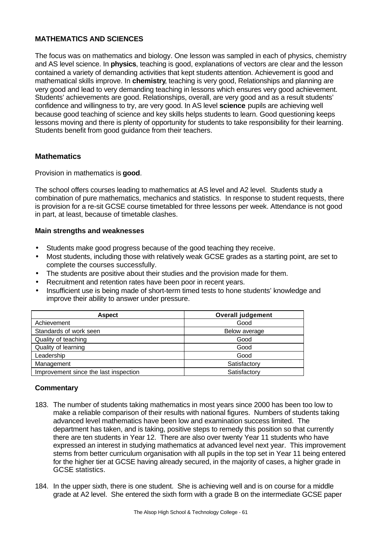# **MATHEMATICS AND SCIENCES**

The focus was on mathematics and biology. One lesson was sampled in each of physics, chemistry and AS level science. In **physics**, teaching is good, explanations of vectors are clear and the lesson contained a variety of demanding activities that kept students attention. Achievement is good and mathematical skills improve. In **chemistry**, teaching is very good, Relationships and planning are very good and lead to very demanding teaching in lessons which ensures very good achievement. Students' achievements are good. Relationships, overall, are very good and as a result students' confidence and willingness to try, are very good. In AS level **science** pupils are achieving well because good teaching of science and key skills helps students to learn. Good questioning keeps lessons moving and there is plenty of opportunity for students to take responsibility for their learning. Students benefit from good guidance from their teachers.

# **Mathematics**

Provision in mathematics is **good**.

The school offers courses leading to mathematics at AS level and A2 level. Students study a combination of pure mathematics, mechanics and statistics. In response to student requests, there is provision for a re-sit GCSE course timetabled for three lessons per week. Attendance is not good in part, at least, because of timetable clashes.

#### **Main strengths and weaknesses**

- Students make good progress because of the good teaching they receive.
- Most students, including those with relatively weak GCSE grades as a starting point, are set to complete the courses successfully.
- The students are positive about their studies and the provision made for them.
- Recruitment and retention rates have been poor in recent years.
- Insufficient use is being made of short-term timed tests to hone students' knowledge and improve their ability to answer under pressure.

| <b>Aspect</b>                         | <b>Overall judgement</b> |
|---------------------------------------|--------------------------|
| Achievement                           | Good                     |
| Standards of work seen                | Below average            |
| Quality of teaching                   | Good                     |
| Quality of learning                   | Good                     |
| Leadership                            | Good                     |
| Management                            | Satisfactory             |
| Improvement since the last inspection | Satisfactory             |

- 183. The number of students taking mathematics in most years since 2000 has been too low to make a reliable comparison of their results with national figures. Numbers of students taking advanced level mathematics have been low and examination success limited. The department has taken, and is taking, positive steps to remedy this position so that currently there are ten students in Year 12. There are also over twenty Year 11 students who have expressed an interest in studying mathematics at advanced level next year. This improvement stems from better curriculum organisation with all pupils in the top set in Year 11 being entered for the higher tier at GCSE having already secured, in the majority of cases, a higher grade in GCSE statistics.
- 184. In the upper sixth, there is one student. She is achieving well and is on course for a middle grade at A2 level. She entered the sixth form with a grade B on the intermediate GCSE paper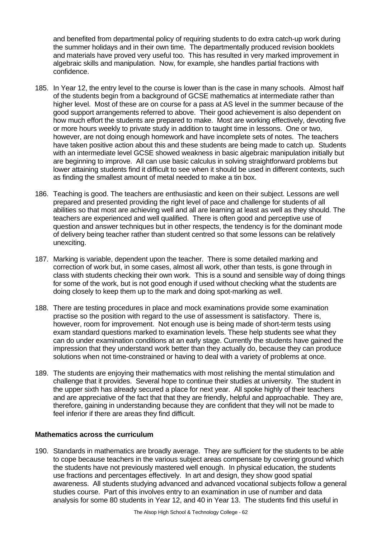and benefited from departmental policy of requiring students to do extra catch-up work during the summer holidays and in their own time. The departmentally produced revision booklets and materials have proved very useful too. This has resulted in very marked improvement in algebraic skills and manipulation. Now, for example, she handles partial fractions with confidence.

- 185. In Year 12, the entry level to the course is lower than is the case in many schools. Almost half of the students begin from a background of GCSE mathematics at intermediate rather than higher level. Most of these are on course for a pass at AS level in the summer because of the good support arrangements referred to above. Their good achievement is also dependent on how much effort the students are prepared to make. Most are working effectively, devoting five or more hours weekly to private study in addition to taught time in lessons. One or two, however, are not doing enough homework and have incomplete sets of notes. The teachers have taken positive action about this and these students are being made to catch up. Students with an intermediate level GCSE showed weakness in basic algebraic manipulation initially but are beginning to improve. All can use basic calculus in solving straightforward problems but lower attaining students find it difficult to see when it should be used in different contexts, such as finding the smallest amount of metal needed to make a tin box.
- 186. Teaching is good. The teachers are enthusiastic and keen on their subject. Lessons are well prepared and presented providing the right level of pace and challenge for students of all abilities so that most are achieving well and all are learning at least as well as they should. The teachers are experienced and well qualified. There is often good and perceptive use of question and answer techniques but in other respects, the tendency is for the dominant mode of delivery being teacher rather than student centred so that some lessons can be relatively unexciting.
- 187. Marking is variable, dependent upon the teacher. There is some detailed marking and correction of work but, in some cases, almost all work, other than tests, is gone through in class with students checking their own work. This is a sound and sensible way of doing things for some of the work, but is not good enough if used without checking what the students are doing closely to keep them up to the mark and doing spot-marking as well.
- 188. There are testing procedures in place and mock examinations provide some examination practise so the position with regard to the use of assessment is satisfactory. There is, however, room for improvement. Not enough use is being made of short-term tests using exam standard questions marked to examination levels. These help students see what they can do under examination conditions at an early stage. Currently the students have gained the impression that they understand work better than they actually do, because they can produce solutions when not time-constrained or having to deal with a variety of problems at once.
- 189. The students are enjoying their mathematics with most relishing the mental stimulation and challenge that it provides. Several hope to continue their studies at university. The student in the upper sixth has already secured a place for next year. All spoke highly of their teachers and are appreciative of the fact that that they are friendly, helpful and approachable. They are, therefore, gaining in understanding because they are confident that they will not be made to feel inferior if there are areas they find difficult.

## **Mathematics across the curriculum**

190. Standards in mathematics are broadly average. They are sufficient for the students to be able to cope because teachers in the various subject areas compensate by covering ground which the students have not previously mastered well enough. In physical education, the students use fractions and percentages effectively. In art and design, they show good spatial awareness. All students studying advanced and advanced vocational subjects follow a general studies course. Part of this involves entry to an examination in use of number and data analysis for some 80 students in Year 12, and 40 in Year 13. The students find this useful in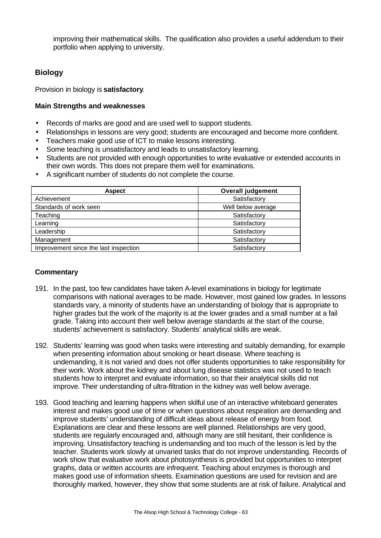improving their mathematical skills. The qualification also provides a useful addendum to their portfolio when applying to university.

# **Biology**

Provision in biology is **satisfactory**.

## **Main Strengths and weaknesses**

- Records of marks are good and are used well to support students.
- Relationships in lessons are very good; students are encouraged and become more confident.
- Teachers make good use of ICT to make lessons interesting.
- Some teaching is unsatisfactory and leads to unsatisfactory learning.
- Students are not provided with enough opportunities to write evaluative or extended accounts in their own words. This does not prepare them well for examinations.
- A significant number of students do not complete the course.

| <b>Aspect</b>                         | <b>Overall judgement</b> |
|---------------------------------------|--------------------------|
| Achievement                           | Satisfactory             |
| Standards of work seen                | Well below average       |
| Teaching                              | Satisfactory             |
| Learning                              | Satisfactory             |
| Leadership                            | Satisfactory             |
| Management                            | Satisfactory             |
| Improvement since the last inspection | Satisfactory             |

- 191. In the past, too few candidates have taken A-level examinations in biology for legitimate comparisons with national averages to be made. However, most gained low grades. In lessons standards vary, a minority of students have an understanding of biology that is appropriate to higher grades but the work of the majority is at the lower grades and a small number at a fail grade. Taking into account their well below average standards at the start of the course, students' achievement is satisfactory. Students' analytical skills are weak.
- 192. Students' learning was good when tasks were interesting and suitably demanding, for example when presenting information about smoking or heart disease. Where teaching is undemanding, it is not varied and does not offer students opportunities to take responsibility for their work. Work about the kidney and about lung disease statistics was not used to teach students how to interpret and evaluate information, so that their analytical skills did not improve. Their understanding of ultra-filtration in the kidney was well below average.
- 193. Good teaching and learning happens when skilful use of an interactive whiteboard generates interest and makes good use of time or when questions about respiration are demanding and improve students' understanding of difficult ideas about release of energy from food. Explanations are clear and these lessons are well planned. Relationships are very good, students are regularly encouraged and, although many are still hesitant, their confidence is improving. Unsatisfactory teaching is undemanding and too much of the lesson is led by the teacher. Students work slowly at unvaried tasks that do not improve understanding. Records of work show that evaluative work about photosynthesis is provided but opportunities to interpret graphs, data or written accounts are infrequent. Teaching about enzymes is thorough and makes good use of information sheets. Examination questions are used for revision and are thoroughly marked, however, they show that some students are at risk of failure. Analytical and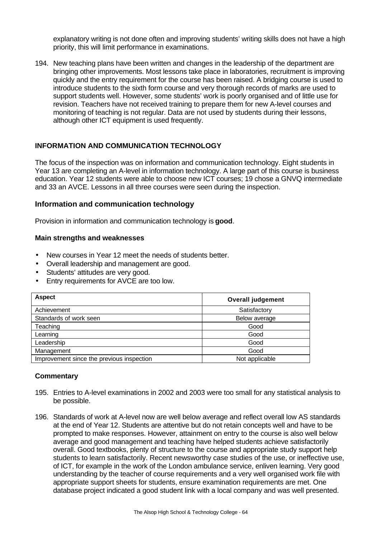explanatory writing is not done often and improving students' writing skills does not have a high priority, this will limit performance in examinations.

194. New teaching plans have been written and changes in the leadership of the department are bringing other improvements. Most lessons take place in laboratories, recruitment is improving quickly and the entry requirement for the course has been raised. A bridging course is used to introduce students to the sixth form course and very thorough records of marks are used to support students well. However, some students' work is poorly organised and of little use for revision. Teachers have not received training to prepare them for new A-level courses and monitoring of teaching is not regular. Data are not used by students during their lessons, although other ICT equipment is used frequently.

# **INFORMATION AND COMMUNICATION TECHNOLOGY**

The focus of the inspection was on information and communication technology. Eight students in Year 13 are completing an A-level in information technology. A large part of this course is business education. Year 12 students were able to choose new ICT courses: 19 chose a GNVQ intermediate and 33 an AVCE. Lessons in all three courses were seen during the inspection.

## **Information and communication technology**

Provision in information and communication technology is **good**.

#### **Main strengths and weaknesses**

- New courses in Year 12 meet the needs of students better.
- Overall leadership and management are good.
- Students' attitudes are very good.
- Entry requirements for AVCE are too low.

| <b>Aspect</b>                             | <b>Overall judgement</b> |
|-------------------------------------------|--------------------------|
| Achievement                               | Satisfactory             |
| Standards of work seen                    | Below average            |
| Teaching                                  | Good                     |
| Learning                                  | Good                     |
| Leadership                                | Good                     |
| Management                                | Good                     |
| Improvement since the previous inspection | Not applicable           |

- 195. Entries to A-level examinations in 2002 and 2003 were too small for any statistical analysis to be possible.
- 196. Standards of work at A-level now are well below average and reflect overall low AS standards at the end of Year 12. Students are attentive but do not retain concepts well and have to be prompted to make responses. However, attainment on entry to the course is also well below average and good management and teaching have helped students achieve satisfactorily overall. Good textbooks, plenty of structure to the course and appropriate study support help students to learn satisfactorily. Recent newsworthy case studies of the use, or ineffective use, of ICT, for example in the work of the London ambulance service, enliven learning. Very good understanding by the teacher of course requirements and a very well organised work file with appropriate support sheets for students, ensure examination requirements are met. One database project indicated a good student link with a local company and was well presented.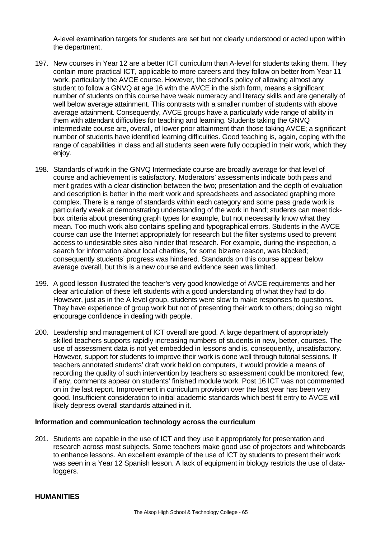A-level examination targets for students are set but not clearly understood or acted upon within the department.

- 197. New courses in Year 12 are a better ICT curriculum than A-level for students taking them. They contain more practical ICT, applicable to more careers and they follow on better from Year 11 work, particularly the AVCE course. However, the school's policy of allowing almost any student to follow a GNVQ at age 16 with the AVCE in the sixth form, means a significant number of students on this course have weak numeracy and literacy skills and are generally of well below average attainment. This contrasts with a smaller number of students with above average attainment. Consequently, AVCE groups have a particularly wide range of ability in them with attendant difficulties for teaching and learning. Students taking the GNVQ intermediate course are, overall, of lower prior attainment than those taking AVCE; a significant number of students have identified learning difficulties. Good teaching is, again, coping with the range of capabilities in class and all students seen were fully occupied in their work, which they enjoy.
- 198. Standards of work in the GNVQ Intermediate course are broadly average for that level of course and achievement is satisfactory. Moderators' assessments indicate both pass and merit grades with a clear distinction between the two; presentation and the depth of evaluation and description is better in the merit work and spreadsheets and associated graphing more complex. There is a range of standards within each category and some pass grade work is particularly weak at demonstrating understanding of the work in hand; students can meet tickbox criteria about presenting graph types for example, but not necessarily know what they mean. Too much work also contains spelling and typographical errors. Students in the AVCE course can use the Internet appropriately for research but the filter systems used to prevent access to undesirable sites also hinder that research. For example, during the inspection, a search for information about local charities, for some bizarre reason, was blocked; consequently students' progress was hindered. Standards on this course appear below average overall, but this is a new course and evidence seen was limited.
- 199. A good lesson illustrated the teacher's very good knowledge of AVCE requirements and her clear articulation of these left students with a good understanding of what they had to do. However, just as in the A level group, students were slow to make responses to questions. They have experience of group work but not of presenting their work to others; doing so might encourage confidence in dealing with people.
- 200. Leadership and management of ICT overall are good. A large department of appropriately skilled teachers supports rapidly increasing numbers of students in new, better, courses. The use of assessment data is not yet embedded in lessons and is, consequently, unsatisfactory. However, support for students to improve their work is done well through tutorial sessions. If teachers annotated students' draft work held on computers, it would provide a means of recording the quality of such intervention by teachers so assessment could be monitored; few, if any, comments appear on students' finished module work. Post 16 ICT was not commented on in the last report. Improvement in curriculum provision over the last year has been very good. Insufficient consideration to initial academic standards which best fit entry to AVCE will likely depress overall standards attained in it.

#### **Information and communication technology across the curriculum**

201. Students are capable in the use of ICT and they use it appropriately for presentation and research across most subjects. Some teachers make good use of projectors and whiteboards to enhance lessons. An excellent example of the use of ICT by students to present their work was seen in a Year 12 Spanish lesson. A lack of equipment in biology restricts the use of dataloggers.

#### **HUMANITIES**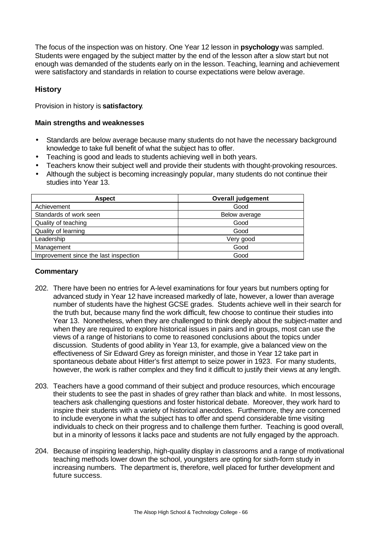The focus of the inspection was on history. One Year 12 lesson in **psychology** was sampled. Students were engaged by the subject matter by the end of the lesson after a slow start but not enough was demanded of the students early on in the lesson. Teaching, learning and achievement were satisfactory and standards in relation to course expectations were below average.

# **History**

Provision in history is **satisfactory**.

#### **Main strengths and weaknesses**

- Standards are below average because many students do not have the necessary background knowledge to take full benefit of what the subject has to offer.
- Teaching is good and leads to students achieving well in both years.
- Teachers know their subject well and provide their students with thought-provoking resources.
- Although the subject is becoming increasingly popular, many students do not continue their studies into Year 13.

| <b>Aspect</b>                         | <b>Overall judgement</b> |
|---------------------------------------|--------------------------|
| Achievement                           | Good                     |
| Standards of work seen                | Below average            |
| Quality of teaching                   | Good                     |
| Quality of learning                   | Good                     |
| Leadership                            | Very good                |
| Management                            | Good                     |
| Improvement since the last inspection | Good                     |

- 202. There have been no entries for A-level examinations for four years but numbers opting for advanced study in Year 12 have increased markedly of late, however, a lower than average number of students have the highest GCSE grades. Students achieve well in their search for the truth but, because many find the work difficult, few choose to continue their studies into Year 13. Nonetheless, when they are challenged to think deeply about the subject-matter and when they are required to explore historical issues in pairs and in groups, most can use the views of a range of historians to come to reasoned conclusions about the topics under discussion. Students of good ability in Year 13, for example, give a balanced view on the effectiveness of Sir Edward Grey as foreign minister, and those in Year 12 take part in spontaneous debate about Hitler's first attempt to seize power in 1923. For many students, however, the work is rather complex and they find it difficult to justify their views at any length.
- 203. Teachers have a good command of their subject and produce resources, which encourage their students to see the past in shades of grey rather than black and white. In most lessons, teachers ask challenging questions and foster historical debate. Moreover, they work hard to inspire their students with a variety of historical anecdotes. Furthermore, they are concerned to include everyone in what the subject has to offer and spend considerable time visiting individuals to check on their progress and to challenge them further. Teaching is good overall, but in a minority of lessons it lacks pace and students are not fully engaged by the approach.
- 204. Because of inspiring leadership, high-quality display in classrooms and a range of motivational teaching methods lower down the school, youngsters are opting for sixth-form study in increasing numbers. The department is, therefore, well placed for further development and future success.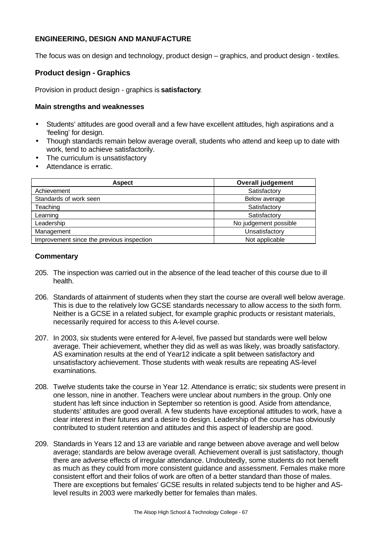# **ENGINEERING, DESIGN AND MANUFACTURE**

The focus was on design and technology, product design – graphics, and product design - textiles.

# **Product design - Graphics**

Provision in product design - graphics is **satisfactory**.

#### **Main strengths and weaknesses**

- Students' attitudes are good overall and a few have excellent attitudes, high aspirations and a 'feeling' for design.
- Though standards remain below average overall, students who attend and keep up to date with work, tend to achieve satisfactorily.
- The curriculum is unsatisfactory
- Attendance is erratic.

| <b>Aspect</b>                             | <b>Overall judgement</b> |
|-------------------------------------------|--------------------------|
| Achievement                               | Satisfactory             |
| Standards of work seen                    | Below average            |
| Teaching                                  | Satisfactory             |
| Learning                                  | Satisfactory             |
| Leadership                                | No judgement possible    |
| Management                                | Unsatisfactory           |
| Improvement since the previous inspection | Not applicable           |

- 205. The inspection was carried out in the absence of the lead teacher of this course due to ill health.
- 206. Standards of attainment of students when they start the course are overall well below average. This is due to the relatively low GCSE standards necessary to allow access to the sixth form. Neither is a GCSE in a related subject, for example graphic products or resistant materials, necessarily required for access to this A-level course.
- 207. In 2003, six students were entered for A-level, five passed but standards were well below average. Their achievement, whether they did as well as was likely, was broadly satisfactory. AS examination results at the end of Year12 indicate a split between satisfactory and unsatisfactory achievement. Those students with weak results are repeating AS-level examinations.
- 208. Twelve students take the course in Year 12. Attendance is erratic; six students were present in one lesson, nine in another. Teachers were unclear about numbers in the group. Only one student has left since induction in September so retention is good. Aside from attendance, students' attitudes are good overall. A few students have exceptional attitudes to work, have a clear interest in their futures and a desire to design. Leadership of the course has obviously contributed to student retention and attitudes and this aspect of leadership are good.
- 209. Standards in Years 12 and 13 are variable and range between above average and well below average; standards are below average overall. Achievement overall is just satisfactory, though there are adverse effects of irregular attendance. Undoubtedly, some students do not benefit as much as they could from more consistent guidance and assessment. Females make more consistent effort and their folios of work are often of a better standard than those of males. There are exceptions but females' GCSE results in related subjects tend to be higher and ASlevel results in 2003 were markedly better for females than males.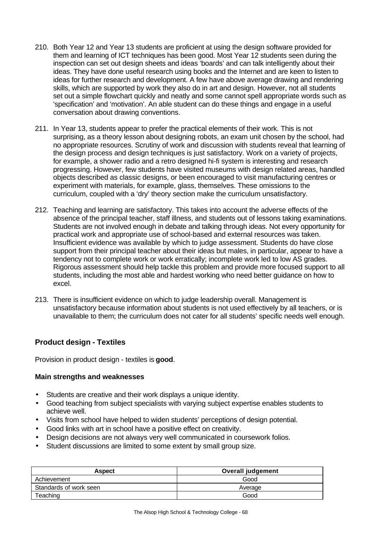- 210. Both Year 12 and Year 13 students are proficient at using the design software provided for them and learning of ICT techniques has been good. Most Year 12 students seen during the inspection can set out design sheets and ideas 'boards' and can talk intelligently about their ideas. They have done useful research using books and the Internet and are keen to listen to ideas for further research and development. A few have above average drawing and rendering skills, which are supported by work they also do in art and design. However, not all students set out a simple flowchart quickly and neatly and some cannot spell appropriate words such as 'specification' and 'motivation'. An able student can do these things and engage in a useful conversation about drawing conventions.
- 211. In Year 13, students appear to prefer the practical elements of their work. This is not surprising, as a theory lesson about designing robots, an exam unit chosen by the school, had no appropriate resources. Scrutiny of work and discussion with students reveal that learning of the design process and design techniques is just satisfactory. Work on a variety of projects, for example, a shower radio and a retro designed hi-fi system is interesting and research progressing. However, few students have visited museums with design related areas, handled objects described as classic designs, or been encouraged to visit manufacturing centres or experiment with materials, for example, glass, themselves. These omissions to the curriculum, coupled with a 'dry' theory section make the curriculum unsatisfactory.
- 212. Teaching and learning are satisfactory. This takes into account the adverse effects of the absence of the principal teacher, staff illness, and students out of lessons taking examinations. Students are not involved enough in debate and talking through ideas. Not every opportunity for practical work and appropriate use of school-based and external resources was taken. Insufficient evidence was available by which to judge assessment. Students do have close support from their principal teacher about their ideas but males, in particular, appear to have a tendency not to complete work or work erratically; incomplete work led to low AS grades. Rigorous assessment should help tackle this problem and provide more focused support to all students, including the most able and hardest working who need better guidance on how to excel.
- 213. There is insufficient evidence on which to judge leadership overall. Management is unsatisfactory because information about students is not used effectively by all teachers, or is unavailable to them; the curriculum does not cater for all students' specific needs well enough.

# **Product design - Textiles**

Provision in product design - textiles is **good**.

- Students are creative and their work displays a unique identity.
- Good teaching from subject specialists with varying subject expertise enables students to achieve well.
- Visits from school have helped to widen students' perceptions of design potential.
- Good links with art in school have a positive effect on creativity.
- Design decisions are not always very well communicated in coursework folios.
- Student discussions are limited to some extent by small group size.

| <b>Aspect</b>          | <b>Overall judgement</b> |
|------------------------|--------------------------|
| Achievement            | Good                     |
| Standards of work seen | Average                  |
| Teaching               | Good                     |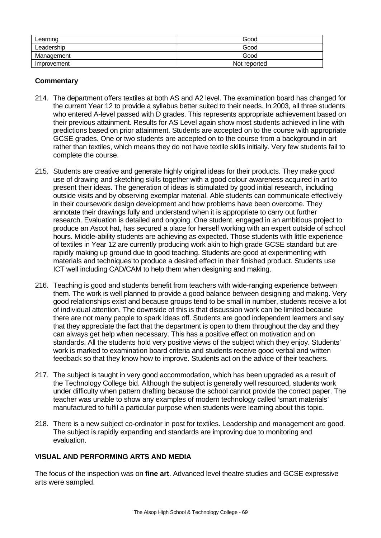| Learning    | Good         |
|-------------|--------------|
| Leadership  | Good         |
| Management  | Good         |
| Improvement | Not reported |

# **Commentary**

- 214. The department offers textiles at both AS and A2 level. The examination board has changed for the current Year 12 to provide a syllabus better suited to their needs. In 2003, all three students who entered A-level passed with D grades. This represents appropriate achievement based on their previous attainment. Results for AS Level again show most students achieved in line with predictions based on prior attainment. Students are accepted on to the course with appropriate GCSE grades. One or two students are accepted on to the course from a background in art rather than textiles, which means they do not have textile skills initially. Very few students fail to complete the course.
- 215. Students are creative and generate highly original ideas for their products. They make good use of drawing and sketching skills together with a good colour awareness acquired in art to present their ideas. The generation of ideas is stimulated by good initial research, including outside visits and by observing exemplar material. Able students can communicate effectively in their coursework design development and how problems have been overcome. They annotate their drawings fully and understand when it is appropriate to carry out further research. Evaluation is detailed and ongoing. One student, engaged in an ambitious project to produce an Ascot hat, has secured a place for herself working with an expert outside of school hours. Middle-ability students are achieving as expected. Those students with little experience of textiles in Year 12 are currently producing work akin to high grade GCSE standard but are rapidly making up ground due to good teaching. Students are good at experimenting with materials and techniques to produce a desired effect in their finished product. Students use ICT well including CAD/CAM to help them when designing and making.
- 216. Teaching is good and students benefit from teachers with wide-ranging experience between them. The work is well planned to provide a good balance between designing and making. Very good relationships exist and because groups tend to be small in number, students receive a lot of individual attention. The downside of this is that discussion work can be limited because there are not many people to spark ideas off. Students are good independent learners and say that they appreciate the fact that the department is open to them throughout the day and they can always get help when necessary. This has a positive effect on motivation and on standards. All the students hold very positive views of the subject which they enjoy. Students' work is marked to examination board criteria and students receive good verbal and written feedback so that they know how to improve. Students act on the advice of their teachers.
- 217. The subject is taught in very good accommodation, which has been upgraded as a result of the Technology College bid. Although the subject is generally well resourced, students work under difficulty when pattern drafting because the school cannot provide the correct paper. The teacher was unable to show any examples of modern technology called 'smart materials' manufactured to fulfil a particular purpose when students were learning about this topic.
- 218. There is a new subject co-ordinator in post for textiles. Leadership and management are good. The subject is rapidly expanding and standards are improving due to monitoring and evaluation.

# **VISUAL AND PERFORMING ARTS AND MEDIA**

The focus of the inspection was on **fine art**. Advanced level theatre studies and GCSE expressive arts were sampled.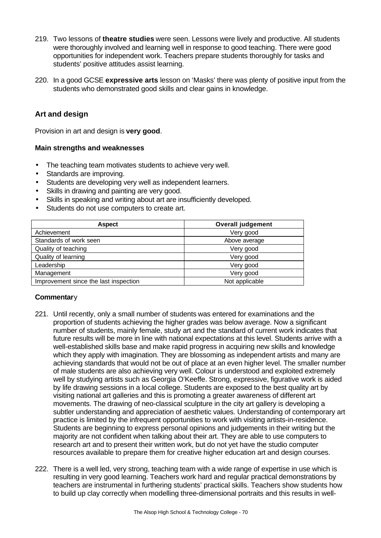- 219. Two lessons of **theatre studies** were seen. Lessons were lively and productive. All students were thoroughly involved and learning well in response to good teaching. There were good opportunities for independent work. Teachers prepare students thoroughly for tasks and students' positive attitudes assist learning.
- 220. In a good GCSE **expressive arts** lesson on 'Masks' there was plenty of positive input from the students who demonstrated good skills and clear gains in knowledge.

# **Art and design**

Provision in art and design is **very good**.

## **Main strengths and weaknesses**

- The teaching team motivates students to achieve very well.
- Standards are improving.
- Students are developing very well as independent learners.
- Skills in drawing and painting are very good.
- Skills in speaking and writing about art are insufficiently developed.
- Students do not use computers to create art.

| <b>Aspect</b>                         | <b>Overall judgement</b> |
|---------------------------------------|--------------------------|
| Achievement                           | Very good                |
| Standards of work seen                | Above average            |
| Quality of teaching                   | Very good                |
| Quality of learning                   | Very good                |
| Leadership                            | Very good                |
| Management                            | Very good                |
| Improvement since the last inspection | Not applicable           |

- 221. Until recently, only a small number of students was entered for examinations and the proportion of students achieving the higher grades was below average. Now a significant number of students, mainly female, study art and the standard of current work indicates that future results will be more in line with national expectations at this level. Students arrive with a well-established skills base and make rapid progress in acquiring new skills and knowledge which they apply with imagination. They are blossoming as independent artists and many are achieving standards that would not be out of place at an even higher level. The smaller number of male students are also achieving very well. Colour is understood and exploited extremely well by studying artists such as Georgia O'Keeffe. Strong, expressive, figurative work is aided by life drawing sessions in a local college. Students are exposed to the best quality art by visiting national art galleries and this is promoting a greater awareness of different art movements. The drawing of neo-classical sculpture in the city art gallery is developing a subtler understanding and appreciation of aesthetic values. Understanding of contemporary art practice is limited by the infrequent opportunities to work with visiting artists-in-residence. Students are beginning to express personal opinions and judgements in their writing but the majority are not confident when talking about their art. They are able to use computers to research art and to present their written work, but do not yet have the studio computer resources available to prepare them for creative higher education art and design courses.
- 222. There is a well led, very strong, teaching team with a wide range of expertise in use which is resulting in very good learning. Teachers work hard and regular practical demonstrations by teachers are instrumental in furthering students' practical skills. Teachers show students how to build up clay correctly when modelling three-dimensional portraits and this results in well-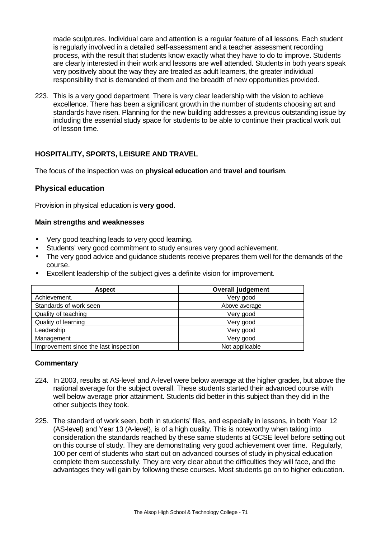made sculptures. Individual care and attention is a regular feature of all lessons. Each student is regularly involved in a detailed self-assessment and a teacher assessment recording process, with the result that students know exactly what they have to do to improve. Students are clearly interested in their work and lessons are well attended. Students in both years speak very positively about the way they are treated as adult learners, the greater individual responsibility that is demanded of them and the breadth of new opportunities provided.

223. This is a very good department. There is very clear leadership with the vision to achieve excellence. There has been a significant growth in the number of students choosing art and standards have risen. Planning for the new building addresses a previous outstanding issue by including the essential study space for students to be able to continue their practical work out of lesson time.

# **HOSPITALITY, SPORTS, LEISURE AND TRAVEL**

The focus of the inspection was on **physical education** and **travel and tourism**.

# **Physical education**

Provision in physical education is **very good**.

## **Main strengths and weaknesses**

- Very good teaching leads to very good learning.
- Students' very good commitment to study ensures very good achievement.
- The very good advice and guidance students receive prepares them well for the demands of the course.
- Excellent leadership of the subject gives a definite vision for improvement.

| <b>Aspect</b>                         | <b>Overall judgement</b> |
|---------------------------------------|--------------------------|
| Achievement.                          | Very good                |
| Standards of work seen                | Above average            |
| Quality of teaching                   | Very good                |
| Quality of learning                   | Very good                |
| Leadership                            | Very good                |
| Management                            | Very good                |
| Improvement since the last inspection | Not applicable           |

- 224. In 2003, results at AS-level and A-level were below average at the higher grades, but above the national average for the subject overall. These students started their advanced course with well below average prior attainment. Students did better in this subject than they did in the other subjects they took.
- 225. The standard of work seen, both in students' files, and especially in lessons, in both Year 12 (AS-level) and Year 13 (A-level), is of a high quality. This is noteworthy when taking into consideration the standards reached by these same students at GCSE level before setting out on this course of study. They are demonstrating very good achievement over time. Regularly, 100 per cent of students who start out on advanced courses of study in physical education complete them successfully. They are very clear about the difficulties they will face, and the advantages they will gain by following these courses. Most students go on to higher education.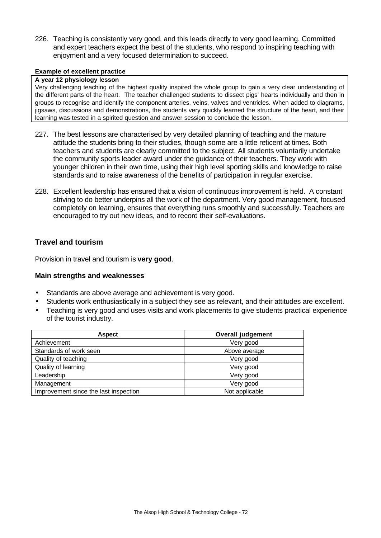226. Teaching is consistently very good, and this leads directly to very good learning. Committed and expert teachers expect the best of the students, who respond to inspiring teaching with enjoyment and a very focused determination to succeed.

#### **Example of excellent practice**

#### **A year 12 physiology lesson**

Very challenging teaching of the highest quality inspired the whole group to gain a very clear understanding of the different parts of the heart. The teacher challenged students to dissect pigs' hearts individually and then in groups to recognise and identify the component arteries, veins, valves and ventricles. When added to diagrams, jigsaws, discussions and demonstrations, the students very quickly learned the structure of the heart, and their learning was tested in a spirited question and answer session to conclude the lesson.

- 227. The best lessons are characterised by very detailed planning of teaching and the mature attitude the students bring to their studies, though some are a little reticent at times. Both teachers and students are clearly committed to the subject. All students voluntarily undertake the community sports leader award under the guidance of their teachers. They work with younger children in their own time, using their high level sporting skills and knowledge to raise standards and to raise awareness of the benefits of participation in regular exercise.
- 228. Excellent leadership has ensured that a vision of continuous improvement is held. A constant striving to do better underpins all the work of the department. Very good management, focused completely on learning, ensures that everything runs smoothly and successfully. Teachers are encouraged to try out new ideas, and to record their self-evaluations.

# **Travel and tourism**

Provision in travel and tourism is **very good**.

- Standards are above average and achievement is very good.
- Students work enthusiastically in a subject they see as relevant, and their attitudes are excellent.
- Teaching is very good and uses visits and work placements to give students practical experience of the tourist industry.

| <b>Aspect</b>                         | <b>Overall judgement</b> |
|---------------------------------------|--------------------------|
| Achievement                           | Very good                |
| Standards of work seen                | Above average            |
| Quality of teaching                   | Very good                |
| Quality of learning                   | Very good                |
| Leadership                            | Very good                |
| Management                            | Very good                |
| Improvement since the last inspection | Not applicable           |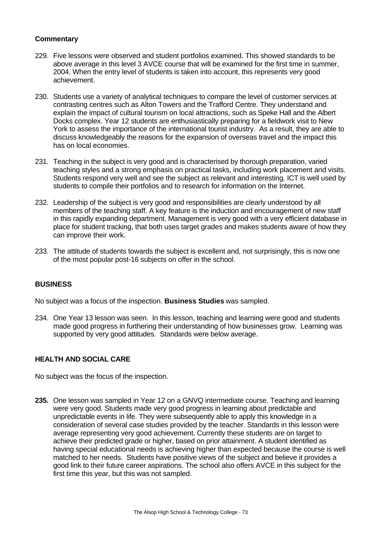### **Commentary**

- 229. Five lessons were observed and student portfolios examined. This showed standards to be above average in this level 3 AVCE course that will be examined for the first time in summer, 2004. When the entry level of students is taken into account, this represents very good achievement.
- 230. Students use a variety of analytical techniques to compare the level of customer services at contrasting centres such as Alton Towers and the Trafford Centre. They understand and explain the impact of cultural tourism on local attractions, such as Speke Hall and the Albert Docks complex. Year 12 students are enthusiastically preparing for a fieldwork visit to New York to assess the importance of the international tourist industry. As a result, they are able to discuss knowledgeably the reasons for the expansion of overseas travel and the impact this has on local economies.
- 231. Teaching in the subject is very good and is characterised by thorough preparation, varied teaching styles and a strong emphasis on practical tasks, including work placement and visits. Students respond very well and see the subject as relevant and interesting. ICT is well used by students to compile their portfolios and to research for information on the Internet.
- 232. Leadership of the subject is very good and responsibilities are clearly understood by all members of the teaching staff. A key feature is the induction and encouragement of new staff in this rapidly expanding department. Management is very good with a very efficient database in place for student tracking, that both uses target grades and makes students aware of how they can improve their work.
- 233. The attitude of students towards the subject is excellent and, not surprisingly, this is now one of the most popular post-16 subjects on offer in the school.

### **BUSINESS**

No subject was a focus of the inspection. **Business Studies** was sampled.

234. One Year 13 lesson was seen. In this lesson, teaching and learning were good and students made good progress in furthering their understanding of how businesses grow. Learning was supported by very good attitudes. Standards were below average.

### **HEALTH AND SOCIAL CARE**

No subject was the focus of the inspection.

**235.** One lesson was sampled in Year 12 on a GNVQ intermediate course. Teaching and learning were very good. Students made very good progress in learning about predictable and unpredictable events in life. They were subsequently able to apply this knowledge in a consideration of several case studies provided by the teacher. Standards in this lesson were average representing very good achievement. Currently these students are on target to achieve their predicted grade or higher, based on prior attainment. A student identified as having special educational needs is achieving higher than expected because the course is well matched to her needs. Students have positive views of the subject and believe it provides a good link to their future career aspirations. The school also offers AVCE in this subject for the first time this year, but this was not sampled.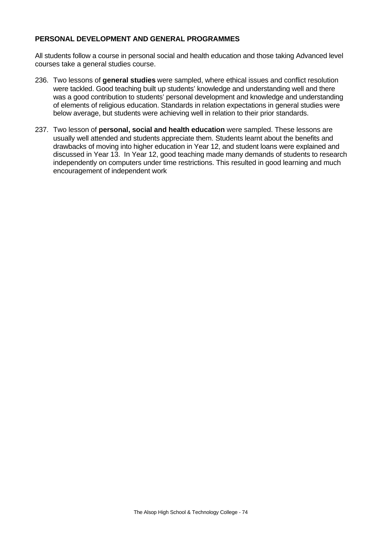## **PERSONAL DEVELOPMENT AND GENERAL PROGRAMMES**

All students follow a course in personal social and health education and those taking Advanced level courses take a general studies course.

- 236. Two lessons of **general studies** were sampled, where ethical issues and conflict resolution were tackled. Good teaching built up students' knowledge and understanding well and there was a good contribution to students' personal development and knowledge and understanding of elements of religious education. Standards in relation expectations in general studies were below average, but students were achieving well in relation to their prior standards.
- 237. Two lesson of **personal, social and health education** were sampled. These lessons are usually well attended and students appreciate them. Students learnt about the benefits and drawbacks of moving into higher education in Year 12, and student loans were explained and discussed in Year 13. In Year 12, good teaching made many demands of students to research independently on computers under time restrictions. This resulted in good learning and much encouragement of independent work